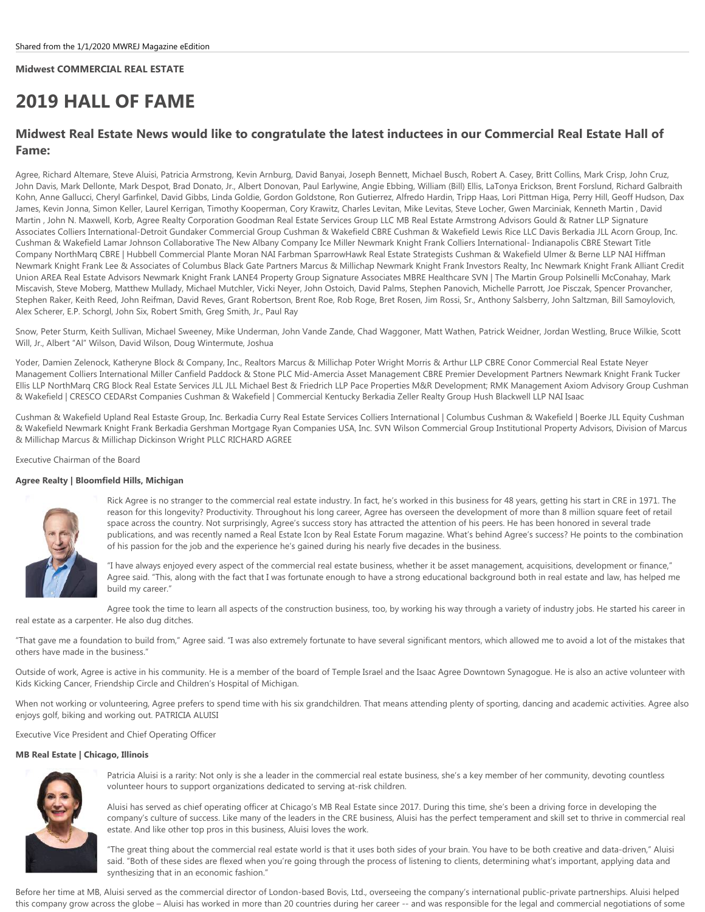# **Midwest COMMERCIAL REAL ESTATE**

# **2019 HALL OF FAME**

# **Midwest Real Estate News would like to congratulate the latest inductees in our Commercial Real Estate Hall of Fame:**

Agree, Richard Altemare, Steve Aluisi, Patricia Armstrong, Kevin Arnburg, David Banyai, Joseph Bennett, Michael Busch, Robert A. Casey, Britt Collins, Mark Crisp, John Cruz, John Davis, Mark Dellonte, Mark Despot, Brad Donato, Jr., Albert Donovan, Paul Earlywine, Angie Ebbing, William (Bill) Ellis, LaTonya Erickson, Brent Forslund, Richard Galbraith Kohn, Anne Gallucci, Cheryl Garfinkel, David Gibbs, Linda Goldie, Gordon Goldstone, Ron Gutierrez, Alfredo Hardin, Tripp Haas, Lori Pittman Higa, Perry Hill, Geoff Hudson, Dax James, Kevin Jonna, Simon Keller, Laurel Kerrigan, Timothy Kooperman, Cory Krawitz, Charles Levitan, Mike Levitas, Steve Locher, Gwen Marciniak, Kenneth Martin , David Martin ,John N. Maxwell, Korb, Agree Realty Corporation Goodman Real Estate Services Group LLC MB Real Estate Armstrong Advisors Gould & Ratner LLP Signature Associates Colliers International-Detroit Gundaker Commercial Group Cushman & Wakefield CBRE Cushman & Wakefield Lewis Rice LLC Davis Berkadia JLL Acorn Group, Inc. Cushman & Wakefield Lamar Johnson Collaborative The New Albany Company Ice Miller Newmark Knight Frank Colliers International- Indianapolis CBRE Stewart Title Company NorthMarq CBRE | Hubbell Commercial Plante Moran NAI Farbman SparrowHawk Real Estate Strategists Cushman & Wakefield Ulmer & Berne LLP NAI Hiffman Newmark Knight Frank Lee & Associates of Columbus Black Gate Partners Marcus & Millichap Newmark Knight Frank Investors Realty, Inc Newmark Knight Frank Alliant Credit Union AREA Real Estate Advisors Newmark Knight Frank LANE4 Property Group Signature Associates MBRE Healthcare SVN | The Martin Group Polsinelli McConahay, Mark Miscavish, Steve Moberg, Matthew Mullady, Michael Mutchler, Vicki Neyer, John Ostoich, David Palms, Stephen Panovich, Michelle Parrott, Joe Pisczak, Spencer Provancher, Stephen Raker, Keith Reed, John Reifman, David Reves, Grant Robertson, Brent Roe, Rob Roge, Bret Rosen, Jim Rossi, Sr., Anthony Salsberry, John Saltzman, Bill Samoylovich, Alex Scherer, E.P. Schorgl, John Six, Robert Smith, Greg Smith, Jr., Paul Ray

Snow, Peter Sturm, Keith Sullivan, Michael Sweeney, Mike Underman, John Vande Zande, Chad Waggoner, Matt Wathen, Patrick Weidner, Jordan Westling, Bruce Wilkie, Scott Will, Jr., Albert "Al" Wilson, David Wilson, Doug Wintermute, Joshua

Yoder, Damien Zelenock, Katheryne Block & Company, Inc., Realtors Marcus & Millichap Poter Wright Morris & Arthur LLP CBRE Conor Commercial Real Estate Neyer Management Colliers International Miller Canfield Paddock & Stone PLC Mid-Amercia Asset Management CBRE Premier Development Partners Newmark Knight Frank Tucker Ellis LLP NorthMarq CRG Block Real Estate Services JLL JLL Michael Best & Friedrich LLP Pace Properties M&R Development; RMK Management Axiom Advisory Group Cushman & Wakefield | CRESCO CEDARst Companies Cushman & Wakefield | Commercial Kentucky Berkadia Zeller Realty Group Hush Blackwell LLP NAI Isaac

Cushman & Wakefield Upland Real Estaste Group, Inc. Berkadia Curry Real Estate Services Colliers International | Columbus Cushman & Wakefield | Boerke JLL Equity Cushman & Wakefield Newmark Knight Frank Berkadia Gershman Mortgage Ryan Companies USA, Inc. SVN Wilson Commercial Group Institutional Property Advisors, Division of Marcus & Millichap Marcus & Millichap Dickinson Wright PLLC RICHARD AGREE

### Executive Chairman of the Board

### **Agree Realty | Bloomfield Hills, Michigan**



Rick Agree is no stranger to the commercial real estate industry. In fact, he's worked in this business for 48 years, getting his start in CRE in 1971. The reason for this longevity? Productivity. Throughout his long career, Agree has overseen the development of more than 8 million square feet of retail space across the country. Not surprisingly, Agree's success story has attracted the attention of his peers. He has been honored in several trade publications, and was recently named a Real Estate Icon by Real Estate Forum magazine. What's behind Agree's success? He points to the combination of his passion for the job and the experience he's gained during his nearly five decades in the business.

"I have always enjoyed every aspect of the commercial real estate business, whether it be asset management, acquisitions, development or finance," Agree said. "This, along with the fact that I was fortunate enough to have a strong educational background both in real estate and law, has helped me build my career."

Agree took the time to learn all aspects of the construction business, too, by working his way through a variety of industry jobs. He started his career in real estate as a carpenter. He also dug ditches.

"That gave me a foundation to build from," Agree said. "I was also extremely fortunate to have several significant mentors, which allowed me to avoid a lot of the mistakes that others have made in the business."

Outside of work, Agree is active in his community. He is a member of the board of Temple Israel and the Isaac Agree Downtown Synagogue. He is also an active volunteer with Kids Kicking Cancer, Friendship Circle and Children's Hospital of Michigan.

When not working or volunteering, Agree prefers to spend time with his six grandchildren. That means attending plenty of sporting, dancing and academic activities. Agree also enjoys golf, biking and working out. PATRICIA ALUISI

Executive Vice President and Chief Operating Officer

### **MB Real Estate | Chicago, Illinois**



Patricia Aluisi is a rarity: Not only is she a leader in the commercial real estate business, she's a key member of her community, devoting countless volunteer hours to support organizations dedicated to serving at-risk children.

Aluisi has served as chief operating officer at Chicago's MB Real Estate since 2017. During this time, she's been a driving force in developing the company's culture of success. Like many of the leaders in the CRE business, Aluisi has the perfect temperament and skill set to thrive in commercial real estate. And like other top pros in this business, Aluisi loves the work.

"The great thing about the commercial real estate world is that it uses both sides of your brain. You have to be both creative and data-driven," Aluisi said. "Both of these sides are flexed when you're going through the process of listening to clients, determining what's important, applying data and synthesizing that in an economic fashion."

Before her time at MB, Aluisi served as the commercial director of London-based Bovis, Ltd., overseeing the company's international public-private partnerships. Aluisi helped this company grow across the globe – Aluisi has worked in more than 20 countries during her career -- and was responsible for the legal and commercial negotiations of some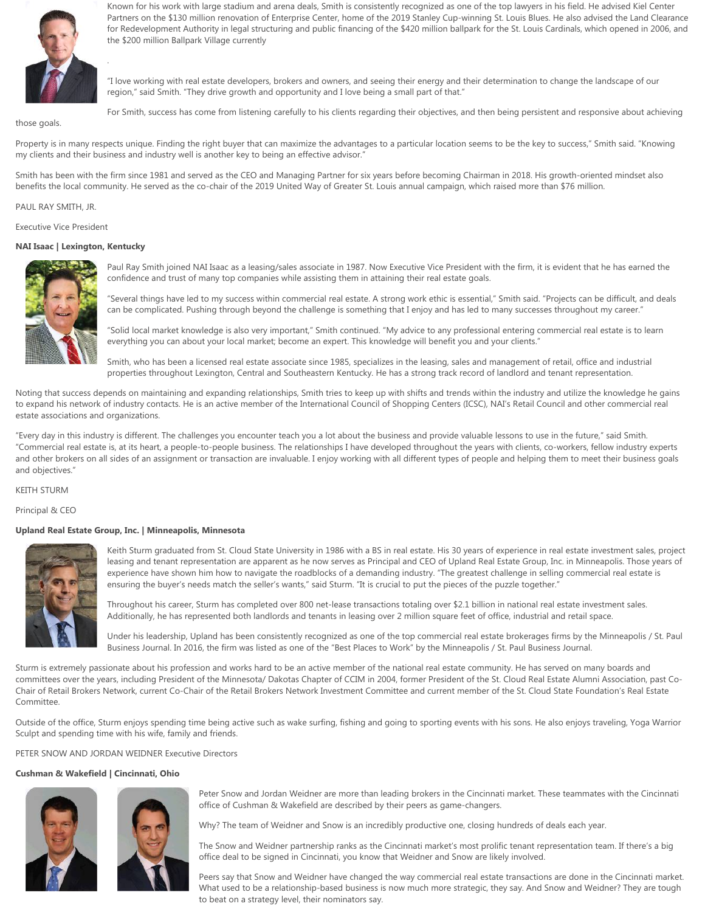

.

Known for his work with large stadium and arena deals, Smith is consistently recognized as one of the top lawyers in his field. He advised Kiel Center Partners on the \$130 million renovation of Enterprise Center, home of the 2019 Stanley Cup-winning St. Louis Blues. He also advised the Land Clearance for Redevelopment Authority in legal structuring and public financing of the \$420 million ballpark for the St. Louis Cardinals, which opened in 2006, and the \$200 million Ballpark Village currently

"I love working with real estate developers, brokers and owners, and seeing their energy and their determination to change the landscape of our region," said Smith. "They drive growth and opportunity and I love being a small part of that."

those goals.

For Smith, success has come from listening carefully to his clients regarding their objectives, and then being persistent and responsive about achieving

Property is in many respects unique. Finding the right buyer that can maximize the advantages to a particular location seems to be the key to success," Smith said. "Knowing my clients and their business and industry well is another key to being an effective advisor."

Smith has been with the firm since 1981 and served as the CEO and Managing Partner for six years before becoming Chairman in 2018. His growth-oriented mindset also benefits the local community. He served as the co-chair of the 2019 United Way of Greater St. Louis annual campaign, which raised more than \$76 million.

PAUL RAY SMITH, JR.

Executive Vice President

# **NAI Isaac | Lexington, Kentucky**



Paul Ray Smith joined NAI Isaac as a leasing/sales associate in 1987. Now Executive Vice President with the firm, it is evident that he has earned the confidence and trust of many top companies while assisting them in attaining their real estate goals.

"Several things have led to my success within commercial real estate. A strong work ethic is essential," Smith said. "Projects can be difficult, and deals can be complicated. Pushing through beyond the challenge is something that I enjoy and has led to many successes throughout my career."

"Solid local market knowledge is also very important," Smith continued. "My advice to any professional entering commercial real estate is to learn everything you can about your local market; become an expert. This knowledge will benefit you and your clients."

Smith, who has been a licensed real estate associate since 1985, specializes in the leasing, sales and management of retail, office and industrial properties throughout Lexington, Central and Southeastern Kentucky. He has a strong track record of landlord and tenant representation.

Noting that success depends on maintaining and expanding relationships, Smith tries to keep up with shifts and trends within the industry and utilize the knowledge he gains to expand his network of industry contacts. He is an active member of the International Council of Shopping Centers (ICSC), NAI's Retail Council and other commercial real estate associations and organizations.

"Every day in this industry is different. The challenges you encounter teach you a lot about the business and provide valuable lessons to use in the future," said Smith. "Commercial real estate is, at its heart, a people-to-people business. The relationships I have developed throughout the years with clients, co-workers, fellow industry experts and other brokers on all sides of an assignment or transaction are invaluable. I enjoy working with all different types of people and helping them to meet their business goals and objectives."

KEITH STURM

Principal & CEO

### **Upland Real Estate Group, Inc. | Minneapolis, Minnesota**



Keith Sturm graduated from St. Cloud State University in 1986 with a BS in real estate. His 30 years of experience in real estate investment sales, project leasing and tenant representation are apparent as he now serves as Principal and CEO of Upland Real Estate Group, Inc. in Minneapolis. Those years of experience have shown him how to navigate the roadblocks of a demanding industry. "The greatest challenge in selling commercial real estate is ensuring the buyer's needs match the seller's wants," said Sturm. "It is crucial to put the pieces of the puzzle together."

Throughout his career, Sturm has completed over 800 net-lease transactions totaling over \$2.1 billion in national real estate investment sales. Additionally, he has represented both landlords and tenants in leasing over 2 million square feet of office, industrial and retail space.

Under his leadership, Upland has been consistently recognized as one of the top commercial real estate brokerages firms by the Minneapolis / St. Paul Business Journal. In 2016, the firm was listed as one of the "Best Places to Work" by the Minneapolis / St. Paul Business Journal.

Sturm is extremely passionate about his profession and works hard to be an active member of the national real estate community. He has served on many boards and committees over the years, including President of the Minnesota/ Dakotas Chapter of CCIM in 2004, former President of the St. Cloud Real Estate Alumni Association, past Co-Chair of Retail Brokers Network, current Co-Chair of the Retail Brokers Network Investment Committee and current member of the St. Cloud State Foundation's Real Estate Committee.

Outside of the office, Sturm enjoys spending time being active such as wake surfing, fishing and going to sporting events with his sons. He also enjoys traveling, Yoga Warrior Sculpt and spending time with his wife, family and friends.

PETER SNOW AND JORDAN WEIDNER Executive Directors

### **Cushman & Wakefield | Cincinnati, Ohio**





Peter Snow and Jordan Weidner are more than leading brokers in the Cincinnati market. These teammates with the Cincinnati office of Cushman & Wakefield are described by their peers as game-changers.

Why? The team of Weidner and Snow is an incredibly productive one, closing hundreds of deals each year.

The Snow and Weidner partnership ranks as the Cincinnati market's most prolific tenant representation team. If there's a big office deal to be signed in Cincinnati, you know that Weidner and Snow are likely involved.

Peers say that Snow and Weidner have changed the way commercial real estate transactions are done in the Cincinnati market. What used to be a relationship-based business is now much more strategic, they say. And Snow and Weidner? They are tough to beat on a strategy level, their nominators say.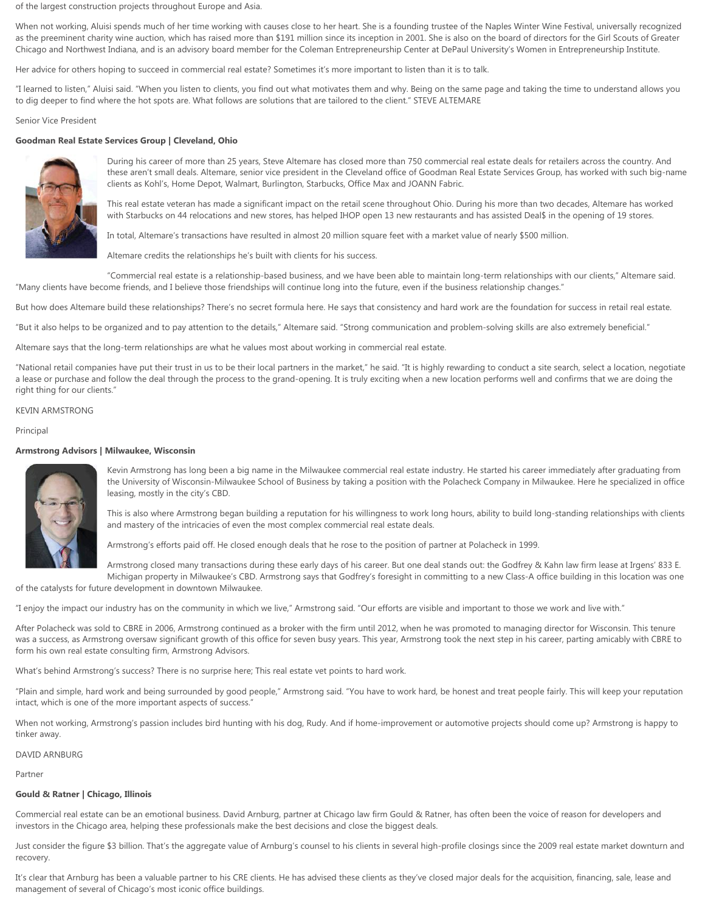of the largest construction projects throughout Europe and Asia.

When not working, Aluisi spends much of her time working with causes close to her heart. She is a founding trustee of the Naples Winter Wine Festival, universally recognized as the preeminent charity wine auction, which has raised more than \$191 million since its inception in 2001. She is also on the board of directors for the Girl Scouts of Greater Chicago and Northwest Indiana, and is an advisory board member for the Coleman Entrepreneurship Center at DePaul University's Women in Entrepreneurship Institute.

Her advice for others hoping to succeed in commercial real estate? Sometimes it's more important to listen than it is to talk.

"I learned to listen," Aluisi said. "When you listen to clients, you find out what motivates them and why. Being on the same page and taking the time to understand allows you to dig deeper to find where the hot spots are. What follows are solutions that are tailored to the client." STEVE ALTEMARE

Senior Vice President

### **Goodman Real Estate Services Group | Cleveland, Ohio**



During his career of more than 25 years, Steve Altemare has closed more than 750 commercial real estate deals for retailers across the country. And these aren't small deals. Altemare, senior vice president in the Cleveland office of Goodman Real Estate Services Group, has worked with such big-name clients as Kohl's, Home Depot, Walmart, Burlington, Starbucks, Office Max and JOANN Fabric.

This real estate veteran has made a significant impact on the retail scene throughout Ohio. During his more than two decades, Altemare has worked with Starbucks on 44 relocations and new stores, has helped IHOP open 13 new restaurants and has assisted Deal\$ in the opening of 19 stores.

In total, Altemare's transactions have resulted in almost 20 million square feet with a market value of nearly \$500 million.

Altemare credits the relationships he's built with clients for his success.

"Commercial real estate is a relationship-based business, and we have been able to maintain long-term relationships with our clients," Altemare said. "Many clients have become friends, and I believe those friendships will continue long into the future, even if the business relationship changes."

But how does Altemare build these relationships? There's no secret formula here. He says that consistency and hard work are the foundation for success in retail real estate.

"But it also helps to be organized and to pay attention to the details," Altemare said. "Strong communication and problem-solving skills are also extremely beneficial."

Altemare says that the long-term relationships are what he values most about working in commercial real estate.

"National retail companies have put their trust in us to be their local partners in the market," he said. "It is highly rewarding to conduct a site search, select a location, negotiate a lease or purchase and follow the deal through the process to the grand-opening. It is truly exciting when a new location performs well and confirms that we are doing the right thing for our clients."

# KEVIN ARMSTRONG

Principal

### **Armstrong Advisors | Milwaukee, Wisconsin**



Kevin Armstrong has long been a big name in the Milwaukee commercial real estate industry. He started his career immediately after graduating from the University of Wisconsin-Milwaukee School of Business by taking a position with the Polacheck Company in Milwaukee. Here he specialized in office leasing, mostly in the city's CBD.

This is also where Armstrong began building a reputation for his willingness to work long hours, ability to build long-standing relationships with clients and mastery of the intricacies of even the most complex commercial real estate deals.

Armstrong's efforts paid off. He closed enough deals that he rose to the position of partner at Polacheck in 1999.

Armstrong closed many transactions during these early days of his career. But one deal stands out: the Godfrey & Kahn law firm lease at Irgens' 833 E. Michigan property in Milwaukee's CBD. Armstrong says that Godfrey's foresight in committing to a new Class-A office building in this location was one

of the catalysts for future development in downtown Milwaukee.

"I enjoy the impact our industry has on the community in which we live," Armstrong said. "Our efforts are visible and important to those we work and live with."

After Polacheck was sold to CBRE in 2006, Armstrong continued as a broker with the firm until 2012, when he was promoted to managing director for Wisconsin. This tenure was a success, as Armstrong oversaw significant growth of this office for seven busy years. This year, Armstrong took the next step in his career, parting amicably with CBRE to form his own real estate consulting firm, Armstrong Advisors.

What's behind Armstrong's success? There is no surprise here; This real estate vet points to hard work.

"Plain and simple, hard work and being surrounded by good people," Armstrong said. "You have to work hard, be honest and treat people fairly. This will keep your reputation intact, which is one of the more important aspects of success."

When not working, Armstrong's passion includes bird hunting with his dog, Rudy. And if home-improvement or automotive projects should come up? Armstrong is happy to tinker away.

# DAVID ARNBURG

Partner

# **Gould & Ratner | Chicago, Illinois**

Commercial real estate can be an emotional business. David Arnburg, partner at Chicago law firm Gould & Ratner, has often been the voice of reason for developers and investors in the Chicago area, helping these professionals make the best decisions and close the biggest deals.

Just consider the figure \$3 billion. That's the aggregate value of Arnburg's counsel to his clients in several high-profile closings since the 2009 real estate market downturn and recovery.

It's clear that Arnburg has been a valuable partner to his CRE clients. He has advised these clients as they've closed major deals for the acquisition, financing, sale, lease and management of several of Chicago's most iconic office buildings.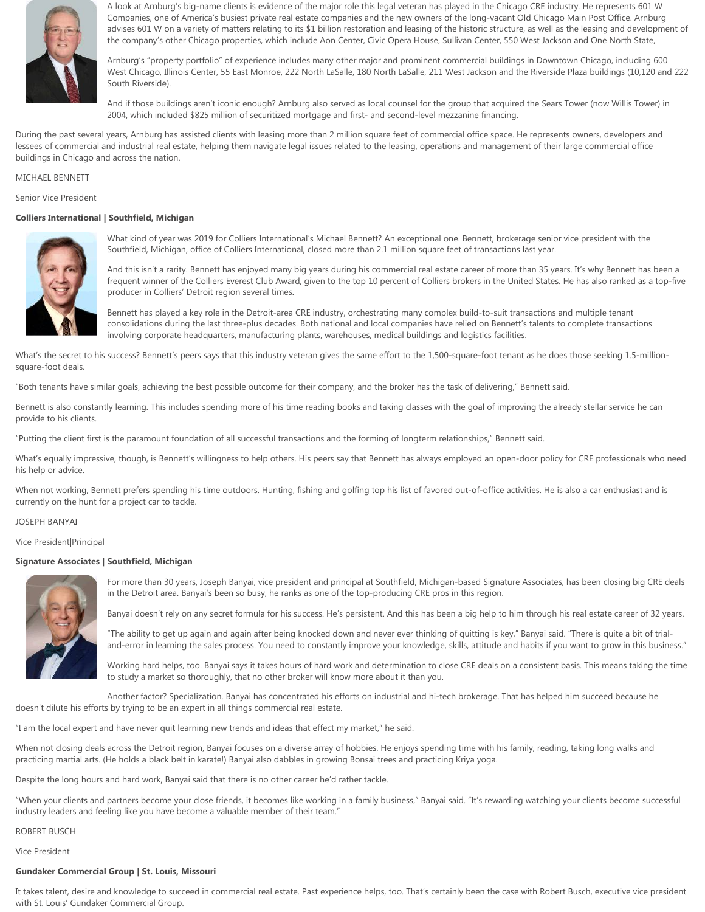

A look at Arnburg's big-name clients is evidence of the major role this legal veteran has played in the Chicago CRE industry. He represents 601 W Companies, one of America's busiest private real estate companies and the new owners of the long-vacant Old Chicago Main Post Office. Arnburg advises 601 W on a variety of matters relating to its \$1 billion restoration and leasing of the historic structure, as well as the leasing and development of the company's other Chicago properties, which include Aon Center, Civic Opera House, Sullivan Center, 550 West Jackson and One North State,

Arnburg's "property portfolio" of experience includes many other major and prominent commercial buildings in Downtown Chicago, including 600 West Chicago, Illinois Center, 55 East Monroe, 222 North LaSalle, 180 North LaSalle, 211 West Jackson and the Riverside Plaza buildings (10,120 and 222 South Riverside).

And if those buildings aren't iconic enough? Arnburg also served as local counsel for the group that acquired the Sears Tower (now Willis Tower) in 2004, which included \$825 million of securitized mortgage and first- and second-level mezzanine financing.

During the past several years, Arnburg has assisted clients with leasing more than 2 million square feet of commercial office space. He represents owners, developers and lessees of commercial and industrial real estate, helping them navigate legal issues related to the leasing, operations and management of their large commercial office buildings in Chicago and across the nation.

# MICHAEL BENNETT

Senior Vice President

### **Colliers International | Southfield, Michigan**



What kind of year was 2019 for Colliers International's Michael Bennett? An exceptional one. Bennett, brokerage senior vice president with the Southfield, Michigan, office of Colliers International, closed more than 2.1 million square feet of transactions last year.

And this isn't a rarity. Bennett has enjoyed many big years during his commercial real estate career of more than 35 years. It's why Bennett has been a frequent winner of the Colliers Everest Club Award, given to the top 10 percent of Colliers brokers in the United States. He has also ranked as a top-five producer in Colliers' Detroit region several times.

Bennett has played a key role in the Detroit-area CRE industry, orchestrating many complex build-to-suit transactions and multiple tenant consolidations during the last three-plus decades. Both national and local companies have relied on Bennett's talents to complete transactions involving corporate headquarters, manufacturing plants, warehouses, medical buildings and logistics facilities.

What's the secret to his success? Bennett's peers says that this industry veteran gives the same effort to the 1,500-square-foot tenant as he does those seeking 1.5-millionsquare-foot deals.

"Both tenants have similar goals, achieving the best possible outcome for their company, and the broker has the task of delivering," Bennett said.

Bennett is also constantly learning. This includes spending more of his time reading books and taking classes with the goal of improving the already stellar service he can provide to his clients.

"Putting the client first is the paramount foundation of all successful transactions and the forming of longterm relationships," Bennett said.

What's equally impressive, though, is Bennett's willingness to help others. His peers say that Bennett has always employed an open-door policy for CRE professionals who need his help or advice.

When not working, Bennett prefers spending his time outdoors. Hunting, fishing and golfing top his list of favored out-of-office activities. He is also a car enthusiast and is currently on the hunt for a project car to tackle.

### JOSEPH BANYAI

Vice President|Principal

### **Signature Associates | Southfield, Michigan**



For more than 30 years, Joseph Banyai, vice president and principal at Southfield, Michigan-based Signature Associates, has been closing big CRE deals in the Detroit area. Banyai's been so busy, he ranks as one of the top-producing CRE pros in this region.

Banyai doesn't rely on any secret formula for his success. He's persistent. And this has been a big help to him through his real estate career of 32 years.

"The ability to get up again and again after being knocked down and never ever thinking of quitting is key," Banyai said. "There is quite a bit of trialand-error in learning the sales process. You need to constantly improve your knowledge, skills, attitude and habits if you want to grow in this business."

Working hard helps, too. Banyai says it takes hours of hard work and determination to close CRE deals on a consistent basis. This means taking the time to study a market so thoroughly, that no other broker will know more about it than you.

Another factor? Specialization. Banyai has concentrated his efforts on industrial and hi-tech brokerage. That has helped him succeed because he doesn't dilute his efforts by trying to be an expert in all things commercial real estate.

"I am the local expert and have never quit learning new trends and ideas that effect my market," he said.

When not closing deals across the Detroit region, Banyai focuses on a diverse array of hobbies. He enjoys spending time with his family, reading, taking long walks and practicing martial arts. (He holds a black belt in karate!) Banyai also dabbles in growing Bonsai trees and practicing Kriya yoga.

Despite the long hours and hard work, Banyai said that there is no other career he'd rather tackle.

"When your clients and partners become your close friends, it becomes like working in a family business," Banyai said. "It's rewarding watching your clients become successful industry leaders and feeling like you have become a valuable member of their team."

# ROBERT BUSCH

Vice President

### **Gundaker Commercial Group | St. Louis, Missouri**

It takes talent, desire and knowledge to succeed in commercial real estate. Past experience helps, too. That's certainly been the case with Robert Busch, executive vice president with St. Louis' Gundaker Commercial Group.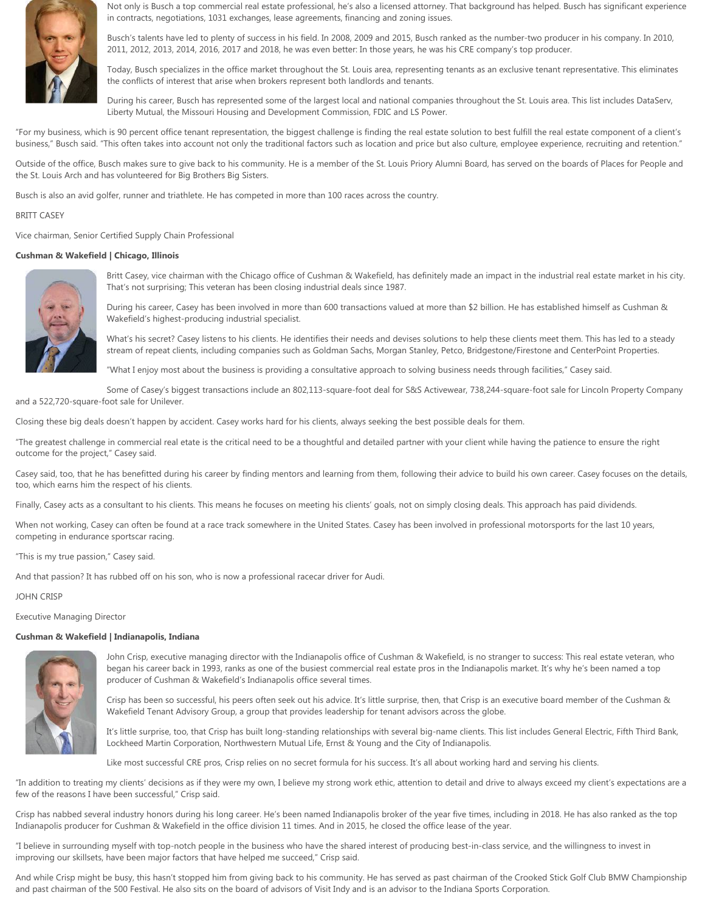

Not only is Busch a top commercial real estate professional, he's also a licensed attorney. That background has helped. Busch has significant experience in contracts, negotiations, 1031 exchanges, lease agreements, financing and zoning issues.

Busch's talents have led to plenty of success in his field. In 2008, 2009 and 2015, Busch ranked as the number-two producer in his company. In 2010, 2011, 2012, 2013, 2014, 2016, 2017 and 2018, he was even better: In those years, he was his CRE company's top producer.

Today, Busch specializes in the office market throughout the St. Louis area, representing tenants as an exclusive tenant representative. This eliminates the conflicts of interest that arise when brokers represent both landlords and tenants.

During his career, Busch has represented some of the largest local and national companies throughout the St. Louis area. This list includes DataServ, Liberty Mutual, the Missouri Housing and Development Commission, FDIC and LS Power.

"For my business, which is 90 percent office tenant representation, the biggest challenge is finding the real estate solution to best fulfill the real estate component of a client's business," Busch said. "This often takes into account not only the traditional factors such as location and price but also culture, employee experience, recruiting and retention."

Outside of the office, Busch makes sure to give back to his community. He is a member of the St. Louis Priory Alumni Board, has served on the boards of Places for People and the St. Louis Arch and has volunteered for Big Brothers Big Sisters.

Busch is also an avid golfer, runner and triathlete. He has competed in more than 100 races across the country.

### BRITT CASEY

Vice chairman, Senior Certified Supply Chain Professional

# **Cushman & Wakefield | Chicago, Illinois**



Britt Casey, vice chairman with the Chicago office of Cushman & Wakefield, has definitely made an impact in the industrial real estate market in his city. That's not surprising; This veteran has been closing industrial deals since 1987.

During his career, Casey has been involved in more than 600 transactions valued at more than \$2 billion. He has established himself as Cushman & Wakefield's highest-producing industrial specialist.

What's his secret? Casey listens to his clients. He identifies their needs and devises solutions to help these clients meet them. This has led to a steady stream of repeat clients, including companies such as Goldman Sachs, Morgan Stanley, Petco, Bridgestone/Firestone and CenterPoint Properties.

"What I enjoy most about the business is providing a consultative approach to solving business needs through facilities," Casey said.

Some of Casey's biggest transactions include an 802,113-square-foot deal for S&S Activewear, 738,244-square-foot sale for Lincoln Property Company and a 522,720-square-foot sale for Unilever.

Closing these big deals doesn't happen by accident. Casey works hard for his clients, always seeking the best possible deals for them.

"The greatest challenge in commercial real etate is the critical need to be a thoughtful and detailed partner with your client while having the patience to ensure the right outcome for the project," Casey said.

Casey said, too, that he has benefitted during his career by finding mentors and learning from them, following their advice to build his own career. Casey focuses on the details, too, which earns him the respect of his clients.

Finally, Casey acts as a consultant to his clients. This means he focuses on meeting his clients' goals, not on simply closing deals. This approach has paid dividends.

When not working, Casey can often be found at a race track somewhere in the United States. Casey has been involved in professional motorsports for the last 10 years, competing in endurance sportscar racing.

"This is my true passion," Casey said.

And that passion? It has rubbed off on his son, who is now a professional racecar driver for Audi.

### JOHN CRISP

Executive Managing Director

### **Cushman & Wakefield | Indianapolis, Indiana**



John Crisp, executive managing director with the Indianapolis office of Cushman & Wakefield, is no stranger to success: This real estate veteran, who began his career back in 1993, ranks as one of the busiest commercial real estate pros in the Indianapolis market. It's why he's been named a top producer of Cushman & Wakefield's Indianapolis office several times.

Crisp has been so successful, his peers often seek out his advice. It's little surprise, then, that Crisp is an executive board member of the Cushman & Wakefield Tenant Advisory Group, a group that provides leadership for tenant advisors across the globe.

It's little surprise, too, that Crisp has built long-standing relationships with several big-name clients. This list includes General Electric, Fifth Third Bank, Lockheed Martin Corporation, Northwestern Mutual Life, Ernst & Young and the City of Indianapolis.

Like most successful CRE pros, Crisp relies on no secret formula for his success. It's all about working hard and serving his clients.

"In addition to treating my clients' decisions as if they were my own, I believe my strong work ethic, attention to detail and drive to always exceed my client's expectations are a few of the reasons I have been successful," Crisp said.

Crisp has nabbed several industry honors during his long career. He's been named Indianapolis broker of the year five times, including in 2018. He has also ranked as the top Indianapolis producer for Cushman & Wakefield in the office division 11 times. And in 2015, he closed the office lease of the year.

"I believe in surrounding myself with top-notch people in the business who have the shared interest of producing best-in-class service, and the willingness to invest in improving our skillsets, have been major factors that have helped me succeed," Crisp said.

And while Crisp might be busy, this hasn't stopped him from giving back to his community. He has served as past chairman of the Crooked Stick Golf Club BMW Championship and past chairman of the 500 Festival. He also sits on the board of advisors of Visit Indy and is an advisor to the Indiana Sports Corporation.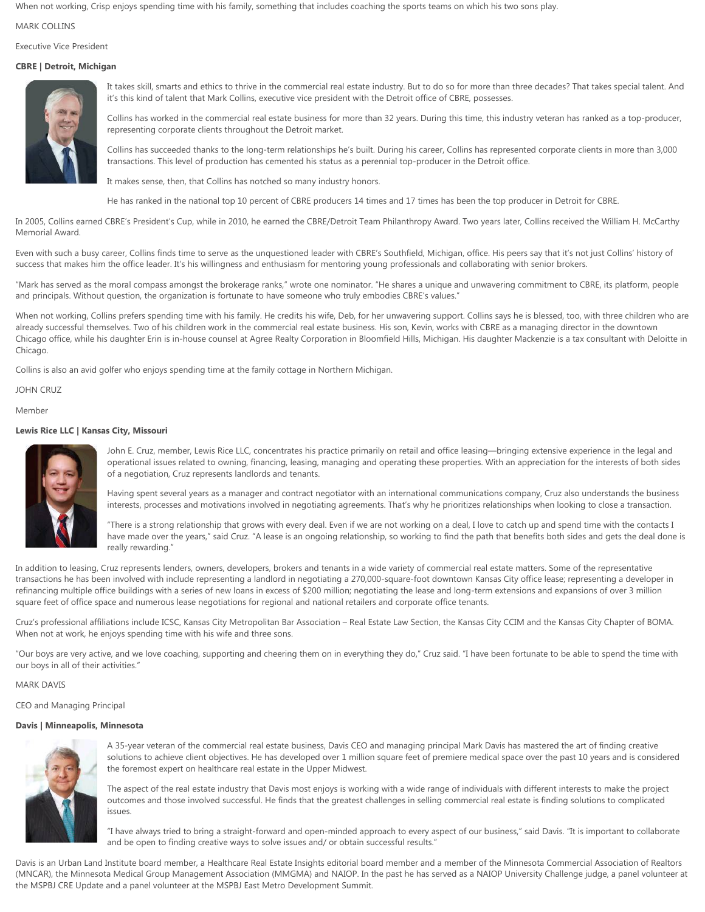When not working, Crisp enjoys spending time with his family, something that includes coaching the sports teams on which his two sons play.

### MARK COLLINS

Executive Vice President

# **CBRE | Detroit, Michigan**



It takes skill, smarts and ethics to thrive in the commercial real estate industry. But to do so for more than three decades? That takes special talent. And it's this kind of talent that Mark Collins, executive vice president with the Detroit office of CBRE, possesses.

Collins has worked in the commercial real estate business for more than 32 years. During this time, this industry veteran has ranked as a top-producer, representing corporate clients throughout the Detroit market.

Collins has succeeded thanks to the long-term relationships he's built. During his career, Collins has represented corporate clients in more than 3,000 transactions. This level of production has cemented his status as a perennial top-producer in the Detroit office.

It makes sense, then, that Collins has notched so many industry honors.

He has ranked in the national top 10 percent of CBRE producers 14 times and 17 times has been the top producer in Detroit for CBRE.

In 2005, Collins earned CBRE's President's Cup, while in 2010, he earned the CBRE/Detroit Team Philanthropy Award. Two years later, Collins received the William H. McCarthy Memorial Award.

Even with such a busy career, Collins finds time to serve as the unquestioned leader with CBRE's Southfield, Michigan, office. His peers say that it's not just Collins' history of success that makes him the office leader. It's his willingness and enthusiasm for mentoring young professionals and collaborating with senior brokers.

"Mark has served as the moral compass amongst the brokerage ranks," wrote one nominator. "He shares a unique and unwavering commitment to CBRE, its platform, people and principals. Without question, the organization is fortunate to have someone who truly embodies CBRE's values."

When not working, Collins prefers spending time with his family. He credits his wife, Deb, for her unwavering support. Collins says he is blessed, too, with three children who are already successful themselves. Two of his children work in the commercial real estate business. His son, Kevin, works with CBRE as a managing director in the downtown Chicago office, while his daughter Erin is in-house counsel at Agree Realty Corporation in Bloomfield Hills, Michigan. His daughter Mackenzie is a tax consultant with Deloitte in Chicago.

Collins is also an avid golfer who enjoys spending time at the family cottage in Northern Michigan.

JOHN CRUZ

Member

# **Lewis Rice LLC | Kansas City, Missouri**



John E. Cruz, member, Lewis Rice LLC, concentrates his practice primarily on retail and office leasing—bringing extensive experience in the legal and operational issues related to owning, financing, leasing, managing and operating these properties. With an appreciation for the interests of both sides of a negotiation, Cruz represents landlords and tenants.

Having spent several years as a manager and contract negotiator with an international communications company, Cruz also understands the business interests, processes and motivations involved in negotiating agreements. That's why he prioritizes relationships when looking to close a transaction.

"There is a strong relationship that grows with every deal. Even if we are not working on a deal, I love to catch up and spend time with the contacts I have made over the years," said Cruz. "A lease is an ongoing relationship, so working to find the path that benefits both sides and gets the deal done is really rewarding."

In addition to leasing, Cruz represents lenders, owners, developers, brokers and tenants in a wide variety of commercial real estate matters. Some of the representative transactions he has been involved with include representing a landlord in negotiating a 270,000-square-foot downtown Kansas City office lease; representing a developer in refinancing multiple office buildings with a series of new loans in excess of \$200 million; negotiating the lease and long-term extensions and expansions of over 3 million square feet of office space and numerous lease negotiations for regional and national retailers and corporate office tenants.

Cruz's professional affiliations include ICSC, Kansas City Metropolitan Bar Association – Real Estate Law Section, the Kansas City CCIM and the Kansas City Chapter of BOMA. When not at work, he enjoys spending time with his wife and three sons.

"Our boys are very active, and we love coaching, supporting and cheering them on in everything they do," Cruz said. "I have been fortunate to be able to spend the time with our boys in all of their activities."

MARK DAVIS

CEO and Managing Principal

### **Davis | Minneapolis, Minnesota**



A 35-year veteran of the commercial real estate business, Davis CEO and managing principal Mark Davis has mastered the art of finding creative solutions to achieve client objectives. He has developed over 1 million square feet of premiere medical space over the past 10 years and is considered the foremost expert on healthcare real estate in the Upper Midwest.

The aspect of the real estate industry that Davis most enjoys is working with a wide range of individuals with different interests to make the project outcomes and those involved successful. He finds that the greatest challenges in selling commercial real estate is finding solutions to complicated issues.

"I have always tried to bring a straight-forward and open-minded approach to every aspect of our business," said Davis. "It is important to collaborate and be open to finding creative ways to solve issues and/ or obtain successful results."

Davis is an Urban Land Institute board member, a Healthcare Real Estate Insights editorial board member and a member of the Minnesota Commercial Association of Realtors (MNCAR), the Minnesota Medical Group Management Association (MMGMA) and NAIOP. In the past he has served as a NAIOP University Challenge judge, a panel volunteer at the MSPBJ CRE Update and a panel volunteer at the MSPBJ East Metro Development Summit.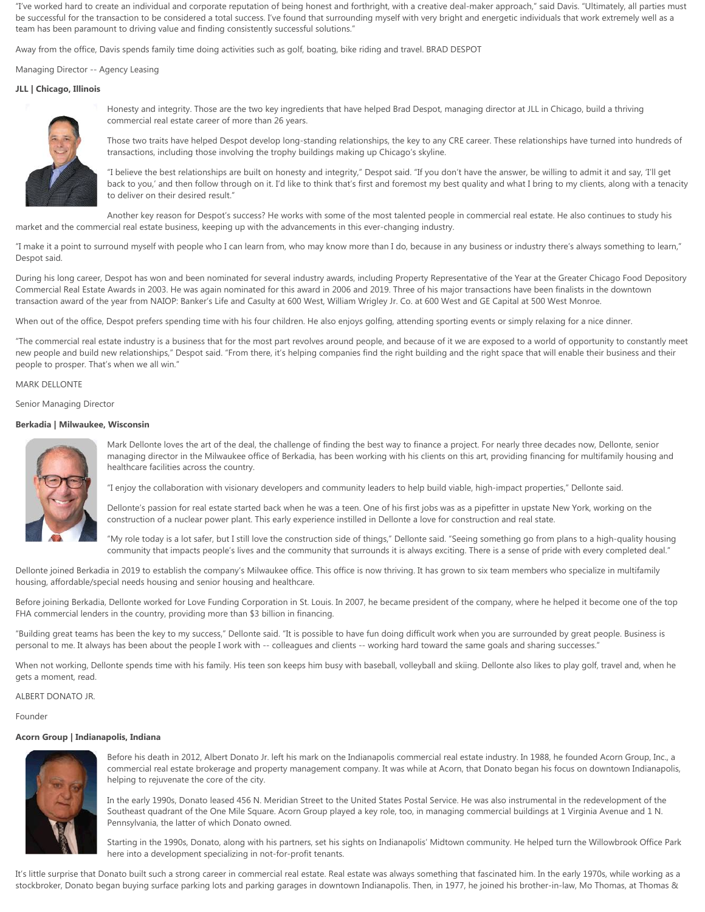"I've worked hard to create an individual and corporate reputation of being honest and forthright, with a creative deal-maker approach," said Davis. "Ultimately, all parties must be successful for the transaction to be considered a total success. I've found that surrounding myself with very bright and energetic individuals that work extremely well as a team has been paramount to driving value and finding consistently successful solutions."

Away from the office, Davis spends family time doing activities such as golf, boating, bike riding and travel. BRAD DESPOT

Managing Director -- Agency Leasing

# **JLL | Chicago, Illinois**



Honesty and integrity. Those are the two key ingredients that have helped Brad Despot, managing director at JLL in Chicago, build a thriving commercial real estate career of more than 26 years.

Those two traits have helped Despot develop long-standing relationships, the key to any CRE career. These relationships have turned into hundreds of transactions, including those involving the trophy buildings making up Chicago's skyline.

"I believe the best relationships are built on honesty and integrity," Despot said. "If you don't have the answer, be willing to admit it and say, 'I'll get back to you,' and then follow through on it. I'd like to think that's first and foremost my best quality and what I bring to my clients, along with a tenacity to deliver on their desired result."

Another key reason for Despot's success? He works with some of the most talented people in commercial real estate. He also continues to study his market and the commercial real estate business, keeping up with the advancements in this ever-changing industry.

"I make it a point to surround myself with people who I can learn from, who may know more than I do, because in any business or industry there's always something to learn," Despot said.

During his long career, Despot has won and been nominated for several industry awards, including Property Representative of the Year at the Greater Chicago Food Depository Commercial Real Estate Awards in 2003. He was again nominated for this award in 2006 and 2019. Three of his major transactions have been finalists in the downtown transaction award of the year from NAIOP: Banker's Life and Casulty at 600 West, William Wrigley Jr. Co. at 600 West and GE Capital at 500 West Monroe.

When out of the office, Despot prefers spending time with his four children. He also enjoys golfing, attending sporting events or simply relaxing for a nice dinner.

"The commercial real estate industry is a business that for the most part revolves around people, and because of it we are exposed to a world of opportunity to constantly meet new people and build new relationships," Despot said. "From there, it's helping companies find the right building and the right space that will enable their business and their people to prosper. That's when we all win."

### MARK DELLONTE

Senior Managing Director

### **Berkadia | Milwaukee, Wisconsin**



Mark Dellonte loves the art of the deal, the challenge of finding the best way to finance a project. For nearly three decades now, Dellonte, senior managing director in the Milwaukee office of Berkadia, has been working with his clients on this art, providing financing for multifamily housing and healthcare facilities across the country.

"I enjoy the collaboration with visionary developers and community leaders to help build viable, high-impact properties," Dellonte said.

Dellonte's passion for real estate started back when he was a teen. One of his first jobs was as a pipefitter in upstate New York, working on the construction of a nuclear power plant. This early experience instilled in Dellonte a love for construction and real state.

"My role today is a lot safer, but I still love the construction side of things," Dellonte said. "Seeing something go from plans to a high-quality housing community that impacts people's lives and the community that surrounds it is always exciting. There is a sense of pride with every completed deal."

Dellonte joined Berkadia in 2019 to establish the company's Milwaukee office. This office is now thriving. It has grown to six team members who specialize in multifamily housing, affordable/special needs housing and senior housing and healthcare.

Before joining Berkadia, Dellonte worked for Love Funding Corporation in St. Louis. In 2007, he became president of the company, where he helped it become one of the top FHA commercial lenders in the country, providing more than \$3 billion in financing.

"Building great teams has been the key to my success," Dellonte said. "It is possible to have fun doing difficult work when you are surrounded by great people. Business is personal to me. It always has been about the people I work with -- colleagues and clients -- working hard toward the same goals and sharing successes."

When not working, Dellonte spends time with his family. His teen son keeps him busy with baseball, volleyball and skiing. Dellonte also likes to play golf, travel and, when he gets a moment, read.

ALBERT DONATO JR.

Founder

# **Acorn Group | Indianapolis, Indiana**



Before his death in 2012, Albert Donato Jr. left his mark on the Indianapolis commercial real estate industry. In 1988, he founded Acorn Group, Inc., a commercial real estate brokerage and property management company. It was while at Acorn, that Donato began his focus on downtown Indianapolis, helping to rejuvenate the core of the city.

In the early 1990s, Donato leased 456 N. Meridian Street to the United States Postal Service. He was also instrumental in the redevelopment of the Southeast quadrant of the One Mile Square. Acorn Group played a key role, too, in managing commercial buildings at 1 Virginia Avenue and 1 N. Pennsylvania, the latter of which Donato owned.

Starting in the 1990s, Donato, along with his partners, set his sights on Indianapolis' Midtown community. He helped turn the Willowbrook Office Park here into a development specializing in not-for-profit tenants.

It's little surprise that Donato built such a strong career in commercial real estate. Real estate was always something that fascinated him. In the early 1970s, while working as a stockbroker, Donato began buying surface parking lots and parking garages in downtown Indianapolis. Then, in 1977, he joined his brother-in-law, Mo Thomas, at Thomas &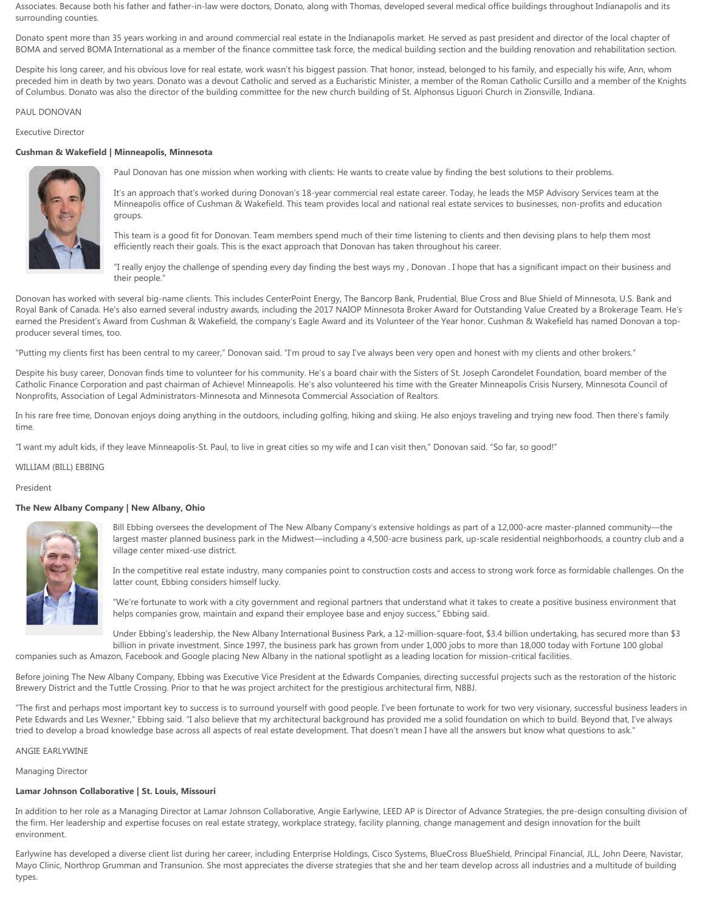Associates. Because both his father and father-in-law were doctors, Donato, along with Thomas, developed several medical office buildings throughout Indianapolis and its surrounding counties.

Donato spent more than 35 years working in and around commercial real estate in the Indianapolis market. He served as past president and director of the local chapter of BOMA and served BOMA International as a member of the finance committee task force, the medical building section and the building renovation and rehabilitation section.

Despite his long career, and his obvious love for real estate, work wasn't his biggest passion. That honor, instead, belonged to his family, and especially his wife, Ann, whom preceded him in death by two years. Donato was a devout Catholic and served as a Eucharistic Minister, a member of the Roman Catholic Cursillo and a member of the Knights of Columbus. Donato was also the director of the building committee for the new church building of St. Alphonsus Liguori Church in Zionsville, Indiana.

### PAUL DONOVAN

### Executive Director

### **Cushman & Wakefield | Minneapolis, Minnesota**



Paul Donovan has one mission when working with clients: He wants to create value by finding the best solutions to their problems.

It's an approach that's worked during Donovan's 18-year commercial real estate career. Today, he leads the MSP Advisory Services team at the Minneapolis office of Cushman & Wakefield. This team provides local and national real estate services to businesses, non-profits and education groups.

This team is a good fit for Donovan. Team members spend much of their time listening to clients and then devising plans to help them most efficiently reach their goals. This is the exact approach that Donovan has taken throughout his career.

"I really enjoy the challenge of spending every day finding the best ways my , Donovan .I hope that has a significant impact on their business and their people."

Donovan has worked with several big-name clients. This includes CenterPoint Energy, The Bancorp Bank, Prudential, Blue Cross and Blue Shield of Minnesota, U.S. Bank and Royal Bank of Canada. He's also earned several industry awards, including the 2017 NAIOP Minnesota Broker Award for Outstanding Value Created by a Brokerage Team. He's earned the President's Award from Cushman & Wakefield, the company's Eagle Award and its Volunteer of the Year honor. Cushman & Wakefield has named Donovan a topproducer several times, too.

"Putting my clients first has been central to my career," Donovan said. "I'm proud to say I've always been very open and honest with my clients and other brokers."

Despite his busy career, Donovan finds time to volunteer for his community. He's a board chair with the Sisters of St. Joseph Carondelet Foundation, board member of the Catholic Finance Corporation and past chairman of Achieve! Minneapolis. He's also volunteered his time with the Greater Minneapolis Crisis Nursery, Minnesota Council of Nonprofits, Association of Legal Administrators-Minnesota and Minnesota Commercial Association of Realtors.

In his rare free time, Donovan enjoys doing anything in the outdoors, including golfing, hiking and skiing. He also enjoys traveling and trying new food. Then there's family time.

"I want my adult kids, if they leave Minneapolis-St. Paul, to live in great cities so my wife and I can visit then," Donovan said. "So far, so good!"

WILLIAM (BILL) EBBING

#### President

### **The New Albany Company | New Albany, Ohio**



Bill Ebbing oversees the development of The New Albany Company's extensive holdings as part of a 12,000-acre master-planned community—the largest master planned business park in the Midwest—including a 4,500-acre business park, up-scale residential neighborhoods, a country club and a village center mixed-use district.

In the competitive real estate industry, many companies point to construction costs and access to strong work force as formidable challenges. On the latter count, Ebbing considers himself lucky.

"We're fortunate to work with a city government and regional partners that understand what it takes to create a positive business environment that helps companies grow, maintain and expand their employee base and enjoy success," Ebbing said.

Under Ebbing's leadership, the New Albany International Business Park, a 12-million-square-foot, \$3.4 billion undertaking, has secured more than \$3 billion in private investment. Since 1997, the business park has grown from under 1,000 jobs to more than 18,000 today with Fortune 100 global companies such as Amazon, Facebook and Google placing New Albany in the national spotlight as a leading location for mission-critical facilities.

Before joining The New Albany Company, Ebbing was Executive Vice President at the Edwards Companies, directing successful projects such as the restoration of the historic Brewery District and the Tuttle Crossing. Prior to that he was project architect for the prestigious architectural firm, NBBJ.

"The first and perhaps most important key to success is to surround yourself with good people. I've been fortunate to work for two very visionary, successful business leaders in Pete Edwards and Les Wexner," Ebbing said. "I also believe that my architectural background has provided me a solid foundation on which to build. Beyond that, I've always tried to develop a broad knowledge base across all aspects of real estate development. That doesn't mean I have all the answers but know what questions to ask."

### ANGIE EARLYWINE

Managing Director

### **Lamar Johnson Collaborative | St. Louis, Missouri**

In addition to her role as a Managing Director at Lamar Johnson Collaborative, Angie Earlywine, LEED AP is Director of Advance Strategies, the pre-design consulting division of the firm. Her leadership and expertise focuses on real estate strategy, workplace strategy, facility planning, change management and design innovation for the built environment.

Earlywine has developed a diverse client list during her career, including Enterprise Holdings, Cisco Systems, BlueCross BlueShield, Principal Financial, JLL, John Deere, Navistar, Mayo Clinic, Northrop Grumman and Transunion. She most appreciates the diverse strategies that she and her team develop across all industries and a multitude of building types.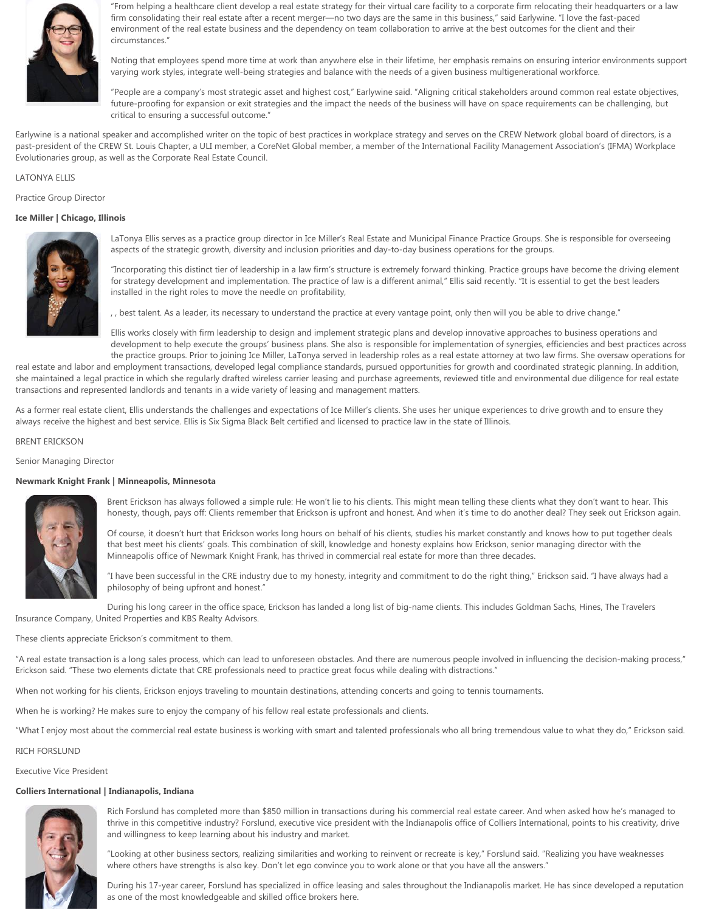

"From helping a healthcare client develop a real estate strategy for their virtual care facility to a corporate firm relocating their headquarters or a law firm consolidating their real estate after a recent merger—no two days are the same in this business," said Earlywine. "I love the fast-paced environment of the real estate business and the dependency on team collaboration to arrive at the best outcomes for the client and their circumstances."

Noting that employees spend more time at work than anywhere else in their lifetime, her emphasis remains on ensuring interior environments support varying work styles, integrate well-being strategies and balance with the needs of a given business multigenerational workforce.

"People are a company's most strategic asset and highest cost," Earlywine said. "Aligning critical stakeholders around common real estate objectives, future-proofing for expansion or exit strategies and the impact the needs of the business will have on space requirements can be challenging, but critical to ensuring a successful outcome."

Earlywine is a national speaker and accomplished writer on the topic of best practices in workplace strategy and serves on the CREW Network global board of directors, is a past-president of the CREW St. Louis Chapter, a ULI member, a CoreNet Global member, a member of the International Facility Management Association's (IFMA) Workplace Evolutionaries group, as well as the Corporate Real Estate Council.

# LATONYA ELLIS

Practice Group Director

### **Ice Miller | Chicago, Illinois**



LaTonya Ellis serves as a practice group director in Ice Miller's Real Estate and Municipal Finance Practice Groups. She is responsible for overseeing aspects of the strategic growth, diversity and inclusion priorities and day-to-day business operations for the groups.

"Incorporating this distinct tier of leadership in a law firm's structure is extremely forward thinking. Practice groups have become the driving element for strategy development and implementation. The practice of law is a different animal," Ellis said recently. "It is essential to get the best leaders installed in the right roles to move the needle on profitability,

, , best talent. As a leader, its necessary to understand the practice at every vantage point, only then will you be able to drive change."

Ellis works closely with firm leadership to design and implement strategic plans and develop innovative approaches to business operations and development to help execute the groups' business plans. She also is responsible for implementation of synergies, efficiencies and best practices across the practice groups. Prior to joining Ice Miller, LaTonya served in leadership roles as a real estate attorney at two law firms. She oversaw operations for

real estate and labor and employment transactions, developed legal compliance standards, pursued opportunities for growth and coordinated strategic planning. In addition, she maintained a legal practice in which she regularly drafted wireless carrier leasing and purchase agreements, reviewed title and environmental due diligence for real estate transactions and represented landlords and tenants in a wide variety of leasing and management matters.

As a former real estate client, Ellis understands the challenges and expectations of Ice Miller's clients. She uses her unique experiences to drive growth and to ensure they always receive the highest and best service. Ellis is Six Sigma Black Belt certified and licensed to practice law in the state of Illinois.

# BRENT ERICKSON

Senior Managing Director

### **Newmark Knight Frank | Minneapolis, Minnesota**



Brent Erickson has always followed a simple rule: He won't lie to his clients. This might mean telling these clients what they don't want to hear. This honesty, though, pays off: Clients remember that Erickson is upfront and honest. And when it's time to do another deal? They seek out Erickson again.

Of course, it doesn't hurt that Erickson works long hours on behalf of his clients, studies his market constantly and knows how to put together deals that best meet his clients' goals. This combination of skill, knowledge and honesty explains how Erickson, senior managing director with the Minneapolis office of Newmark Knight Frank, has thrived in commercial real estate for more than three decades.

"I have been successful in the CRE industry due to my honesty, integrity and commitment to do the right thing," Erickson said. "I have always had a philosophy of being upfront and honest."

During his long career in the office space, Erickson has landed a long list of big-name clients. This includes Goldman Sachs, Hines, The Travelers Insurance Company, United Properties and KBS Realty Advisors.

These clients appreciate Erickson's commitment to them.

"A real estate transaction is a long sales process, which can lead to unforeseen obstacles. And there are numerous people involved in influencing the decision-making process," Erickson said. "These two elements dictate that CRE professionals need to practice great focus while dealing with distractions."

When not working for his clients, Erickson enjoys traveling to mountain destinations, attending concerts and going to tennis tournaments.

When he is working? He makes sure to enjoy the company of his fellow real estate professionals and clients.

"What I enjoy most about the commercial real estate business is working with smart and talented professionals who all bring tremendous value to what they do," Erickson said.

### RICH FORSLUND

Executive Vice President

### **Colliers International | Indianapolis, Indiana**



Rich Forslund has completed more than \$850 million in transactions during his commercial real estate career. And when asked how he's managed to thrive in this competitive industry? Forslund, executive vice president with the Indianapolis office of Colliers International, points to his creativity, drive and willingness to keep learning about his industry and market.

"Looking at other business sectors, realizing similarities and working to reinvent or recreate is key," Forslund said. "Realizing you have weaknesses where others have strengths is also key. Don't let ego convince you to work alone or that you have all the answers."

During his 17-year career, Forslund has specialized in office leasing and sales throughout the Indianapolis market. He has since developed a reputation as one of the most knowledgeable and skilled office brokers here.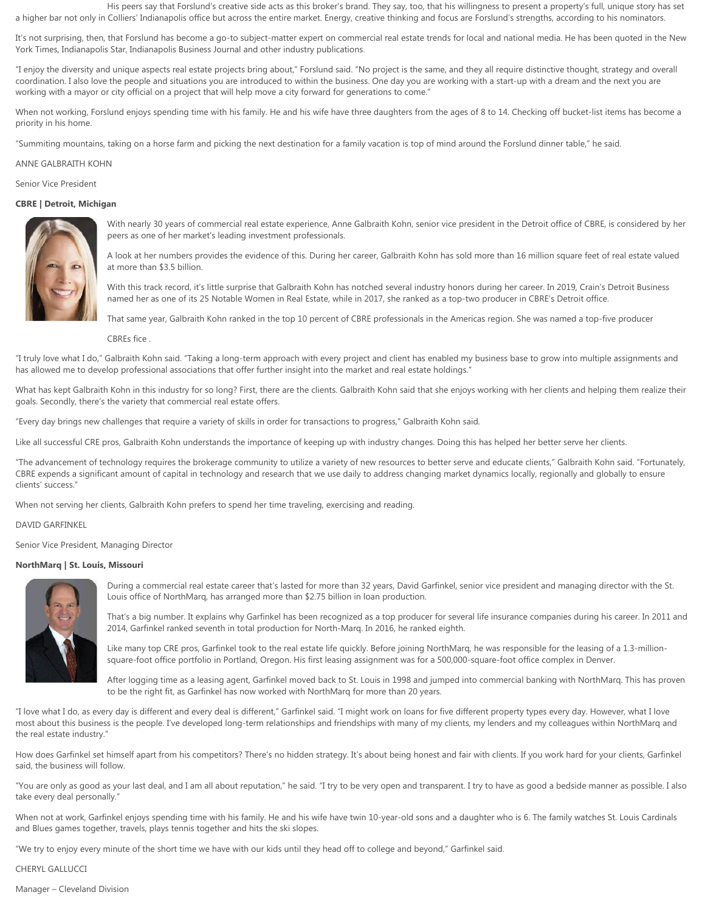His peers say that Forslund's creative side acts as this broker's brand. They say, too, that his willingness to present a property's full, unique story has set a higher bar not only in Colliers' Indianapolis office but across the entire market. Energy, creative thinking and focus are Forslund's strengths, according to his nominators.

It's not surprising, then, that Forslund has become a go-to subject-matter expert on commercial real estate trends for local and national media. He has been quoted in the New York Times, Indianapolis Star, Indianapolis Business Journal and other industry publications.

"I enjoy the diversity and unique aspects real estate projects bring about," Forslund said. "No project is the same, and they all require distinctive thought, strategy and overall coordination. I also love the people and situations you are introduced to within the business. One day you are working with a start-up with a dream and the next you are working with a mayor or city official on a project that will help move a city forward for generations to come."

When not working, Forslund enjoys spending time with his family. He and his wife have three daughters from the ages of 8 to 14. Checking off bucket-list items has become a priority in his home.

"Summiting mountains, taking on a horse farm and picking the next destination for a family vacation is top of mind around the Forslund dinner table," he said.

# ANNE GALBRAITH KOHN

Senior Vice President

# **CBRE | Detroit, Michigan**



With nearly 30 years of commercial real estate experience, Anne Galbraith Kohn, senior vice president in the Detroit office of CBRE, is considered by her peers as one of her market's leading investment professionals.

A look at her numbers provides the evidence of this. During her career, Galbraith Kohn has sold more than 16 million square feet of real estate valued at more than \$3.5 billion.

With this track record, it's little surprise that Galbraith Kohn has notched several industry honors during her career. In 2019, Crain's Detroit Business named her as one of its 25 Notable Women in Real Estate, while in 2017, she ranked as a top-two producer in CBRE's Detroit office.

That same year, Galbraith Kohn ranked in the top 10 percent of CBRE professionals in the Americas region. She was named a top-five producer

CBREs fice .

"I truly love what I do," Galbraith Kohn said. "Taking a long-term approach with every project and client has enabled my business base to grow into multiple assignments and has allowed me to develop professional associations that offer further insight into the market and real estate holdings."

What has kept Galbraith Kohn in this industry for so long? First, there are the clients. Galbraith Kohn said that she enjoys working with her clients and helping them realize their goals. Secondly, there's the variety that commercial real estate offers.

"Every day brings new challenges that require a variety of skills in order for transactions to progress," Galbraith Kohn said.

Like all successful CRE pros, Galbraith Kohn understands the importance of keeping up with industry changes. Doing this has helped her better serve her clients.

"The advancement of technology requires the brokerage community to utilize a variety of new resources to better serve and educate clients," Galbraith Kohn said. "Fortunately, CBRE expends a significant amount of capital in technology and research that we use daily to address changing market dynamics locally, regionally and globally to ensure clients' success."

When not serving her clients, Galbraith Kohn prefers to spend her time traveling, exercising and reading.

# DAVID GARFINKEL

Senior Vice President, Managing Director

# **NorthMarq | St. Louis, Missouri**



During a commercial real estate career that's lasted for more than 32 years, David Garfinkel, senior vice president and managing director with the St. Louis office of NorthMarq, has arranged more than \$2.75 billion in loan production.

That's a big number. It explains why Garfinkel has been recognized as a top producer for several life insurance companies during his career. In 2011 and 2014, Garfinkel ranked seventh in total production for North-Marq. In 2016, he ranked eighth.

Like many top CRE pros, Garfinkel took to the real estate life quickly. Before joining NorthMarq, he was responsible for the leasing of a 1.3-millionsquare-foot office portfolio in Portland, Oregon. His first leasing assignment was for a 500,000-square-foot office complex in Denver.

After logging time as a leasing agent, Garfinkel moved back to St. Louis in 1998 and jumped into commercial banking with NorthMarq. This has proven to be the right fit, as Garfinkel has now worked with NorthMarq for more than 20 years.

"I love what I do, as every day is different and every deal is different," Garfinkel said. "I might work on loans for five different property types every day. However, what I love most about this business is the people. I've developed long-term relationships and friendships with many of my clients, my lenders and my colleagues within NorthMarq and the real estate industry."

How does Garfinkel set himself apart from his competitors? There's no hidden strategy. It's about being honest and fair with clients. If you work hard for your clients, Garfinkel said, the business will follow.

"You are only as good as your last deal, and I am all about reputation," he said. "I try to be very open and transparent. I try to have as good a bedside manner as possible. I also take every deal personally."

When not at work, Garfinkel enjoys spending time with his family. He and his wife have twin 10-year-old sons and a daughter who is 6. The family watches St. Louis Cardinals and Blues games together, travels, plays tennis together and hits the ski slopes.

"We try to enjoy every minute of the short time we have with our kids until they head off to college and beyond," Garfinkel said.

CHERYL GALLUCCI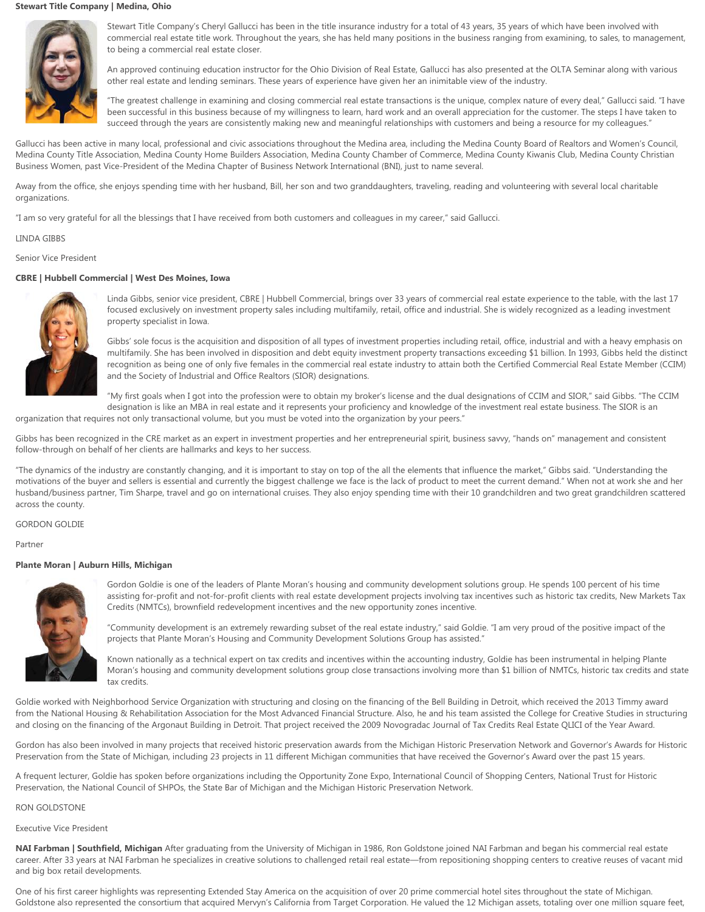# **Stewart Title Company | Medina, Ohio**



Stewart Title Company's Cheryl Gallucci has been in the title insurance industry for a total of 43 years, 35 years of which have been involved with commercial real estate title work. Throughout the years, she has held many positions in the business ranging from examining, to sales, to management, to being a commercial real estate closer.

An approved continuing education instructor for the Ohio Division of Real Estate, Gallucci has also presented at the OLTA Seminar along with various other real estate and lending seminars. These years of experience have given her an inimitable view of the industry.

"The greatest challenge in examining and closing commercial real estate transactions is the unique, complex nature of every deal," Gallucci said. "I have been successful in this business because of my willingness to learn, hard work and an overall appreciation for the customer. The steps I have taken to succeed through the years are consistently making new and meaningful relationships with customers and being a resource for my colleagues."

Gallucci has been active in many local, professional and civic associations throughout the Medina area, including the Medina County Board of Realtors and Women's Council, Medina County Title Association, Medina County Home Builders Association, Medina County Chamber of Commerce, Medina County Kiwanis Club, Medina County Christian Business Women, past Vice-President of the Medina Chapter of Business Network International (BNI), just to name several.

Away from the office, she enjoys spending time with her husband, Bill, her son and two granddaughters, traveling, reading and volunteering with several local charitable organizations.

"I am so very grateful for all the blessings that I have received from both customers and colleagues in my career," said Gallucci.

### LINDA GIBBS

Senior Vice President

### **CBRE | Hubbell Commercial | West Des Moines, Iowa**



Linda Gibbs, senior vice president, CBRE | Hubbell Commercial, brings over 33 years of commercial real estate experience to the table, with the last 17 focused exclusively on investment property sales including multifamily, retail, office and industrial. She is widely recognized as a leading investment property specialist in Iowa.

Gibbs' sole focus is the acquisition and disposition of all types of investment properties including retail, office, industrial and with a heavy emphasis on multifamily. She has been involved in disposition and debt equity investment property transactions exceeding \$1 billion. In 1993, Gibbs held the distinct recognition as being one of only five females in the commercial real estate industry to attain both the Certified Commercial Real Estate Member (CCIM) and the Society of Industrial and Office Realtors (SIOR) designations.

"My first goals when I got into the profession were to obtain my broker's license and the dual designations of CCIM and SIOR," said Gibbs. "The CCIM designation is like an MBA in real estate and it represents your proficiency and knowledge of the investment real estate business. The SIOR is an

organization that requires not only transactional volume, but you must be voted into the organization by your peers."

Gibbs has been recognized in the CRE market as an expert in investment properties and her entrepreneurial spirit, business savvy, "hands on" management and consistent follow-through on behalf of her clients are hallmarks and keys to her success.

"The dynamics of the industry are constantly changing, and it is important to stay on top of the all the elements that influence the market," Gibbs said. "Understanding the motivations of the buyer and sellers is essential and currently the biggest challenge we face is the lack of product to meet the current demand." When not at work she and her husband/business partner, Tim Sharpe, travel and go on international cruises. They also enjoy spending time with their 10 grandchildren and two great grandchildren scattered across the county.

# GORDON GOLDIE

Partner

# **Plante Moran | Auburn Hills, Michigan**



Gordon Goldie is one of the leaders of Plante Moran's housing and community development solutions group. He spends 100 percent of his time assisting for-profit and not-for-profit clients with real estate development projects involving tax incentives such as historic tax credits, New Markets Tax Credits (NMTCs), brownfield redevelopment incentives and the new opportunity zones incentive.

"Community development is an extremely rewarding subset of the real estate industry," said Goldie. "I am very proud of the positive impact of the projects that Plante Moran's Housing and Community Development Solutions Group has assisted."

Known nationally as a technical expert on tax credits and incentives within the accounting industry, Goldie has been instrumental in helping Plante Moran's housing and community development solutions group close transactions involving more than \$1 billion of NMTCs, historic tax credits and state tax credits.

Goldie worked with Neighborhood Service Organization with structuring and closing on the financing of the Bell Building in Detroit, which received the 2013 Timmy award from the National Housing & Rehabilitation Association for the Most Advanced Financial Structure. Also, he and his team assisted the College for Creative Studies in structuring and closing on the financing of the Argonaut Building in Detroit. That project received the 2009 Novogradac Journal of Tax Credits Real Estate QLICI of the Year Award.

Gordon has also been involved in many projects that received historic preservation awards from the Michigan Historic Preservation Network and Governor's Awards for Historic Preservation from the State of Michigan, including 23 projects in 11 different Michigan communities that have received the Governor's Award over the past 15 years.

A frequent lecturer, Goldie has spoken before organizations including the Opportunity Zone Expo, International Council of Shopping Centers, National Trust for Historic Preservation, the National Council of SHPOs, the State Bar of Michigan and the Michigan Historic Preservation Network.

#### RON GOLDSTONE

# Executive Vice President

**NAI Farbman | Southfield, Michigan** After graduating from the University of Michigan in 1986, Ron Goldstone joined NAI Farbman and began his commercial real estate career. After 33 years at NAI Farbman he specializes in creative solutions to challenged retail real estate—from repositioning shopping centers to creative reuses of vacant mid and big box retail developments.

One of his first career highlights was representing Extended Stay America on the acquisition of over 20 prime commercial hotel sites throughout the state of Michigan. Goldstone also represented the consortium that acquired Mervyn's California from Target Corporation. He valued the 12 Michigan assets, totaling over one million square feet,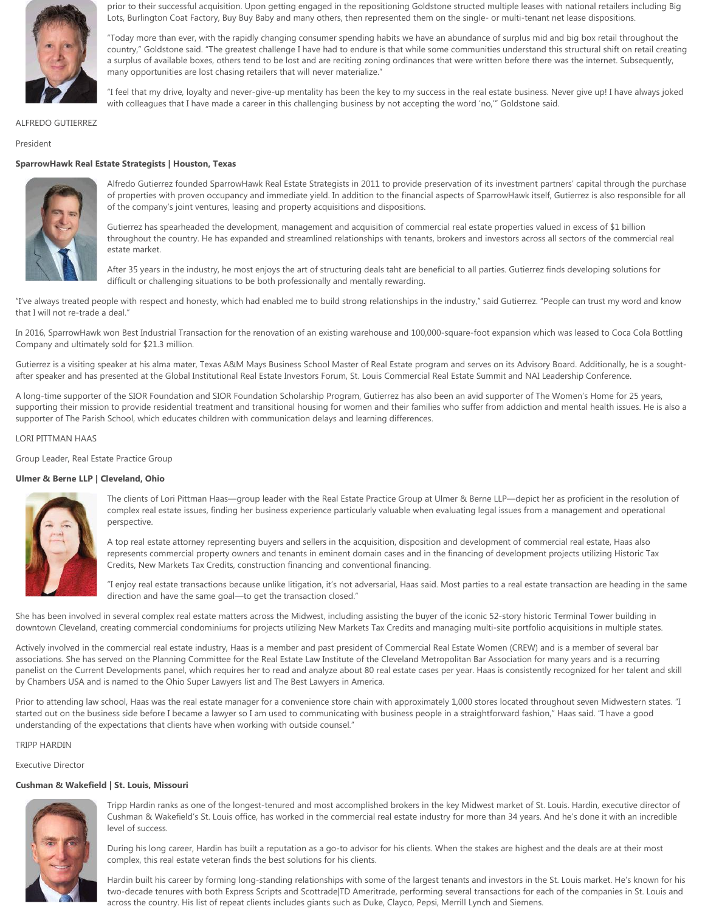

prior to their successful acquisition. Upon getting engaged in the repositioning Goldstone structed multiple leases with national retailers including Big Lots, Burlington Coat Factory, Buy Buy Baby and many others, then represented them on the single- or multi-tenant net lease dispositions.

"Today more than ever, with the rapidly changing consumer spending habits we have an abundance of surplus mid and big box retail throughout the country," Goldstone said. "The greatest challenge I have had to endure is that while some communities understand this structural shift on retail creating a surplus of available boxes, others tend to be lost and are reciting zoning ordinances that were written before there was the internet. Subsequently, many opportunities are lost chasing retailers that will never materialize."

"I feel that my drive, loyalty and never-give-up mentality has been the key to my success in the real estate business. Never give up! I have always joked with colleagues that I have made a career in this challenging business by not accepting the word 'no,'" Goldstone said.

# ALFREDO GUTIERREZ

### President

# **SparrowHawk Real Estate Strategists | Houston, Texas**



Alfredo Gutierrez founded SparrowHawk Real Estate Strategists in 2011 to provide preservation of its investment partners' capital through the purchase of properties with proven occupancy and immediate yield. In addition to the financial aspects of SparrowHawk itself, Gutierrez is also responsible for all of the company's joint ventures, leasing and property acquisitions and dispositions.

Gutierrez has spearheaded the development, management and acquisition of commercial real estate properties valued in excess of \$1 billion throughout the country. He has expanded and streamlined relationships with tenants, brokers and investors across all sectors of the commercial real estate market.

After 35 years in the industry, he most enjoys the art of structuring deals taht are beneficial to all parties. Gutierrez finds developing solutions for difficult or challenging situations to be both professionally and mentally rewarding.

"I've always treated people with respect and honesty, which had enabled me to build strong relationships in the industry," said Gutierrez. "People can trust my word and know that I will not re-trade a deal."

In 2016, SparrowHawk won Best Industrial Transaction for the renovation of an existing warehouse and 100,000-square-foot expansion which was leased to Coca Cola Bottling Company and ultimately sold for \$21.3 million.

Gutierrez is a visiting speaker at his alma mater, Texas A&M Mays Business School Master of Real Estate program and serves on its Advisory Board. Additionally, he is a soughtafter speaker and has presented at the Global Institutional Real Estate Investors Forum, St. Louis Commercial Real Estate Summit and NAI Leadership Conference.

A long-time supporter of the SIOR Foundation and SIOR Foundation Scholarship Program, Gutierrez has also been an avid supporter of The Women's Home for 25 years, supporting their mission to provide residential treatment and transitional housing for women and their families who suffer from addiction and mental health issues. He is also a supporter of The Parish School, which educates children with communication delays and learning differences.

# LORI PITTMAN HAAS

Group Leader, Real Estate Practice Group

### **Ulmer & Berne LLP | Cleveland, Ohio**



The clients of Lori Pittman Haas—group leader with the Real Estate Practice Group at Ulmer & Berne LLP—depict her as proficient in the resolution of complex real estate issues, finding her business experience particularly valuable when evaluating legal issues from a management and operational perspective.

A top real estate attorney representing buyers and sellers in the acquisition, disposition and development of commercial real estate, Haas also represents commercial property owners and tenants in eminent domain cases and in the financing of development projects utilizing Historic Tax Credits, New Markets Tax Credits, construction financing and conventional financing.

"I enjoy real estate transactions because unlike litigation, it's not adversarial, Haas said. Most parties to a real estate transaction are heading in the same direction and have the same goal—to get the transaction closed."

She has been involved in several complex real estate matters across the Midwest, including assisting the buyer of the iconic 52-story historic Terminal Tower building in downtown Cleveland, creating commercial condominiums for projects utilizing New Markets Tax Credits and managing multi-site portfolio acquisitions in multiple states.

Actively involved in the commercial real estate industry, Haas is a member and past president of Commercial Real Estate Women (CREW) and is a member of several bar associations. She has served on the Planning Committee for the Real Estate Law Institute of the Cleveland Metropolitan Bar Association for many years and is a recurring panelist on the Current Developments panel, which requires her to read and analyze about 80 real estate cases per year. Haas is consistently recognized for her talent and skill by Chambers USA and is named to the Ohio Super Lawyers list and The Best Lawyers in America.

Prior to attending law school, Haas was the real estate manager for a convenience store chain with approximately 1,000 stores located throughout seven Midwestern states. "I started out on the business side before I became a lawyer so I am used to communicating with business people in a straightforward fashion," Haas said. "I have a good understanding of the expectations that clients have when working with outside counsel."

### TRIPP HARDIN

Executive Director

# **Cushman & Wakefield | St. Louis, Missouri**



Tripp Hardin ranks as one of the longest-tenured and most accomplished brokers in the key Midwest market of St. Louis. Hardin, executive director of Cushman & Wakefield's St. Louis office, has worked in the commercial real estate industry for more than 34 years. And he's done it with an incredible level of success.

During his long career, Hardin has built a reputation as a go-to advisor for his clients. When the stakes are highest and the deals are at their most complex, this real estate veteran finds the best solutions for his clients.

Hardin built his career by forming long-standing relationships with some of the largest tenants and investors in the St. Louis market. He's known for his two-decade tenures with both Express Scripts and Scottrade|TD Ameritrade, performing several transactions for each of the companies in St. Louis and across the country. His list of repeat clients includes giants such as Duke, Clayco, Pepsi, Merrill Lynch and Siemens.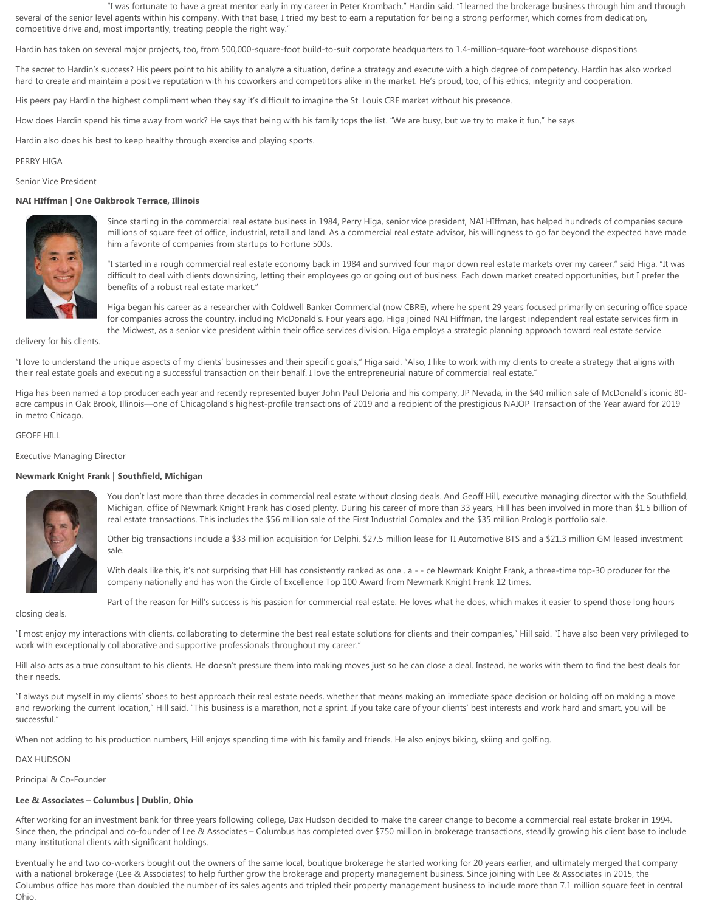"I was fortunate to have a great mentor early in my career in Peter Krombach," Hardin said. "I learned the brokerage business through him and through several of the senior level agents within his company. With that base, I tried my best to earn a reputation for being a strong performer, which comes from dedication, competitive drive and, most importantly, treating people the right way."

Hardin has taken on several major projects, too, from 500,000-square-foot build-to-suit corporate headquarters to 1.4-million-square-foot warehouse dispositions.

The secret to Hardin's success? His peers point to his ability to analyze a situation, define a strategy and execute with a high degree of competency. Hardin has also worked hard to create and maintain a positive reputation with his coworkers and competitors alike in the market. He's proud, too, of his ethics, integrity and cooperation.

His peers pay Hardin the highest compliment when they say it's difficult to imagine the St. Louis CRE market without his presence.

How does Hardin spend his time away from work? He says that being with his family tops the list. "We are busy, but we try to make it fun," he says.

Hardin also does his best to keep healthy through exercise and playing sports.

### PERRY HIGA

Senior Vice President

# **NAI HIffman | One Oakbrook Terrace, Illinois**



Since starting in the commercial real estate business in 1984, Perry Higa, senior vice president, NAI HIffman, has helped hundreds of companies secure millions of square feet of office, industrial, retail and land. As a commercial real estate advisor, his willingness to go far beyond the expected have made him a favorite of companies from startups to Fortune 500s.

"I started in a rough commercial real estate economy back in 1984 and survived four major down real estate markets over my career," said Higa. "It was difficult to deal with clients downsizing, letting their employees go or going out of business. Each down market created opportunities, but I prefer the benefits of a robust real estate market."

Higa began his career as a researcher with Coldwell Banker Commercial (now CBRE), where he spent 29 years focused primarily on securing office space for companies across the country, including McDonald's. Four years ago, Higa joined NAI Hiffman, the largest independent real estate services firm in the Midwest, as a senior vice president within their office services division. Higa employs a strategic planning approach toward real estate service

delivery for his clients.

"I love to understand the unique aspects of my clients' businesses and their specific goals," Higa said. "Also, I like to work with my clients to create a strategy that aligns with their real estate goals and executing a successful transaction on their behalf. I love the entrepreneurial nature of commercial real estate."

Higa has been named a top producer each year and recently represented buyer John Paul DeJoria and his company, JP Nevada, in the \$40 million sale of McDonald's iconic 80 acre campus in Oak Brook, Illinois—one of Chicagoland's highest-profile transactions of 2019 and a recipient of the prestigious NAIOP Transaction of the Year award for 2019 in metro Chicago.

GEOFF HILL

Executive Managing Director

### **Newmark Knight Frank | Southfield, Michigan**



You don't last more than three decades in commercial real estate without closing deals. And Geoff Hill, executive managing director with the Southfield, Michigan, office of Newmark Knight Frank has closed plenty. During his career of more than 33 years, Hill has been involved in more than \$1.5 billion of real estate transactions. This includes the \$56 million sale of the First Industrial Complex and the \$35 million Prologis portfolio sale.

Other big transactions include a \$33 million acquisition for Delphi, \$27.5 million lease for TI Automotive BTS and a \$21.3 million GM leased investment sale.

With deals like this, it's not surprising that Hill has consistently ranked as one . a - - ce Newmark Knight Frank, a three-time top-30 producer for the company nationally and has won the Circle of Excellence Top 100 Award from Newmark Knight Frank 12 times.

Part of the reason for Hill's success is his passion for commercial real estate. He loves what he does, which makes it easier to spend those long hours

closing deals.

"I most enjoy my interactions with clients, collaborating to determine the best real estate solutions for clients and their companies," Hill said. "I have also been very privileged to

work with exceptionally collaborative and supportive professionals throughout my career."

Hill also acts as a true consultant to his clients. He doesn't pressure them into making moves just so he can close a deal. Instead, he works with them to find the best deals for their needs.

"I always put myself in my clients' shoes to best approach their real estate needs, whether that means making an immediate space decision or holding off on making a move and reworking the current location," Hill said. "This business is a marathon, not a sprint. If you take care of your clients' best interests and work hard and smart, you will be successful."

When not adding to his production numbers, Hill enjoys spending time with his family and friends. He also enjoys biking, skiing and golfing.

#### DAX HUDSON

Principal & Co-Founder

# **Lee & Associates – Columbus | Dublin, Ohio**

After working for an investment bank for three years following college, Dax Hudson decided to make the career change to become a commercial real estate broker in 1994. Since then, the principal and co-founder of Lee & Associates – Columbus has completed over \$750 million in brokerage transactions, steadily growing his client base to include many institutional clients with significant holdings.

Eventually he and two co-workers bought out the owners of the same local, boutique brokerage he started working for 20 years earlier, and ultimately merged that company with a national brokerage (Lee & Associates) to help further grow the brokerage and property management business. Since joining with Lee & Associates in 2015, the Columbus office has more than doubled the number of its sales agents and tripled their property management business to include more than 7.1 million square feet in central Ohio.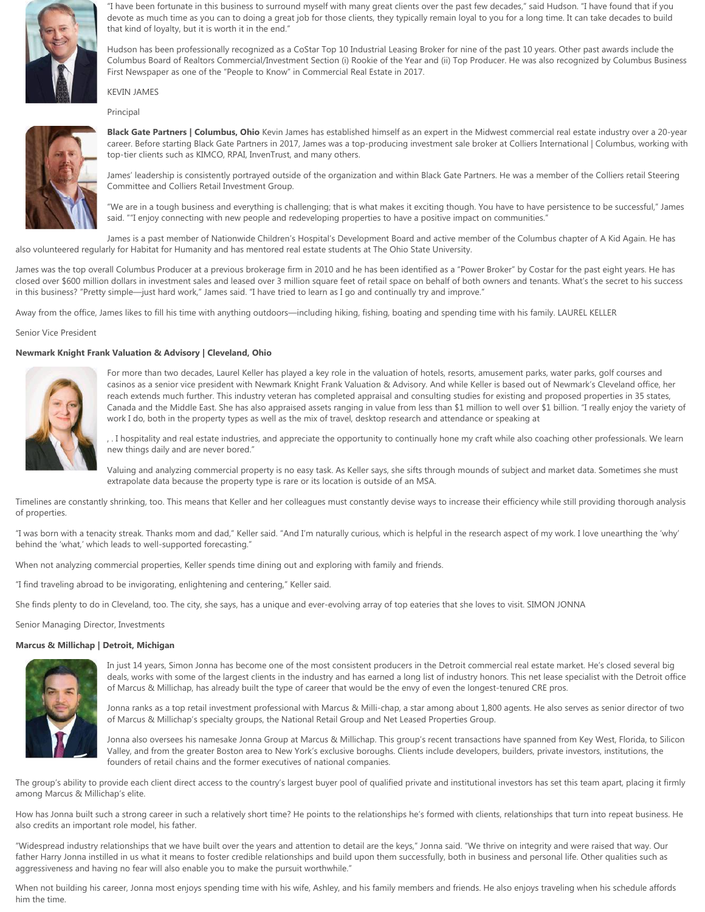

"I have been fortunate in this business to surround myself with many great clients over the past few decades," said Hudson. "I have found that if you devote as much time as you can to doing a great job for those clients, they typically remain loyal to you for a long time. It can take decades to build that kind of loyalty, but it is worth it in the end."

Hudson has been professionally recognized as a CoStar Top 10 Industrial Leasing Broker for nine of the past 10 years. Other past awards include the Columbus Board of Realtors Commercial/Investment Section (i) Rookie of the Year and (ii) Top Producer. He was also recognized by Columbus Business First Newspaper as one of the "People to Know" in Commercial Real Estate in 2017.

# KEVIN JAMES

Principal



**Black Gate Partners | Columbus, Ohio** Kevin James has established himself as an expert in the Midwest commercial real estate industry over a 20-year career. Before starting Black Gate Partners in 2017, James was a top-producing investment sale broker at Colliers International | Columbus, working with top-tier clients such as KIMCO, RPAI, InvenTrust, and many others.

James' leadership is consistently portrayed outside of the organization and within Black Gate Partners. He was a member of the Colliers retail Steering Committee and Colliers Retail Investment Group.

"We are in a tough business and everything is challenging; that is what makes it exciting though. You have to have persistence to be successful," James said. ""I enjoy connecting with new people and redeveloping properties to have a positive impact on communities."

James is a past member of Nationwide Children's Hospital's Development Board and active member of the Columbus chapter of A Kid Again. He has also volunteered regularly for Habitat for Humanity and has mentored real estate students at The Ohio State University.

James was the top overall Columbus Producer at a previous brokerage firm in 2010 and he has been identified as a "Power Broker" by Costar for the past eight years. He has closed over \$600 million dollars in investment sales and leased over 3 million square feet of retail space on behalf of both owners and tenants. What's the secret to his success in this business? "Pretty simple—just hard work," James said. "I have tried to learn as I go and continually try and improve."

Away from the office, James likes to fill his time with anything outdoors—including hiking, fishing, boating and spending time with his family. LAUREL KELLER

Senior Vice President

# **Newmark Knight Frank Valuation & Advisory | Cleveland, Ohio**



For more than two decades, Laurel Keller has played a key role in the valuation of hotels, resorts, amusement parks, water parks, golf courses and casinos as a senior vice president with Newmark Knight Frank Valuation & Advisory. And while Keller is based out of Newmark's Cleveland office, her reach extends much further. This industry veteran has completed appraisal and consulting studies for existing and proposed properties in 35 states, Canada and the Middle East. She has also appraised assets ranging in value from less than \$1 million to well over \$1 billion. "I really enjoy the variety of work I do, both in the property types as well as the mix of travel, desktop research and attendance or speaking at

, . I hospitality and real estate industries, and appreciate the opportunity to continually hone my craft while also coaching other professionals. We learn new things daily and are never bored."

Valuing and analyzing commercial property is no easy task. As Keller says, she sifts through mounds of subject and market data. Sometimes she must extrapolate data because the property type is rare or its location is outside of an MSA.

Timelines are constantly shrinking, too. This means that Keller and her colleagues must constantly devise ways to increase their efficiency while still providing thorough analysis of properties.

"I was born with a tenacity streak. Thanks mom and dad," Keller said. "And I'm naturally curious, which is helpful in the research aspect of my work. I love unearthing the 'why' behind the 'what,' which leads to well-supported forecasting."

When not analyzing commercial properties, Keller spends time dining out and exploring with family and friends.

"I find traveling abroad to be invigorating, enlightening and centering," Keller said.

She finds plenty to do in Cleveland, too. The city, she says, has a unique and ever-evolving array of top eateries that she loves to visit. SIMON JONNA

Senior Managing Director, Investments

### **Marcus & Millichap | Detroit, Michigan**



In just 14 years, Simon Jonna has become one of the most consistent producers in the Detroit commercial real estate market. He's closed several big deals, works with some of the largest clients in the industry and has earned a long list of industry honors. This net lease specialist with the Detroit office of Marcus & Millichap, has already built the type of career that would be the envy of even the longest-tenured CRE pros.

Jonna ranks as a top retail investment professional with Marcus & Milli-chap, a star among about 1,800 agents. He also serves as senior director of two of Marcus & Millichap's specialty groups, the National Retail Group and Net Leased Properties Group.

Jonna also oversees his namesake Jonna Group at Marcus & Millichap. This group's recent transactions have spanned from Key West, Florida, to Silicon Valley, and from the greater Boston area to New York's exclusive boroughs. Clients include developers, builders, private investors, institutions, the founders of retail chains and the former executives of national companies.

The group's ability to provide each client direct access to the country's largest buyer pool of qualified private and institutional investors has set this team apart, placing it firmly among Marcus & Millichap's elite.

How has Jonna built such a strong career in such a relatively short time? He points to the relationships he's formed with clients, relationships that turn into repeat business. He also credits an important role model, his father.

"Widespread industry relationships that we have built over the years and attention to detail are the keys," Jonna said. "We thrive on integrity and were raised that way. Our father Harry Jonna instilled in us what it means to foster credible relationships and build upon them successfully, both in business and personal life. Other qualities such as aggressiveness and having no fear will also enable you to make the pursuit worthwhile."

When not building his career, Jonna most enjoys spending time with his wife, Ashley, and his family members and friends. He also enjoys traveling when his schedule affords him the time.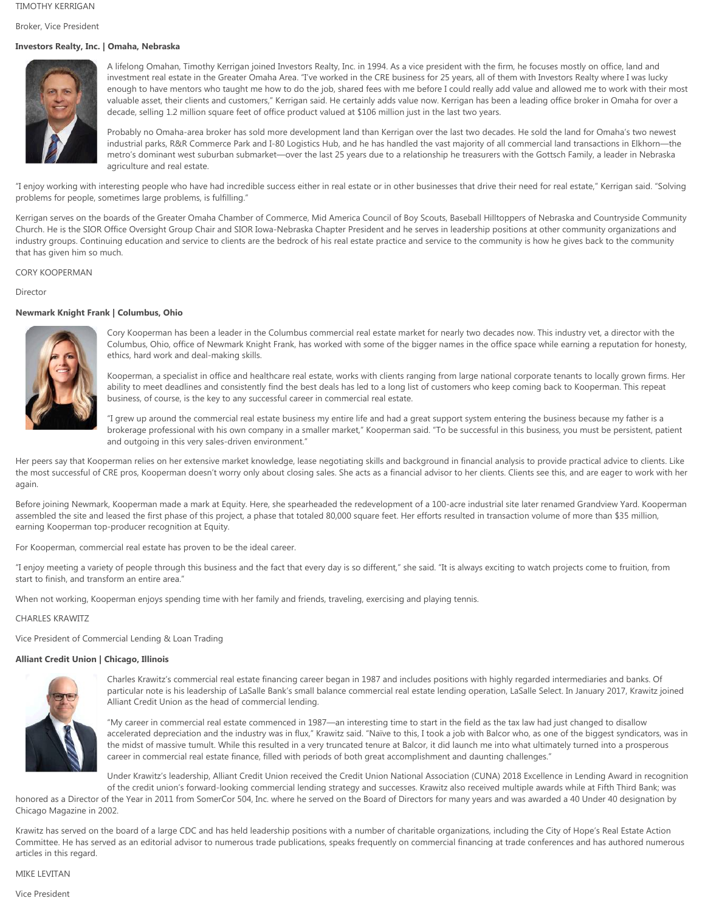# TIMOTHY KERRIGAN

Broker, Vice President

# **Investors Realty, Inc. | Omaha, Nebraska**



A lifelong Omahan, Timothy Kerrigan joined Investors Realty, Inc. in 1994. As a vice president with the firm, he focuses mostly on office, land and investment real estate in the Greater Omaha Area. "I've worked in the CRE business for 25 years, all of them with Investors Realty where I was lucky enough to have mentors who taught me how to do the job, shared fees with me before I could really add value and allowed me to work with their most valuable asset, their clients and customers," Kerrigan said. He certainly adds value now. Kerrigan has been a leading office broker in Omaha for over a decade, selling 1.2 million square feet of office product valued at \$106 million just in the last two years.

Probably no Omaha-area broker has sold more development land than Kerrigan over the last two decades. He sold the land for Omaha's two newest industrial parks, R&R Commerce Park and I-80 Logistics Hub, and he has handled the vast majority of all commercial land transactions in Elkhorn—the metro's dominant west suburban submarket—over the last 25 years due to a relationship he treasurers with the Gottsch Family, a leader in Nebraska agriculture and real estate.

"I enjoy working with interesting people who have had incredible success either in real estate or in other businesses that drive their need for real estate," Kerrigan said. "Solving problems for people, sometimes large problems, is fulfilling."

Kerrigan serves on the boards of the Greater Omaha Chamber of Commerce, Mid America Council of Boy Scouts, Baseball Hilltoppers of Nebraska and Countryside Community Church. He is the SIOR Office Oversight Group Chair and SIOR Iowa-Nebraska Chapter President and he serves in leadership positions at other community organizations and industry groups. Continuing education and service to clients are the bedrock of his real estate practice and service to the community is how he gives back to the community that has given him so much.

### CORY KOOPERMAN

### Director

# **Newmark Knight Frank | Columbus, Ohio**



Cory Kooperman has been a leader in the Columbus commercial real estate market for nearly two decades now. This industry vet, a director with the Columbus, Ohio, office of Newmark Knight Frank, has worked with some of the bigger names in the office space while earning a reputation for honesty, ethics, hard work and deal-making skills.

Kooperman, a specialist in office and healthcare real estate, works with clients ranging from large national corporate tenants to locally grown firms. Her ability to meet deadlines and consistently find the best deals has led to a long list of customers who keep coming back to Kooperman. This repeat business, of course, is the key to any successful career in commercial real estate.

"I grew up around the commercial real estate business my entire life and had a great support system entering the business because my father is a brokerage professional with his own company in a smaller market," Kooperman said. "To be successful in this business, you must be persistent, patient and outgoing in this very sales-driven environment."

Her peers say that Kooperman relies on her extensive market knowledge, lease negotiating skills and background in financial analysis to provide practical advice to clients. Like the most successful of CRE pros, Kooperman doesn't worry only about closing sales. She acts as a financial advisor to her clients. Clients see this, and are eager to work with her again.

Before joining Newmark, Kooperman made a mark at Equity. Here, she spearheaded the redevelopment of a 100-acre industrial site later renamed Grandview Yard. Kooperman assembled the site and leased the first phase of this project, a phase that totaled 80,000 square feet. Her efforts resulted in transaction volume of more than \$35 million, earning Kooperman top-producer recognition at Equity.

For Kooperman, commercial real estate has proven to be the ideal career.

"I enjoy meeting a variety of people through this business and the fact that every day is so different," she said. "It is always exciting to watch projects come to fruition, from start to finish, and transform an entire area."

When not working, Kooperman enjoys spending time with her family and friends, traveling, exercising and playing tennis.

### CHARLES KRAWITZ

Vice President of Commercial Lending & Loan Trading

### **Alliant Credit Union | Chicago, Illinois**



Charles Krawitz's commercial real estate financing career began in 1987 and includes positions with highly regarded intermediaries and banks. Of particular note is his leadership of LaSalle Bank's small balance commercial real estate lending operation, LaSalle Select. In January 2017, Krawitz joined Alliant Credit Union as the head of commercial lending.

"My career in commercial real estate commenced in 1987—an interesting time to start in the field as the tax law had just changed to disallow accelerated depreciation and the industry was in flux," Krawitz said. "Naïve to this, I took a job with Balcor who, as one of the biggest syndicators, was in the midst of massive tumult. While this resulted in a very truncated tenure at Balcor, it did launch me into what ultimately turned into a prosperous career in commercial real estate finance, filled with periods of both great accomplishment and daunting challenges."

Under Krawitz's leadership, Alliant Credit Union received the Credit Union National Association (CUNA) 2018 Excellence in Lending Award in recognition

of the credit union's forward-looking commercial lending strategy and successes. Krawitz also received multiple awards while at Fifth Third Bank; was honored as a Director of the Year in 2011 from SomerCor 504, Inc. where he served on the Board of Directors for many years and was awarded a 40 Under 40 designation by Chicago Magazine in 2002.

Krawitz has served on the board of a large CDC and has held leadership positions with a number of charitable organizations, including the City of Hope's Real Estate Action Committee. He has served as an editorial advisor to numerous trade publications, speaks frequently on commercial financing at trade conferences and has authored numerous articles in this regard.

# MIKE LEVITAN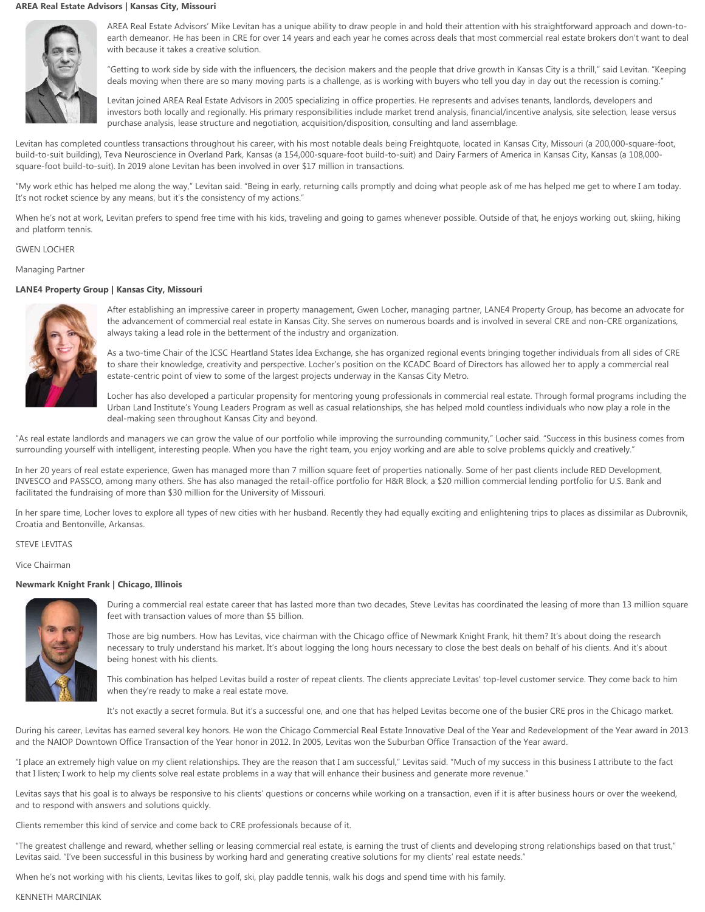# **AREA Real Estate Advisors | Kansas City, Missouri**



AREA Real Estate Advisors' Mike Levitan has a unique ability to draw people in and hold their attention with his straightforward approach and down-toearth demeanor. He has been in CRE for over 14 years and each year he comes across deals that most commercial real estate brokers don't want to deal with because it takes a creative solution.

"Getting to work side by side with the influencers, the decision makers and the people that drive growth in Kansas City is a thrill," said Levitan. "Keeping deals moving when there are so many moving parts is a challenge, as is working with buyers who tell you day in day out the recession is coming."

Levitan joined AREA Real Estate Advisors in 2005 specializing in office properties. He represents and advises tenants, landlords, developers and investors both locally and regionally. His primary responsibilities include market trend analysis, financial/incentive analysis, site selection, lease versus purchase analysis, lease structure and negotiation, acquisition/disposition, consulting and land assemblage.

Levitan has completed countless transactions throughout his career, with his most notable deals being Freightquote, located in Kansas City, Missouri (a 200,000-square-foot, build-to-suit building), Teva Neuroscience in Overland Park, Kansas (a 154,000-square-foot build-to-suit) and Dairy Farmers of America in Kansas City, Kansas (a 108,000square-foot build-to-suit). In 2019 alone Levitan has been involved in over \$17 million in transactions.

"My work ethic has helped me along the way," Levitan said. "Being in early, returning calls promptly and doing what people ask of me has helped me get to where I am today. It's not rocket science by any means, but it's the consistency of my actions."

When he's not at work, Levitan prefers to spend free time with his kids, traveling and going to games whenever possible. Outside of that, he enjoys working out, skiing, hiking and platform tennis.

### GWEN LOCHER

Managing Partner

# **LANE4 Property Group | Kansas City, Missouri**



After establishing an impressive career in property management, Gwen Locher, managing partner, LANE4 Property Group, has become an advocate for the advancement of commercial real estate in Kansas City. She serves on numerous boards and is involved in several CRE and non-CRE organizations, always taking a lead role in the betterment of the industry and organization.

As a two-time Chair of the ICSC Heartland States Idea Exchange, she has organized regional events bringing together individuals from all sides of CRE to share their knowledge, creativity and perspective. Locher's position on the KCADC Board of Directors has allowed her to apply a commercial real estate-centric point of view to some of the largest projects underway in the Kansas City Metro.

Locher has also developed a particular propensity for mentoring young professionals in commercial real estate. Through formal programs including the Urban Land Institute's Young Leaders Program as well as casual relationships, she has helped mold countless individuals who now play a role in the deal-making seen throughout Kansas City and beyond.

"As real estate landlords and managers we can grow the value of our portfolio while improving the surrounding community," Locher said. "Success in this business comes from surrounding yourself with intelligent, interesting people. When you have the right team, you enjoy working and are able to solve problems quickly and creatively."

In her 20 years of real estate experience, Gwen has managed more than 7 million square feet of properties nationally. Some of her past clients include RED Development, INVESCO and PASSCO, among many others. She has also managed the retail-office portfolio for H&R Block, a \$20 million commercial lending portfolio for U.S. Bank and facilitated the fundraising of more than \$30 million for the University of Missouri.

In her spare time, Locher loves to explore all types of new cities with her husband. Recently they had equally exciting and enlightening trips to places as dissimilar as Dubrovnik, Croatia and Bentonville, Arkansas.

# STEVE LEVITAS

Vice Chairman

# **Newmark Knight Frank | Chicago, Illinois**



During a commercial real estate career that has lasted more than two decades, Steve Levitas has coordinated the leasing of more than 13 million square feet with transaction values of more than \$5 billion.

Those are big numbers. How has Levitas, vice chairman with the Chicago office of Newmark Knight Frank, hit them? It's about doing the research necessary to truly understand his market. It's about logging the long hours necessary to close the best deals on behalf of his clients. And it's about being honest with his clients.

This combination has helped Levitas build a roster of repeat clients. The clients appreciate Levitas' top-level customer service. They come back to him when they're ready to make a real estate move.

It's not exactly a secret formula. But it's a successful one, and one that has helped Levitas become one of the busier CRE pros in the Chicago market.

During his career, Levitas has earned several key honors. He won the Chicago Commercial Real Estate Innovative Deal of the Year and Redevelopment of the Year award in 2013 and the NAIOP Downtown Office Transaction of the Year honor in 2012. In 2005, Levitas won the Suburban Office Transaction of the Year award.

"I place an extremely high value on my client relationships. They are the reason that I am successful," Levitas said. "Much of my success in this business I attribute to the fact that I listen; I work to help my clients solve real estate problems in a way that will enhance their business and generate more revenue."

Levitas says that his goal is to always be responsive to his clients' questions or concerns while working on a transaction, even if it is after business hours or over the weekend, and to respond with answers and solutions quickly.

Clients remember this kind of service and come back to CRE professionals because of it.

"The greatest challenge and reward, whether selling or leasing commercial real estate, is earning the trust of clients and developing strong relationships based on that trust," Levitas said. "I've been successful in this business by working hard and generating creative solutions for my clients' real estate needs."

When he's not working with his clients, Levitas likes to golf, ski, play paddle tennis, walk his dogs and spend time with his family.

#### KENNETH MARCINIAK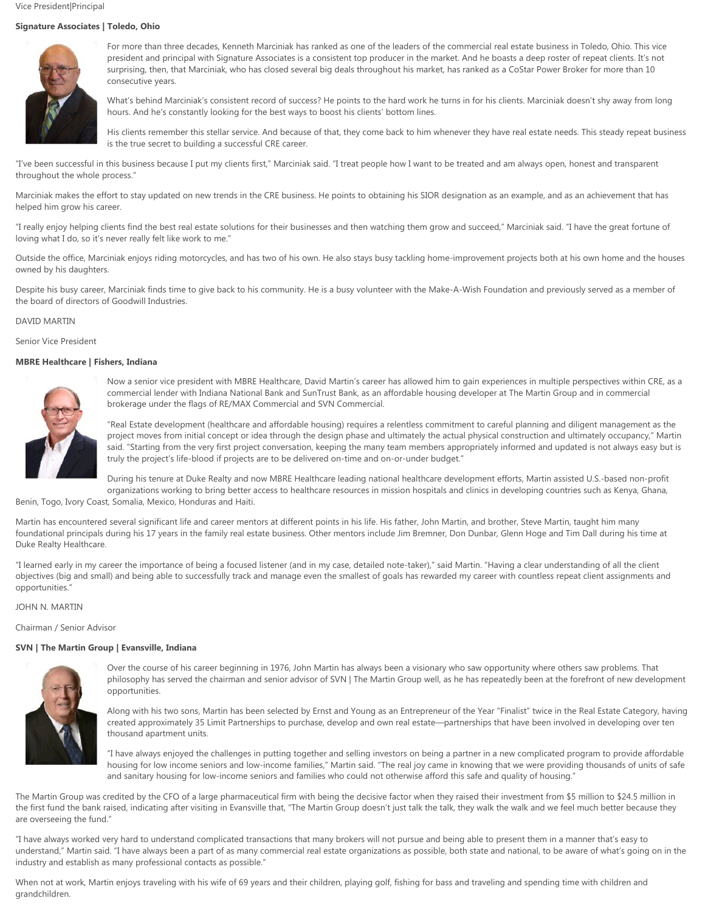# **Signature Associates | Toledo, Ohio**



For more than three decades, Kenneth Marciniak has ranked as one of the leaders of the commercial real estate business in Toledo, Ohio. This vice president and principal with Signature Associates is a consistent top producer in the market. And he boasts a deep roster of repeat clients. It's not surprising, then, that Marciniak, who has closed several big deals throughout his market, has ranked as a CoStar Power Broker for more than 10 consecutive years.

What's behind Marciniak's consistent record of success? He points to the hard work he turns in for his clients. Marciniak doesn't shy away from long hours. And he's constantly looking for the best ways to boost his clients' bottom lines.

His clients remember this stellar service. And because of that, they come back to him whenever they have real estate needs. This steady repeat business is the true secret to building a successful CRE career.

"I've been successful in this business because I put my clients first," Marciniak said. "I treat people how Iwant to be treated and am always open, honest and transparent throughout the whole process."

Marciniak makes the effort to stay updated on new trends in the CRE business. He points to obtaining his SIOR designation as an example, and as an achievement that has helped him grow his career.

"I really enjoy helping clients find the best real estate solutions for their businesses and then watching them grow and succeed," Marciniak said. "I have the great fortune of loving what I do, so it's never really felt like work to me."

Outside the office, Marciniak enjoys riding motorcycles, and has two of his own. He also stays busy tackling home-improvement projects both at his own home and the houses owned by his daughters.

Despite his busy career, Marciniak finds time to give back to his community. He is a busy volunteer with the Make-A-Wish Foundation and previously served as a member of the board of directors of Goodwill Industries.

### DAVID MARTIN

Senior Vice President

# **MBRE Healthcare | Fishers, Indiana**



Now a senior vice president with MBRE Healthcare, David Martin's career has allowed him to gain experiences in multiple perspectives within CRE, as a commercial lender with Indiana National Bank and SunTrust Bank, as an affordable housing developer at The Martin Group and in commercial brokerage under the flags of RE/MAX Commercial and SVN Commercial.

"Real Estate development (healthcare and affordable housing) requires a relentless commitment to careful planning and diligent management as the project moves from initial concept or idea through the design phase and ultimately the actual physical construction and ultimately occupancy," Martin said. "Starting from the very first project conversation, keeping the many team members appropriately informed and updated is not always easy but is truly the project's life-blood if projects are to be delivered on-time and on-or-under budget."

During his tenure at Duke Realty and now MBRE Healthcare leading national healthcare development efforts, Martin assisted U.S.-based non-profit organizations working to bring better access to healthcare resources in mission hospitals and clinics in developing countries such as Kenya, Ghana,

Benin, Togo, Ivory Coast, Somalia, Mexico, Honduras and Haiti.

Martin has encountered several significant life and career mentors at different points in his life. His father, John Martin, and brother, Steve Martin, taught him many foundational principals during his 17 years in the family real estate business. Other mentors include Jim Bremner, Don Dunbar, Glenn Hoge and Tim Dall during his time at Duke Realty Healthcare.

"I learned early in my career the importance of being a focused listener (and in my case, detailed note-taker)," said Martin. "Having a clear understanding of all the client objectives (big and small) and being able to successfully track and manage even the smallest of goals has rewarded my career with countless repeat client assignments and opportunities."

### JOHN N. MARTIN

Chairman / Senior Advisor

# **SVN |The Martin Group | Evansville, Indiana**



Over the course of his career beginning in 1976, John Martin has always been a visionary who saw opportunity where others saw problems. That philosophy has served the chairman and senior advisor of SVN | The Martin Group well, as he has repeatedly been at the forefront of new development opportunities.

Along with his two sons, Martin has been selected by Ernst and Young as an Entrepreneur of the Year "Finalist" twice in the Real Estate Category, having created approximately 35 Limit Partnerships to purchase, develop and own real estate—partnerships that have been involved in developing over ten thousand apartment units.

"I have always enjoyed the challenges in putting together and selling investors on being a partner in a new complicated program to provide affordable housing for low income seniors and low-income families," Martin said. "The real joy came in knowing that we were providing thousands of units of safe and sanitary housing for low-income seniors and families who could not otherwise afford this safe and quality of housing."

The Martin Group was credited by the CFO of a large pharmaceutical firm with being the decisive factor when they raised their investment from \$5 million to \$24.5 million in the first fund the bank raised, indicating after visiting in Evansville that, "The Martin Group doesn't just talk the talk, they walk the walk and we feel much better because they are overseeing the fund."

"I have always worked very hard to understand complicated transactions that many brokers will not pursue and being able to present them in a manner that's easy to understand," Martin said. "I have always been a part of as many commercial real estate organizations as possible, both state and national, to be aware of what's going on in the industry and establish as many professional contacts as possible."

When not at work, Martin enjoys traveling with his wife of 69 years and their children, playing golf, fishing for bass and traveling and spending time with children and grandchildren.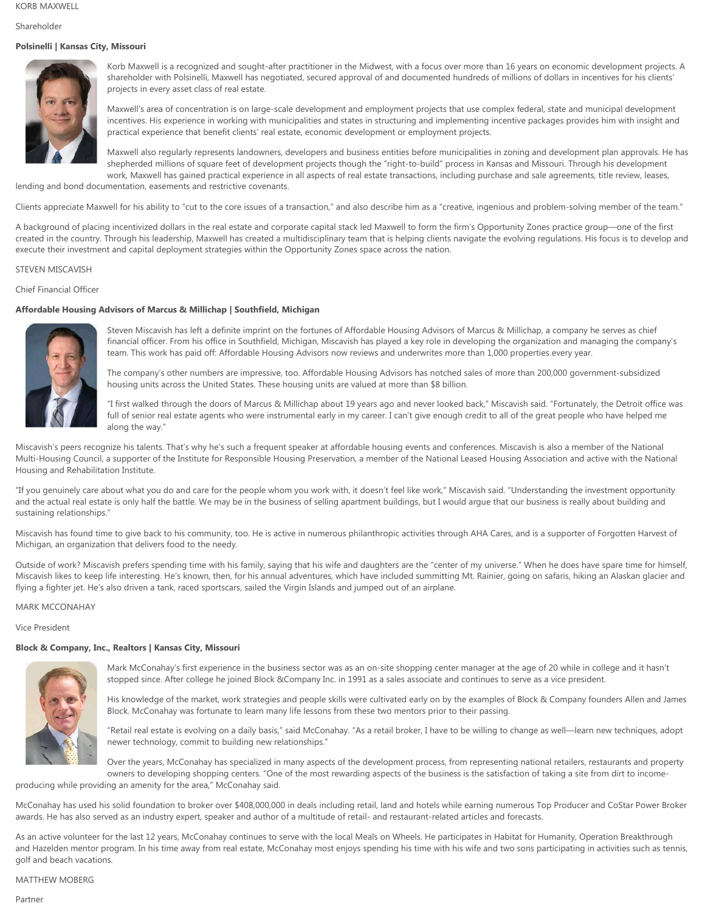KORB MAXWELL

Shareholder

# **Polsinelli | Kansas City, Missouri**



Korb Maxwell is a recognized and sought-after practitioner in the Midwest, with a focus over more than 16 years on economic development projects. A shareholder with Polsinelli, Maxwell has negotiated, secured approval of and documented hundreds of millions of dollars in incentives for his clients' projects in every asset class of real estate.

Maxwell's area of concentration is on large-scale development and employment projects that use complex federal, state and municipal development incentives. His experience in working with municipalities and states in structuring and implementing incentive packages provides him with insight and practical experience that benefit clients' real estate, economic development or employment projects.

Maxwell also regularly represents landowners, developers and business entities before municipalities in zoning and development plan approvals. He has shepherded millions of square feet of development projects though the "right-to-build" process in Kansas and Missouri. Through his development work, Maxwell has gained practical experience in all aspects of real estate transactions, including purchase and sale agreements, title review, leases,

lending and bond documentation, easements and restrictive covenants.

Clients appreciate Maxwell for his ability to "cut to the core issues of a transaction," and also describe him as a "creative, ingenious and problem-solving member of the team."

A background of placing incentivized dollars in the real estate and corporate capital stack led Maxwell to form the firm's Opportunity Zones practice group—one of the first created in the country. Through his leadership, Maxwell has created a multidisciplinary team that is helping clients navigate the evolving regulations. His focus is to develop and execute their investment and capital deployment strategies within the Opportunity Zones space across the nation.

# STEVEN MISCAVISH

# Chief Financial Officer

# **Affordable Housing Advisors of Marcus & Millichap | Southfield, Michigan**



Steven Miscavish has left a definite imprint on the fortunes of Affordable Housing Advisors of Marcus & Millichap, a company he serves as chief financial officer. From his office in Southfield, Michigan, Miscavish has played a key role in developing the organization and managing the company's team. This work has paid off: Affordable Housing Advisors now reviews and underwrites more than 1,000 properties every year.

The company's other numbers are impressive, too. Affordable Housing Advisors has notched sales of more than 200,000 government-subsidized housing units across the United States. These housing units are valued at more than \$8 billion.

"I first walked through the doors of Marcus & Millichap about 19 years ago and never looked back," Miscavish said. "Fortunately, the Detroit office was full of senior real estate agents who were instrumental early in my career. I can't give enough credit to all of the great people who have helped me along the way."

Miscavish's peers recognize his talents. That's why he's such a frequent speaker at affordable housing events and conferences. Miscavish is also a member of the National Multi-Housing Council, a supporter of the Institute for Responsible Housing Preservation, a member of the National Leased Housing Association and active with the National Housing and Rehabilitation Institute.

"If you genuinely care about what you do and care for the people whom you work with, it doesn't feel like work," Miscavish said. "Understanding the investment opportunity and the actual real estate is only half the battle. We may be in the business of selling apartment buildings, but I would argue that our business is really about building and sustaining relationships."

Miscavish has found time to give back to his community, too. He is active in numerous philanthropic activities through AHA Cares, and is a supporter of Forgotten Harvest of Michigan, an organization that delivers food to the needy.

Outside of work? Miscavish prefers spending time with his family, saying that his wife and daughters are the "center of my universe." When he does have spare time for himself, Miscavish likes to keep life interesting. He's known, then, for his annual adventures, which have included summitting Mt. Rainier, going on safaris, hiking an Alaskan glacier and flying a fighter jet. He's also driven a tank, raced sportscars, sailed the Virgin Islands and jumped out of an airplane.

### MARK MCCONAHAY

Vice President

# **Block & Company, Inc., Realtors | Kansas City, Missouri**



Mark McConahay's first experience in the business sector was as an on-site shopping center manager at the age of 20 while in college and it hasn't stopped since. After college he joined Block &Company Inc. in 1991 as a sales associate and continues to serve as a vice president.

His knowledge of the market, work strategies and people skills were cultivated early on by the examples of Block & Company founders Allen and James Block. McConahay was fortunate to learn many life lessons from these two mentors prior to their passing.

"Retail real estate is evolving on a daily basis," said McConahay. "As a retail broker, I have to be willing to change as well—learn new techniques, adopt newer technology, commit to building new relationships."

Over the years, McConahay has specialized in many aspects of the development process, from representing national retailers, restaurants and property owners to developing shopping centers. "One of the most rewarding aspects of the business is the satisfaction of taking a site from dirt to income-

producing while providing an amenity for the area," McConahay said.

McConahay has used his solid foundation to broker over \$408,000,000 in deals including retail, land and hotels while earning numerous Top Producer and CoStar Power Broker awards. He has also served as an industry expert, speaker and author of a multitude of retail- and restaurant-related articles and forecasts.

As an active volunteer for the last 12 years, McConahay continues to serve with the local Meals on Wheels. He participates in Habitat for Humanity, Operation Breakthrough and Hazelden mentor program. In his time away from real estate, McConahay most enjoys spending his time with his wife and two sons participating in activities such as tennis, golf and beach vacations.

# MATTHEW MOBERG

Partner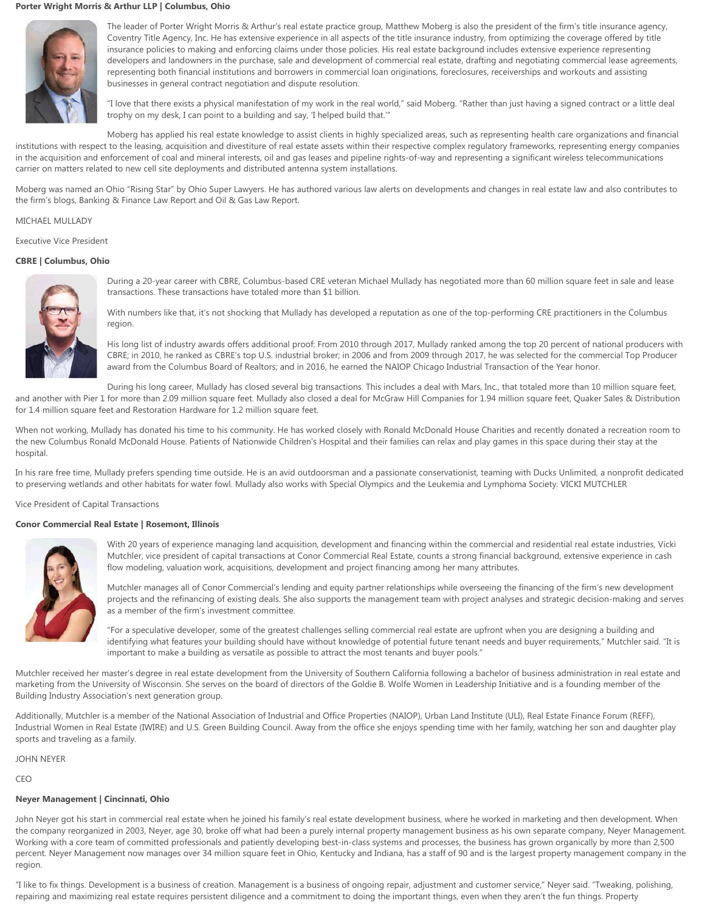# **Porter Wright Morris & Arthur LLP | Columbus, Ohio**



The leader of Porter Wright Morris & Arthur's real estate practice group, Matthew Moberg is also the president of the firm's title insurance agency, Coventry Title Agency, Inc. He has extensive experience in all aspects of the title insurance industry, from optimizing the coverage offered by title insurance policies to making and enforcing claims under those policies. His real estate background includes extensive experience representing developers and landowners in the purchase, sale and development of commercial real estate, drafting and negotiating commercial lease agreements, representing both financial institutions and borrowers in commercial loan originations, foreclosures, receiverships and workouts and assisting businesses in general contract negotiation and dispute resolution.

"I love that there exists a physical manifestation of my work in the real world," said Moberg. "Rather than just having a signed contract or a little deal trophy on my desk, I can point to a building and say, 'I helped build that.'"

Moberg has applied his real estate knowledge to assist clients in highly specialized areas, such as representing health care organizations and financial institutions with respect to the leasing, acquisition and divestiture of real estate assets within their respective complex regulatory frameworks, representing energy companies in the acquisition and enforcement of coal and mineral interests, oil and gas leases and pipeline rights-of-way and representing a significant wireless telecommunications carrier on matters related to new cell site deployments and distributed antenna system installations.

Moberg was named an Ohio "Rising Star" by Ohio Super Lawyers. He has authored various law alerts on developments and changes in real estate law and also contributes to the firm's blogs, Banking & Finance Law Report and Oil & Gas Law Report.

### MICHAEL MULLADY

Executive Vice President

### **CBRE | Columbus, Ohio**



During a 20-year career with CBRE, Columbus-based CRE veteran Michael Mullady has negotiated more than 60 million square feet in sale and lease transactions. These transactions have totaled more than \$1 billion.

With numbers like that, it's not shocking that Mullady has developed a reputation as one of the top-performing CRE practitioners in the Columbus region.

His long list of industry awards offers additional proof: From 2010 through 2017, Mullady ranked among the top 20 percent of national producers with CBRE; in 2010, he ranked as CBRE's top U.S. industrial broker; in 2006 and from 2009 through 2017, he was selected for the commercial Top Producer award from the Columbus Board of Realtors; and in 2016, he earned the NAIOP Chicago Industrial Transaction of the Year honor.

During his long career, Mullady has closed several big transactions. This includes a deal with Mars, Inc., that totaled more than 10 million square feet, and another with Pier 1 for more than 2.09 million square feet. Mullady also closed a deal for McGraw Hill Companies for 1.94 million square feet, Quaker Sales & Distribution

for 1.4 million square feet and Restoration Hardware for 1.2 million square feet.

When not working, Mullady has donated his time to his community. He has worked closely with Ronald McDonald House Charities and recently donated a recreation room to the new Columbus Ronald McDonald House. Patients of Nationwide Children's Hospital and their families can relax and play games in this space during their stay at the hospital.

In his rare free time, Mullady prefers spending time outside. He is an avid outdoorsman and a passionate conservationist, teaming with Ducks Unlimited, a nonprofit dedicated to preserving wetlands and other habitats for water fowl. Mullady also works with Special Olympics and the Leukemia and Lymphoma Society. VICKI MUTCHLER

Vice President of Capital Transactions

#### **Conor Commercial Real Estate | Rosemont, Illinois**



With 20 years of experience managing land acquisition, development and financing within the commercial and residential real estate industries, Vicki Mutchler, vice president of capital transactions at Conor Commercial Real Estate, counts a strong financial background, extensive experience in cash flow modeling, valuation work, acquisitions, development and project financing among her many attributes.

Mutchler manages all of Conor Commercial's lending and equity partner relationships while overseeing the financing of the firm's new development projects and the refinancing of existing deals. She also supports the management team with project analyses and strategic decision-making and serves as a member of the firm's investment committee.

"For a speculative developer, some of the greatest challenges selling commercial real estate are upfront when you are designing a building and identifying what features your building should have without knowledge of potential future tenant needs and buyer requirements," Mutchler said. "It is important to make a building as versatile as possible to attract the most tenants and buyer pools."

Mutchler received her master's degree in real estate development from the University of Southern California following a bachelor of business administration in real estate and marketing from the University of Wisconsin. She serves on the board of directors of the Goldie B. Wolfe Women in Leadership Initiative and is a founding member of the Building Industry Association's next generation group.

Additionally, Mutchler is a member of the National Association of Industrial and Office Properties (NAIOP), Urban Land Institute (ULI), Real Estate Finance Forum (REFF), Industrial Women in Real Estate (IWIRE) and U.S. Green Building Council. Away from the office she enjoys spending time with her family, watching her son and daughter play sports and traveling as a family.

JOHN NEYER

CEO

# **Neyer Management | Cincinnati, Ohio**

John Neyer got his start in commercial real estate when he joined his family's real estate development business, where he worked in marketing and then development. When the company reorganized in 2003, Neyer, age 30, broke off what had been a purely internal property management business as his own separate company, Neyer Management. Working with a core team of committed professionals and patiently developing best-in-class systems and processes, the business has grown organically by more than 2,500 percent. Neyer Management now manages over 34 million square feet in Ohio, Kentucky and Indiana, has a staff of 90 and is the largest property management company in the region.

"I like to fix things. Development is a business of creation. Management is a business of ongoing repair, adjustment and customer service," Neyer said. "Tweaking, polishing, repairing and maximizing real estate requires persistent diligence and a commitment to doing the important things, even when they aren't the fun things. Property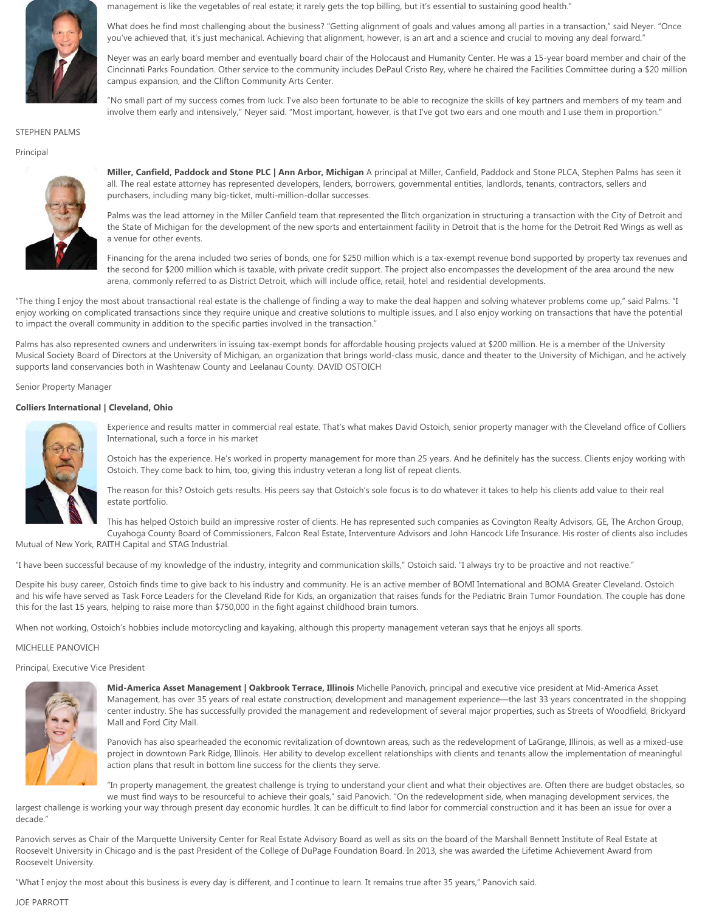

management is like the vegetables of real estate; it rarely gets the top billing, but it's essential to sustaining good health."

What does he find most challenging about the business? "Getting alignment of goals and values among all parties in a transaction," said Neyer. "Once you've achieved that, it's just mechanical. Achieving that alignment, however, is an art and a science and crucial to moving any deal forward."

Neyer was an early board member and eventually board chair of the Holocaust and Humanity Center. He was a 15-year board member and chair of the Cincinnati Parks Foundation. Other service to the community includes DePaul Cristo Rey, where he chaired the Facilities Committee during a \$20 million campus expansion, and the Clifton Community Arts Center.

"No small part of my success comes from luck. I've also been fortunate to be able to recognize the skills of key partners and members of my team and involve them early and intensively," Neyer said. "Most important, however, is that I've got two ears and one mouth and I use them in proportion."

#### STEPHEN PALMS

### Principal



**Miller, Canfield, Paddock and Stone PLC | Ann Arbor, Michigan** A principal at Miller, Canfield, Paddock and Stone PLCA, Stephen Palms has seen it all. The real estate attorney has represented developers, lenders, borrowers, governmental entities, landlords, tenants, contractors, sellers and purchasers, including many big-ticket, multi-million-dollar successes.

Palms was the lead attorney in the Miller Canfield team that represented the Ilitch organization in structuring a transaction with the City of Detroit and the State of Michigan for the development of the new sports and entertainment facility in Detroit that is the home for the Detroit Red Wings as well as a venue for other events.

Financing for the arena included two series of bonds, one for \$250 million which is a tax-exempt revenue bond supported by property tax revenues and the second for \$200 million which is taxable, with private credit support. The project also encompasses the development of the area around the new arena, commonly referred to as District Detroit, which will include office, retail, hotel and residential developments.

"The thing I enjoy the most about transactional real estate is the challenge of finding a way to make the deal happen and solving whatever problems come up," said Palms. "I enjoy working on complicated transactions since they require unique and creative solutions to multiple issues, and I also enjoy working on transactions that have the potential to impact the overall community in addition to the specific parties involved in the transaction."

Palms has also represented owners and underwriters in issuing tax-exempt bonds for affordable housing projects valued at \$200 million. He is a member of the University Musical Society Board of Directors at the University of Michigan, an organization that brings world-class music, dance and theater to the University of Michigan, and he actively supports land conservancies both in Washtenaw County and Leelanau County. DAVID OSTOICH

Senior Property Manager

### **Colliers International | Cleveland, Ohio**



Experience and results matter in commercial real estate. That's what makes David Ostoich, senior property manager with the Cleveland office of Colliers International, such a force in his market

Ostoich has the experience. He's worked in property management for more than 25 years. And he definitely has the success. Clients enjoy working with Ostoich. They come back to him, too, giving this industry veteran a long list of repeat clients.

The reason for this? Ostoich gets results. His peers say that Ostoich's sole focus is to do whatever it takes to help his clients add value to their real estate portfolio.

This has helped Ostoich build an impressive roster of clients. He has represented such companies as Covington Realty Advisors, GE, The Archon Group, Cuyahoga County Board of Commissioners, Falcon Real Estate, Interventure Advisors and John Hancock Life Insurance. His roster of clients also includes

Mutual of New York, RAITH Capital and STAG Industrial.

"I have been successful because of my knowledge of the industry, integrity and communication skills," Ostoich said. "I always try to be proactive and not reactive."

Despite his busy career, Ostoich finds time to give back to his industry and community. He is an active member of BOMI International and BOMA Greater Cleveland. Ostoich and his wife have served as Task Force Leaders for the Cleveland Ride for Kids, an organization that raises funds for the Pediatric Brain Tumor Foundation. The couple has done this for the last 15 years, helping to raise more than \$750,000 in the fight against childhood brain tumors.

When not working, Ostoich's hobbies include motorcycling and kayaking, although this property management veteran says that he enjoys all sports.

### MICHELLE PANOVICH

Principal, Executive Vice President



**Mid-America Asset Management | Oakbrook Terrace, Illinois** Michelle Panovich, principal and executive vice president at Mid-America Asset Management, has over 35 years of real estate construction, development and management experience—the last 33 years concentrated in the shopping center industry. She has successfully provided the management and redevelopment of several major properties, such as Streets of Woodfield, Brickyard Mall and Ford City Mall.

Panovich has also spearheaded the economic revitalization of downtown areas, such as the redevelopment of LaGrange, Illinois, as well as a mixed-use project in downtown Park Ridge, Illinois. Her ability to develop excellent relationships with clients and tenants allow the implementation of meaningful action plans that result in bottom line success for the clients they serve.

"In property management, the greatest challenge is trying to understand your client and what their objectives are. Often there are budget obstacles, so we must find ways to be resourceful to achieve their goals," said Panovich. "On the redevelopment side, when managing development services, the

largest challenge is working your way through present day economic hurdles. It can be difficult to find labor for commercial construction and it has been an issue for over a decade."

Panovich serves as Chair of the Marquette University Center for Real Estate Advisory Board as well as sits on the board of the Marshall Bennett Institute of Real Estate at Roosevelt University in Chicago and is the past President of the College of DuPage Foundation Board. In 2013, she was awarded the Lifetime Achievement Award from Roosevelt University.

"What I enjoy the most about this business is every day is different, and I continue to learn. It remains true after 35 years," Panovich said.

### JOE PARROTT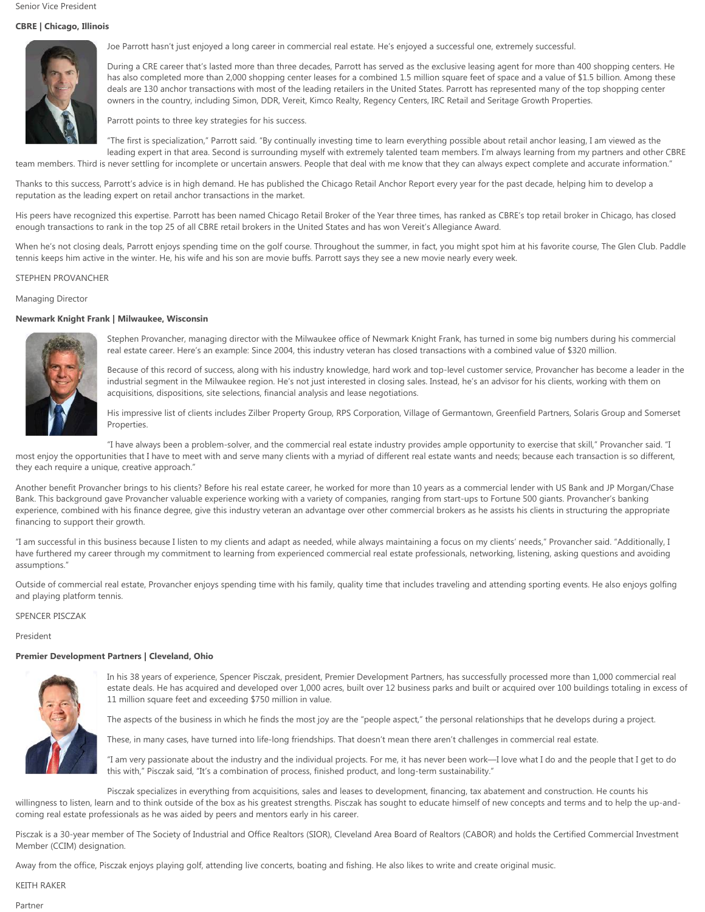# **CBRE | Chicago, Illinois**



Joe Parrott hasn't just enjoyed a long career in commercial real estate. He's enjoyed a successful one, extremely successful.

During a CRE career that's lasted more than three decades, Parrott has served as the exclusive leasing agent for more than 400 shopping centers. He has also completed more than 2,000 shopping center leases for a combined 1.5 million square feet of space and a value of \$1.5 billion. Among these deals are 130 anchor transactions with most of the leading retailers in the United States. Parrott has represented many of the top shopping center owners in the country, including Simon, DDR, Vereit, Kimco Realty, Regency Centers, IRC Retail and Seritage Growth Properties.

Parrott points to three key strategies for his success.

"The first is specialization," Parrott said. "By continually investing time to learn everything possible about retail anchor leasing, I am viewed as the leading expert in that area. Second is surrounding myself with extremely talented team members. I'm always learning from my partners and other CBRE team members. Third is never settling for incomplete or uncertain answers. People that deal with me know that they can always expect complete and accurate information."

Thanks to this success, Parrott's advice is in high demand. He has published the Chicago Retail Anchor Report every year for the past decade, helping him to develop a reputation as the leading expert on retail anchor transactions in the market.

His peers have recognized this expertise. Parrott has been named Chicago Retail Broker of the Year three times, has ranked as CBRE's top retail broker in Chicago, has closed enough transactions to rank in the top 25 of all CBRE retail brokers in the United States and has won Vereit's Allegiance Award.

When he's not closing deals, Parrott enjoys spending time on the golf course. Throughout the summer, in fact, you might spot him at his favorite course, The Glen Club. Paddle tennis keeps him active in the winter. He, his wife and his son are movie buffs. Parrott says they see a new movie nearly every week.

### STEPHEN PROVANCHER

### Managing Director

### **Newmark Knight Frank | Milwaukee, Wisconsin**



Stephen Provancher, managing director with the Milwaukee office of Newmark Knight Frank, has turned in some big numbers during his commercial real estate career. Here's an example: Since 2004, this industry veteran has closed transactions with a combined value of \$320 million.

Because of this record of success, along with his industry knowledge, hard work and top-level customer service, Provancher has become a leader in the industrial segment in the Milwaukee region. He's not just interested in closing sales. Instead, he's an advisor for his clients, working with them on acquisitions, dispositions, site selections, financial analysis and lease negotiations.

His impressive list of clients includes Zilber Property Group, RPS Corporation, Village of Germantown, Greenfield Partners, Solaris Group and Somerset Properties.

"I have always been a problem-solver, and the commercial real estate industry provides ample opportunity to exercise that skill," Provancher said. "I most enjoy the opportunities that I have to meet with and serve many clients with a myriad of different real estate wants and needs; because each transaction is so different, they each require a unique, creative approach."

Another benefit Provancher brings to his clients? Before his real estate career, he worked for more than 10 years as a commercial lender with US Bank and JP Morgan/Chase Bank. This background gave Provancher valuable experience working with a variety of companies, ranging from start-ups to Fortune 500 giants. Provancher's banking experience, combined with his finance degree, give this industry veteran an advantage over other commercial brokers as he assists his clients in structuring the appropriate financing to support their growth.

"I am successful in this business because I listen to my clients and adapt as needed, while always maintaining a focus on my clients' needs," Provancher said. "Additionally, I have furthered my career through my commitment to learning from experienced commercial real estate professionals, networking, listening, asking questions and avoiding assumptions."

Outside of commercial real estate, Provancher enjoys spending time with his family, quality time that includes traveling and attending sporting events. He also enjoys golfing and playing platform tennis.

### SPENCER PISCZAK

President

# **Premier Development Partners | Cleveland, Ohio**



In his 38 years of experience, Spencer Pisczak, president, Premier Development Partners, has successfully processed more than 1,000 commercial real estate deals. He has acquired and developed over 1,000 acres, built over 12 business parks and built or acquired over 100 buildings totaling in excess of 11 million square feet and exceeding \$750 million in value.

The aspects of the business in which he finds the most joy are the "people aspect," the personal relationships that he develops during a project.

These, in many cases, have turned into life-long friendships. That doesn't mean there aren't challenges in commercial real estate.

"I am very passionate about the industry and the individual projects. For me, it has never been work—I love what I do and the people that I get to do this with," Pisczak said, "It's a combination of process, finished product, and long-term sustainability."

Pisczak specializes in everything from acquisitions, sales and leases to development, financing, tax abatement and construction. He counts his willingness to listen, learn and to think outside of the box as his greatest strengths. Pisczak has sought to educate himself of new concepts and terms and to help the up-andcoming real estate professionals as he was aided by peers and mentors early in his career.

Pisczak is a 30-year member of The Society of Industrial and Office Realtors (SIOR), Cleveland Area Board of Realtors (CABOR) and holds the Certified Commercial Investment Member (CCIM) designation.

Away from the office, Pisczak enjoys playing golf, attending live concerts, boating and fishing. He also likes to write and create original music.

KEITH RAKER

Partner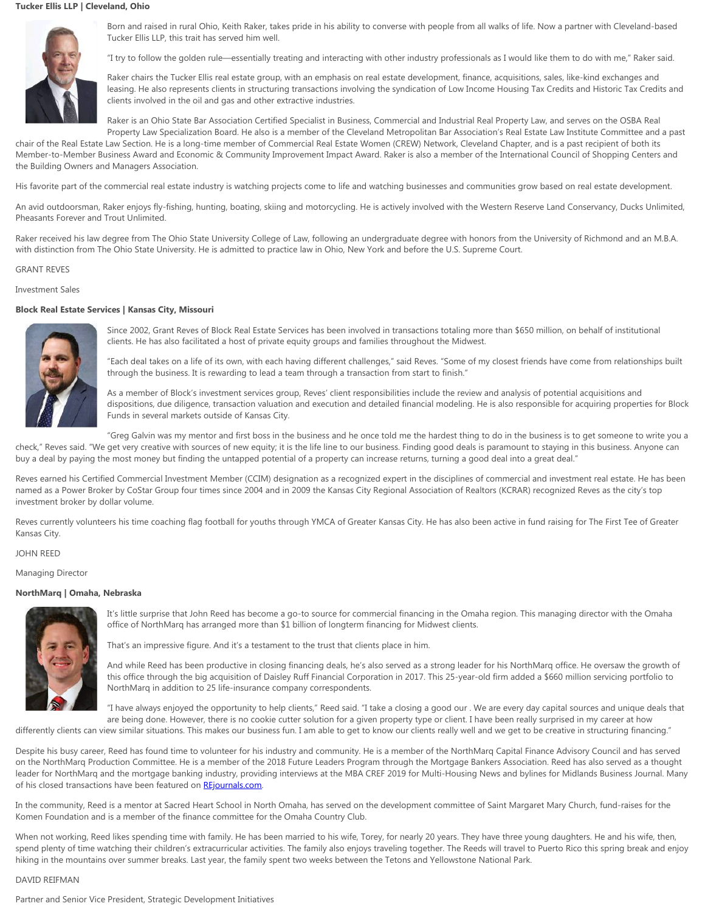# **Tucker Ellis LLP | Cleveland, Ohio**



Born and raised in rural Ohio, Keith Raker, takes pride in his ability to converse with people from all walks of life. Now a partner with Cleveland-based Tucker Ellis LLP, this trait has served him well.

"I try to follow the golden rule—essentially treating and interacting with other industry professionals as I would like them to do with me," Raker said.

Raker chairs the Tucker Ellis real estate group, with an emphasis on real estate development, finance, acquisitions, sales, like-kind exchanges and leasing. He also represents clients in structuring transactions involving the syndication of Low Income Housing Tax Credits and Historic Tax Credits and clients involved in the oil and gas and other extractive industries.

Raker is an Ohio State Bar Association Certified Specialist in Business, Commercial and Industrial Real Property Law, and serves on the OSBA Real Property Law Specialization Board. He also is a member of the Cleveland Metropolitan Bar Association's Real Estate Law Institute Committee and a past

chair of the Real Estate Law Section. He is a long-time member of Commercial Real Estate Women (CREW) Network, Cleveland Chapter, and is a past recipient of both its Member-to-Member Business Award and Economic & Community Improvement Impact Award. Raker is also a member of the International Council of Shopping Centers and the Building Owners and Managers Association.

His favorite part of the commercial real estate industry is watching projects come to life and watching businesses and communities grow based on real estate development.

An avid outdoorsman, Raker enjoys fly-fishing, hunting, boating, skiing and motorcycling. He is actively involved with the Western Reserve Land Conservancy, Ducks Unlimited, Pheasants Forever and Trout Unlimited.

Raker received his law degree from The Ohio State University College of Law, following an undergraduate degree with honors from the University of Richmond and an M.B.A. with distinction from The Ohio State University. He is admitted to practice law in Ohio, New York and before the U.S. Supreme Court.

### GRANT REVES

# Investment Sales

### **Block Real Estate Services | Kansas City, Missouri**



Since 2002, Grant Reves of Block Real Estate Services has been involved in transactions totaling more than \$650 million, on behalf of institutional clients. He has also facilitated a host of private equity groups and families throughout the Midwest.

"Each deal takes on a life of its own, with each having different challenges," said Reves. "Some of my closest friends have come from relationships built through the business. It is rewarding to lead a team through a transaction from start to finish."

As a member of Block's investment services group, Reves' client responsibilities include the review and analysis of potential acquisitions and dispositions, due diligence, transaction valuation and execution and detailed financial modeling. He is also responsible for acquiring properties for Block Funds in several markets outside of Kansas City.

"Greg Galvin was my mentor and first boss in the business and he once told me the hardest thing to do in the business is to get someone to write you a check," Reves said. "We get very creative with sources of new equity; it is the life line to our business. Finding good deals is paramount to staying in this business. Anyone can buy a deal by paying the most money but finding the untapped potential of a property can increase returns, turning a good deal into a great deal."

Reves earned his Certified Commercial Investment Member (CCIM) designation as a recognized expert in the disciplines of commercial and investment real estate. He has been named as a Power Broker by CoStar Group four times since 2004 and in 2009 the Kansas City Regional Association of Realtors (KCRAR) recognized Reves as the city's top investment broker by dollar volume.

Reves currently volunteers his time coaching flag football for youths through YMCA of Greater Kansas City. He has also been active in fund raising for The First Tee of Greater Kansas City.

### JOHN REED

Managing Director

# **NorthMarq | Omaha, Nebraska**



It's little surprise that John Reed has become a go-to source for commercial financing in the Omaha region. This managing director with the Omaha office of NorthMarq has arranged more than \$1 billion of longterm financing for Midwest clients.

That's an impressive figure. And it's a testament to the trust that clients place in him.

And while Reed has been productive in closing financing deals, he's also served as a strong leader for his NorthMarq office. He oversaw the growth of this office through the big acquisition of Daisley Ruff Financial Corporation in 2017. This 25-year-old firm added a \$660 million servicing portfolio to NorthMarq in addition to 25 life-insurance company correspondents.

"I have always enjoyed the opportunity to help clients," Reed said. "I take a closing a good our . We are every day capital sources and unique deals that are being done. However, there is no cookie cutter solution for a given property type or client. I have been really surprised in my career at how

differently clients can view similar situations. This makes our business fun. I am able to get to know our clients really well and we get to be creative in structuring financing."

Despite his busy career, Reed has found time to volunteer for his industry and community. He is a member of the NorthMarq Capital Finance Advisory Council and has served on the NorthMarq Production Committee. He is a member of the 2018 Future Leaders Program through the Mortgage Bankers Association. Reed has also served as a thought leader for NorthMarq and the mortgage banking industry, providing interviews at the MBA CREF 2019 for Multi-Housing News and bylines for Midlands Business Journal. Many of his closed transactions have been featured on [REjournals.com](http://rejournals.com/).

In the community, Reed is a mentor at Sacred Heart School in North Omaha, has served on the development committee of Saint Margaret Mary Church, fund-raises for the Komen Foundation and is a member of the finance committee for the Omaha Country Club.

When not working, Reed likes spending time with family. He has been married to his wife, Torey, for nearly 20 years. They have three young daughters. He and his wife, then, spend plenty of time watching their children's extracurricular activities. The family also enjoys traveling together. The Reeds will travel to Puerto Rico this spring break and enjoy hiking in the mountains over summer breaks. Last year, the family spent two weeks between the Tetons and Yellowstone National Park.

# DAVID REIFMAN

Partner and Senior Vice President, Strategic Development Initiatives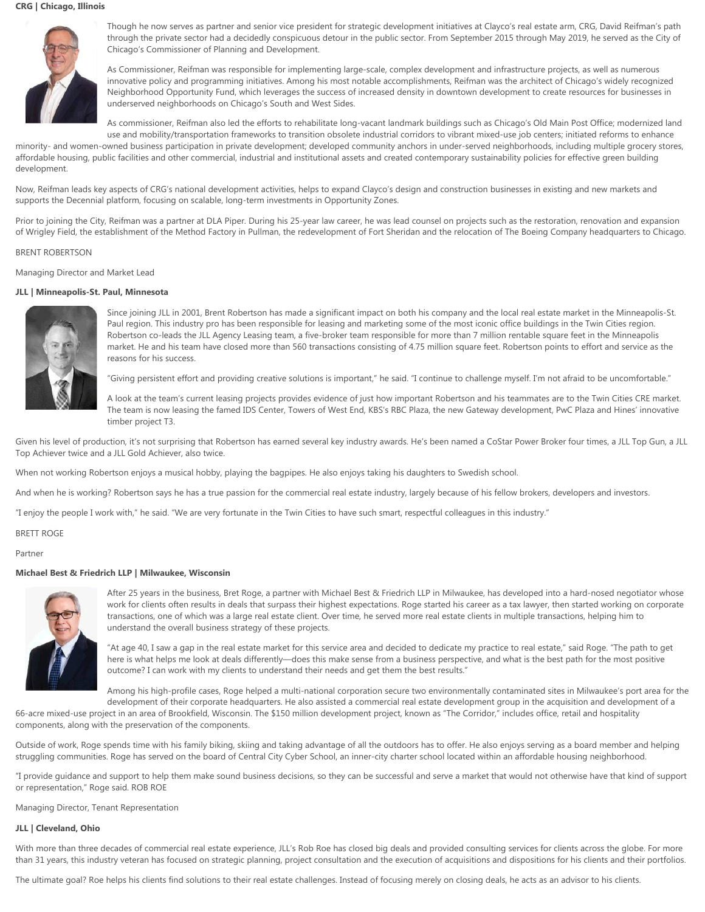### **CRG | Chicago, Illinois**



Though he now serves as partner and senior vice president for strategic development initiatives at Clayco's real estate arm, CRG, David Reifman's path through the private sector had a decidedly conspicuous detour in the public sector. From September 2015 through May 2019, he served as the City of Chicago's Commissioner of Planning and Development.

As Commissioner, Reifman was responsible for implementing large-scale, complex development and infrastructure projects, as well as numerous innovative policy and programming initiatives. Among his most notable accomplishments, Reifman was the architect of Chicago's widely recognized Neighborhood Opportunity Fund, which leverages the success of increased density in downtown development to create resources for businesses in underserved neighborhoods on Chicago's South and West Sides.

As commissioner, Reifman also led the efforts to rehabilitate long-vacant landmark buildings such as Chicago's Old Main Post Office; modernized land use and mobility/transportation frameworks to transition obsolete industrial corridors to vibrant mixed-use job centers; initiated reforms to enhance

minority- and women-owned business participation in private development; developed community anchors in under-served neighborhoods, including multiple grocery stores, affordable housing, public facilities and other commercial, industrial and institutional assets and created contemporary sustainability policies for effective green building development.

Now, Reifman leads key aspects of CRG's national development activities, helps to expand Clayco's design and construction businesses in existing and new markets and supports the Decennial platform, focusing on scalable, long-term investments in Opportunity Zones.

Prior to joining the City, Reifman was a partner at DLA Piper. During his 25-year law career, he was lead counsel on projects such as the restoration, renovation and expansion of Wrigley Field, the establishment of the Method Factory in Pullman, the redevelopment of Fort Sheridan and the relocation of The Boeing Company headquarters to Chicago.

# BRENT ROBERTSON

Managing Director and Market Lead

# **JLL | Minneapolis-St. Paul, Minnesota**



Since joining JLL in 2001, Brent Robertson has made a significant impact on both his company and the local real estate market in the Minneapolis-St. Paul region. This industry pro has been responsible for leasing and marketing some of the most iconic office buildings in the Twin Cities region. Robertson co-leads the JLL Agency Leasing team, a five-broker team responsible for more than 7 million rentable square feet in the Minneapolis market. He and his team have closed more than 560 transactions consisting of 4.75 million square feet. Robertson points to effort and service as the reasons for his success.

"Giving persistent effort and providing creative solutions is important," he said. "I continue to challenge myself. I'm not afraid to be uncomfortable."

A look at the team's current leasing projects provides evidence of just how important Robertson and his teammates are to the Twin Cities CRE market. The team is now leasing the famed IDS Center, Towers of West End, KBS's RBC Plaza, the new Gateway development, PwC Plaza and Hines' innovative timber project T3.

Given his level of production, it's not surprising that Robertson has earned several key industry awards. He's been named a CoStar Power Broker four times, a JLL Top Gun, a JLL Top Achiever twice and a JLL Gold Achiever, also twice.

When not working Robertson enjoys a musical hobby, playing the bagpipes. He also enjoys taking his daughters to Swedish school.

And when he is working? Robertson says he has a true passion for the commercial real estate industry, largely because of his fellow brokers, developers and investors.

"I enjoy the people I work with," he said. "We are very fortunate in the Twin Cities to have such smart, respectful colleagues in this industry."

BRETT ROGE

#### Partner

#### **Michael Best & Friedrich LLP | Milwaukee, Wisconsin**



After 25 years in the business, Bret Roge, a partner with Michael Best & Friedrich LLP in Milwaukee, has developed into a hard-nosed negotiator whose work for clients often results in deals that surpass their highest expectations. Roge started his career as a tax lawyer, then started working on corporate transactions, one of which was a large real estate client. Over time, he served more real estate clients in multiple transactions, helping him to understand the overall business strategy of these projects.

"At age 40, I saw a gap in the real estate market for this service area and decided to dedicate my practice to real estate," said Roge. "The path to get here is what helps me look at deals differently—does this make sense from a business perspective, and what is the best path for the most positive outcome? I can work with my clients to understand their needs and get them the best results."

Among his high-profile cases, Roge helped a multi-national corporation secure two environmentally contaminated sites in Milwaukee's port area for the development of their corporate headquarters. He also assisted a commercial real estate development group in the acquisition and development of a

66-acre mixed-use project in an area of Brookfield, Wisconsin. The \$150 million development project, known as "The Corridor," includes office, retail and hospitality components, along with the preservation of the components.

Outside of work, Roge spends time with his family biking, skiing and taking advantage of all the outdoors has to offer. He also enjoys serving as a board member and helping struggling communities. Roge has served on the board of Central City Cyber School, an inner-city charter school located within an affordable housing neighborhood.

"I provide guidance and support to help them make sound business decisions, so they can be successful and serve a market that would not otherwise have that kind of support or representation," Roge said. ROB ROE

Managing Director, Tenant Representation

# **JLL | Cleveland, Ohio**

With more than three decades of commercial real estate experience, JLL's Rob Roe has closed big deals and provided consulting services for clients across the globe. For more than 31 years, this industry veteran has focused on strategic planning, project consultation and the execution of acquisitions and dispositions for his clients and their portfolios.

The ultimate goal? Roe helps his clients find solutions to their real estate challenges. Instead of focusing merely on closing deals, he acts as an advisor to his clients.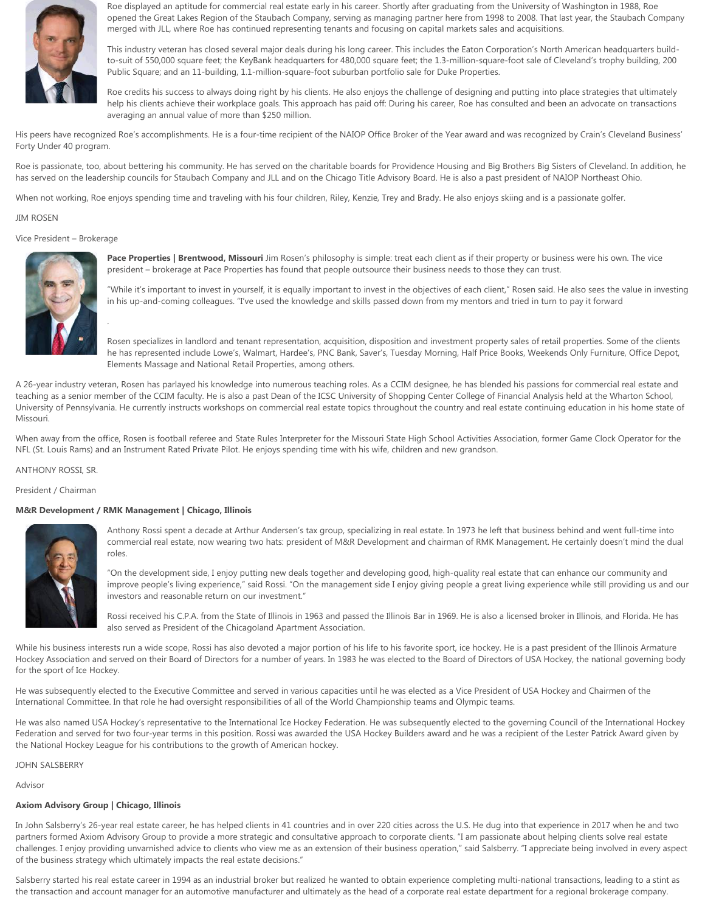

Roe displayed an aptitude for commercial real estate early in his career. Shortly after graduating from the University of Washington in 1988, Roe opened the Great Lakes Region of the Staubach Company, serving as managing partner here from 1998 to 2008. That last year, the Staubach Company merged with JLL, where Roe has continued representing tenants and focusing on capital markets sales and acquisitions.

This industry veteran has closed several major deals during his long career. This includes the Eaton Corporation's North American headquarters buildto-suit of 550,000 square feet; the KeyBank headquarters for 480,000 square feet; the 1.3-million-square-foot sale of Cleveland's trophy building, 200 Public Square; and an 11-building, 1.1-million-square-foot suburban portfolio sale for Duke Properties.

Roe credits his success to always doing right by his clients. He also enjoys the challenge of designing and putting into place strategies that ultimately help his clients achieve their workplace goals. This approach has paid off: During his career, Roe has consulted and been an advocate on transactions averaging an annual value of more than \$250 million.

His peers have recognized Roe's accomplishments. He is a four-time recipient of the NAIOP Office Broker of the Year award and was recognized by Crain's Cleveland Business' Forty Under 40 program.

Roe is passionate, too, about bettering his community. He has served on the charitable boards for Providence Housing and Big Brothers Big Sisters of Cleveland. In addition, he has served on the leadership councils for Staubach Company and JLL and on the Chicago Title Advisory Board. He is also a past president of NAIOP Northeast Ohio.

When not working, Roe enjoys spending time and traveling with his four children, Riley, Kenzie, Trey and Brady. He also enjoys skiing and is a passionate golfer.

### JIM ROSEN

### Vice President – Brokerage



.

**Pace Properties | Brentwood, Missouri** Jim Rosen's philosophy is simple: treat each client as if their property or business were his own. The vice president – brokerage at Pace Properties has found that people outsource their business needs to those they can trust.

"While it's important to invest in yourself, it is equally important to invest in the objectives of each client," Rosen said. He also sees the value in investing in his up-and-coming colleagues. "I've used the knowledge and skills passed down from my mentors and tried in turn to pay it forward

Rosen specializes in landlord and tenant representation, acquisition, disposition and investment property sales of retail properties. Some of the clients he has represented include Lowe's, Walmart, Hardee's, PNC Bank, Saver's, Tuesday Morning, Half Price Books, Weekends Only Furniture, Office Depot, Elements Massage and National Retail Properties, among others.

A 26-year industry veteran, Rosen has parlayed his knowledge into numerous teaching roles. As a CCIM designee, he has blended his passions for commercial real estate and teaching as a senior member of the CCIM faculty. He is also a past Dean of the ICSC University of Shopping Center College of Financial Analysis held at the Wharton School, University of Pennsylvania. He currently instructs workshops on commercial real estate topics throughout the country and real estate continuing education in his home state of Missouri.

When away from the office, Rosen is football referee and State Rules Interpreter for the Missouri State High School Activities Association, former Game Clock Operator for the NFL (St. Louis Rams) and an Instrument Rated Private Pilot. He enjoys spending time with his wife, children and new grandson.

ANTHONY ROSSI, SR.

President / Chairman

# **M&R Development / RMK Management | Chicago, Illinois**



Anthony Rossi spent a decade at Arthur Andersen's tax group, specializing in real estate. In 1973 he left that business behind and went full-time into commercial real estate, now wearing two hats: president of M&R Development and chairman of RMK Management. He certainly doesn't mind the dual roles.

"On the development side, I enjoy putting new deals together and developing good, high-quality real estate that can enhance our community and improve people's living experience," said Rossi. "On the management side I enjoy giving people a great living experience while still providing us and our investors and reasonable return on our investment."

Rossi received his C.P.A. from the State of Illinois in 1963 and passed the Illinois Bar in 1969. He is also a licensed broker in Illinois, and Florida. He has also served as President of the Chicagoland Apartment Association.

While his business interests run a wide scope, Rossi has also devoted a major portion of his life to his favorite sport, ice hockey. He is a past president of the Illinois Armature Hockey Association and served on their Board of Directors for a number of years. In 1983 he was elected to the Board of Directors of USA Hockey, the national governing body for the sport of Ice Hockey.

He was subsequently elected to the Executive Committee and served in various capacities until he was elected as a Vice President of USA Hockey and Chairmen of the International Committee. In that role he had oversight responsibilities of all of the World Championship teams and Olympic teams.

He was also named USA Hockey's representative to the International Ice Hockey Federation. He was subsequently elected to the governing Council of the International Hockey Federation and served for two four-year terms in this position. Rossi was awarded the USA Hockey Builders award and he was a recipient of the Lester Patrick Award given by the National Hockey League for his contributions to the growth of American hockey.

JOHN SALSBERRY

Advisor

# **Axiom Advisory Group | Chicago, Illinois**

In John Salsberry's 26-year real estate career, he has helped clients in 41 countries and in over 220 cities across the U.S. He dug into that experience in 2017 when he and two partners formed Axiom Advisory Group to provide a more strategic and consultative approach to corporate clients. "I am passionate about helping clients solve real estate challenges. I enjoy providing unvarnished advice to clients who view me as an extension of their business operation," said Salsberry. "I appreciate being involved in every aspect of the business strategy which ultimately impacts the real estate decisions."

Salsberry started his real estate career in 1994 as an industrial broker but realized he wanted to obtain experience completing multi-national transactions, leading to a stint as the transaction and account manager for an automotive manufacturer and ultimately as the head of a corporate real estate department for a regional brokerage company.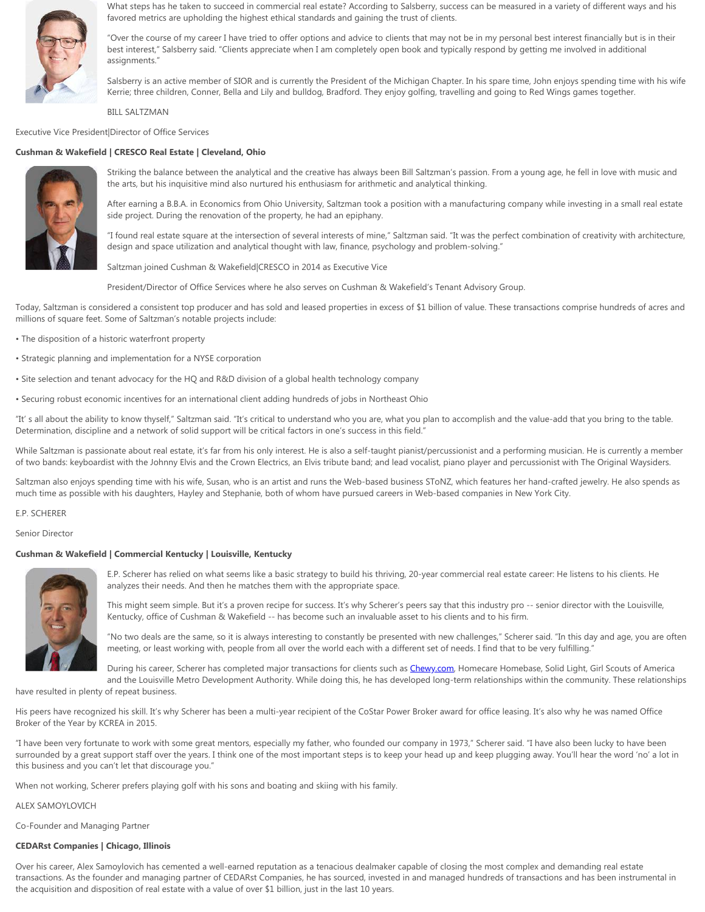

What steps has he taken to succeed in commercial real estate? According to Salsberry, success can be measured in a variety of different ways and his favored metrics are upholding the highest ethical standards and gaining the trust of clients.

"Over the course of my career I have tried to offer options and advice to clients that may not be in my personal best interest financially but is in their best interest," Salsberry said. "Clients appreciate when I am completely open book and typically respond by getting me involved in additional assignments."

Salsberry is an active member of SIOR and is currently the President of the Michigan Chapter. In his spare time, John enjoys spending time with his wife Kerrie; three children, Conner, Bella and Lily and bulldog, Bradford. They enjoy golfing, travelling and going to Red Wings games together.

BILL SALTZMAN

Executive Vice President|Director of Office Services

# **Cushman & Wakefield | CRESCO Real Estate | Cleveland, Ohio**



Striking the balance between the analytical and the creative has always been Bill Saltzman's passion. From a young age, he fell in love with music and the arts, but his inquisitive mind also nurtured his enthusiasm for arithmetic and analytical thinking.

After earning a B.B.A. in Economics from Ohio University, Saltzman took a position with a manufacturing company while investing in a small real estate side project. During the renovation of the property, he had an epiphany.

"I found real estate square at the intersection of several interests of mine," Saltzman said. "It was the perfect combination of creativity with architecture, design and space utilization and analytical thought with law, finance, psychology and problem-solving."

Saltzman joined Cushman & Wakefield|CRESCO in 2014 as Executive Vice

President/Director of Office Services where he also serves on Cushman & Wakefield's Tenant Advisory Group.

Today, Saltzman is considered a consistent top producer and has sold and leased properties in excess of \$1 billion of value. These transactions comprise hundreds of acres and millions of square feet. Some of Saltzman's notable projects include:

- The disposition of a historic waterfront property
- Strategic planning and implementation for a NYSE corporation
- Site selection and tenant advocacy for the HQ and R&D division of a global health technology company
- Securing robust economic incentives for an international client adding hundreds of jobs in Northeast Ohio

"It' s all about the ability to know thyself," Saltzman said. "It's critical to understand who you are, what you plan to accomplish and the value-add that you bring to the table. Determination, discipline and a network of solid support will be critical factors in one's success in this field."

While Saltzman is passionate about real estate, it's far from his only interest. He is also a self-taught pianist/percussionist and a performing musician. He is currently a member of two bands: keyboardist with the Johnny Elvis and the Crown Electrics, an Elvis tribute band; and lead vocalist, piano player and percussionist with The Original Waysiders.

Saltzman also enjoys spending time with his wife, Susan, who is an artist and runs the Web-based business SToNZ, which features her hand-crafted jewelry. He also spends as much time as possible with his daughters, Hayley and Stephanie, both of whom have pursued careers in Web-based companies in New York City.

### E.P. SCHERER

Senior Director

# **Cushman & Wakefield | Commercial Kentucky | Louisville, Kentucky**



E.P. Scherer has relied on what seems like a basic strategy to build his thriving, 20-year commercial real estate career: He listens to his clients. He analyzes their needs. And then he matches them with the appropriate space.

This might seem simple. But it's a proven recipe for success. It's why Scherer's peers say that this industry pro -- senior director with the Louisville, Kentucky, office of Cushman & Wakefield -- has become such an invaluable asset to his clients and to his firm.

"No two deals are the same, so it is always interesting to constantly be presented with new challenges," Scherer said. "In this day and age, you are often meeting, or least working with, people from all over the world each with a different set of needs. I find that to be very fulfilling."

During his career, Scherer has completed major transactions for clients such as [Chewy.com](http://chewy.com/), Homecare Homebase, Solid Light, Girl Scouts of America and the Louisville Metro Development Authority. While doing this, he has developed long-term relationships within the community. These relationships

have resulted in plenty of repeat business.

His peers have recognized his skill. It's why Scherer has been a multi-year recipient of the CoStar Power Broker award for office leasing. It's also why he was named Office Broker of the Year by KCREA in 2015.

"I have been very fortunate to work with some great mentors, especially my father, who founded our company in 1973," Scherer said. "I have also been lucky to have been surrounded by a great support staff over the years. I think one of the most important steps is to keep your head up and keep plugging away. You'll hear the word 'no' a lot in this business and you can't let that discourage you."

When not working, Scherer prefers playing golf with his sons and boating and skiing with his family.

### ALEX SAMOYLOVICH

Co-Founder and Managing Partner

# **CEDARst Companies | Chicago, Illinois**

Over his career, Alex Samoylovich has cemented a well-earned reputation as a tenacious dealmaker capable of closing the most complex and demanding real estate transactions. As the founder and managing partner of CEDARst Companies, he has sourced, invested in and managed hundreds of transactions and has been instrumental in the acquisition and disposition of real estate with a value of over \$1 billion, just in the last 10 years.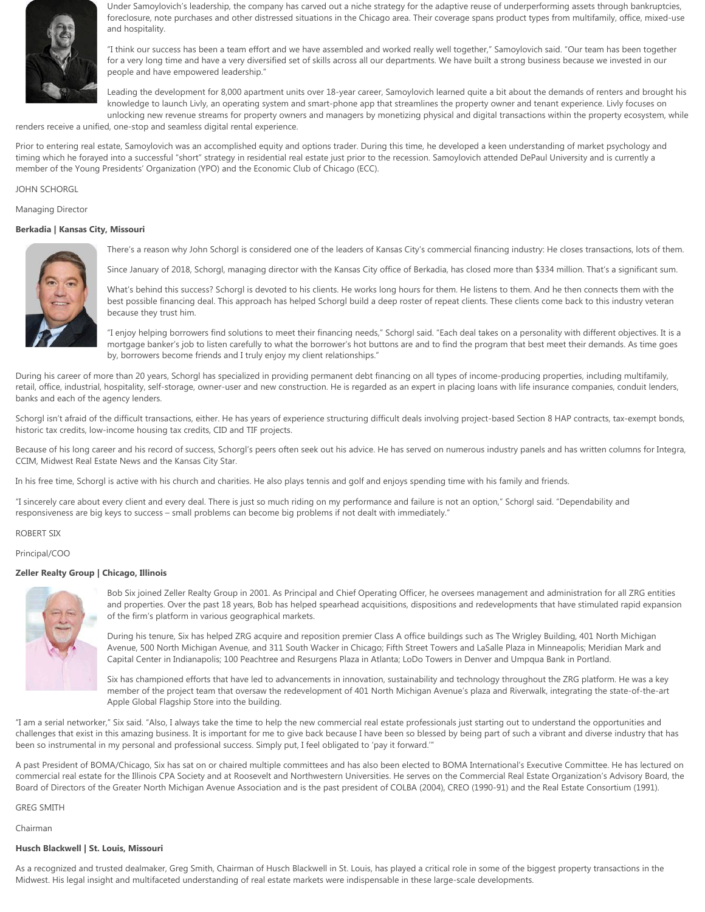

Under Samoylovich's leadership, the company has carved out a niche strategy for the adaptive reuse of underperforming assets through bankruptcies, foreclosure, note purchases and other distressed situations in the Chicago area. Their coverage spans product types from multifamily, office, mixed-use and hospitality.

"I think our success has been a team effort and we have assembled and worked really well together," Samoylovich said. "Our team has been together for a very long time and have a very diversified set of skills across all our departments. We have built a strong business because we invested in our people and have empowered leadership."

Leading the development for 8,000 apartment units over 18-year career, Samoylovich learned quite a bit about the demands of renters and brought his knowledge to launch Livly, an operating system and smart-phone app that streamlines the property owner and tenant experience. Livly focuses on unlocking new revenue streams for property owners and managers by monetizing physical and digital transactions within the property ecosystem, while

renders receive a unified, one-stop and seamless digital rental experience.

Prior to entering real estate, Samoylovich was an accomplished equity and options trader. During this time, he developed a keen understanding of market psychology and timing which he forayed into a successful "short" strategy in residential real estate just prior to the recession. Samoylovich attended DePaul University and is currently a member of the Young Presidents' Organization (YPO) and the Economic Club of Chicago (ECC).

### JOHN SCHORGL

Managing Director

### **Berkadia | Kansas City, Missouri**



There's a reason why John Schorgl is considered one of the leaders of Kansas City's commercial financing industry: He closes transactions, lots of them.

Since January of 2018, Schorgl, managing director with the Kansas City office of Berkadia, has closed more than \$334 million. That's a significant sum.

What's behind this success? Schorgl is devoted to his clients. He works long hours for them. He listens to them. And he then connects them with the best possible financing deal. This approach has helped Schorgl build a deep roster of repeat clients. These clients come back to this industry veteran because they trust him.

"I enjoy helping borrowers find solutions to meet their financing needs," Schorgl said. "Each deal takes on a personality with different objectives. It is a mortgage banker's job to listen carefully to what the borrower's hot buttons are and to find the program that best meet their demands. As time goes by, borrowers become friends and I truly enjoy my client relationships."

During his career of more than 20 years, Schorgl has specialized in providing permanent debt financing on all types of income-producing properties, including multifamily, retail, office, industrial, hospitality, self-storage, owner-user and new construction. He is regarded as an expert in placing loans with life insurance companies, conduit lenders, banks and each of the agency lenders.

Schorgl isn't afraid of the difficult transactions, either. He has years of experience structuring difficult deals involving project-based Section 8 HAP contracts, tax-exempt bonds, historic tax credits, low-income housing tax credits, CID and TIF projects.

Because of his long career and his record of success, Schorgl's peers often seek out his advice. He has served on numerous industry panels and has written columns for Integra, CCIM, Midwest Real Estate News and the Kansas City Star.

In his free time, Schorgl is active with his church and charities. He also plays tennis and golf and enjoys spending time with his family and friends.

"I sincerely care about every client and every deal. There is just so much riding on my performance and failure is not an option," Schorgl said. "Dependability and responsiveness are big keys to success – small problems can become big problems if not dealt with immediately."

ROBERT SIX

Principal/COO

### **Zeller Realty Group | Chicago, Illinois**



Bob Six joined Zeller Realty Group in 2001. As Principal and Chief Operating Officer, he oversees management and administration for all ZRG entities and properties. Over the past 18 years, Bob has helped spearhead acquisitions, dispositions and redevelopments that have stimulated rapid expansion of the firm's platform in various geographical markets.

During his tenure, Six has helped ZRG acquire and reposition premier Class A office buildings such as The Wrigley Building, 401 North Michigan Avenue, 500 North Michigan Avenue, and 311 South Wacker in Chicago; Fifth Street Towers and LaSalle Plaza in Minneapolis; Meridian Mark and Capital Center in Indianapolis; 100 Peachtree and Resurgens Plaza in Atlanta; LoDo Towers in Denver and Umpqua Bank in Portland.

Six has championed efforts that have led to advancements in innovation, sustainability and technology throughout the ZRG platform. He was a key member of the project team that oversaw the redevelopment of 401 North Michigan Avenue's plaza and Riverwalk, integrating the state-of-the-art Apple Global Flagship Store into the building.

"I am a serial networker," Six said. "Also, I always take the time to help the new commercial real estate professionals just starting out to understand the opportunities and challenges that exist in this amazing business. It is important for me to give back because I have been so blessed by being part of such a vibrant and diverse industry that has been so instrumental in my personal and professional success. Simply put, I feel obligated to 'pay it forward.'"

A past President of BOMA/Chicago, Six has sat on or chaired multiple committees and has also been elected to BOMA International's Executive Committee. He has lectured on commercial real estate for the Illinois CPA Society and at Roosevelt and Northwestern Universities. He serves on the Commercial Real Estate Organization's Advisory Board, the Board of Directors of the Greater North Michigan Avenue Association and is the past president of COLBA (2004), CREO (1990-91) and the Real Estate Consortium (1991).

GREG SMITH

Chairman

# **Husch Blackwell | St. Louis, Missouri**

As a recognized and trusted dealmaker, Greg Smith, Chairman of Husch Blackwell in St. Louis, has played a critical role in some of the biggest property transactions in the Midwest. His legal insight and multifaceted understanding of real estate markets were indispensable in these large-scale developments.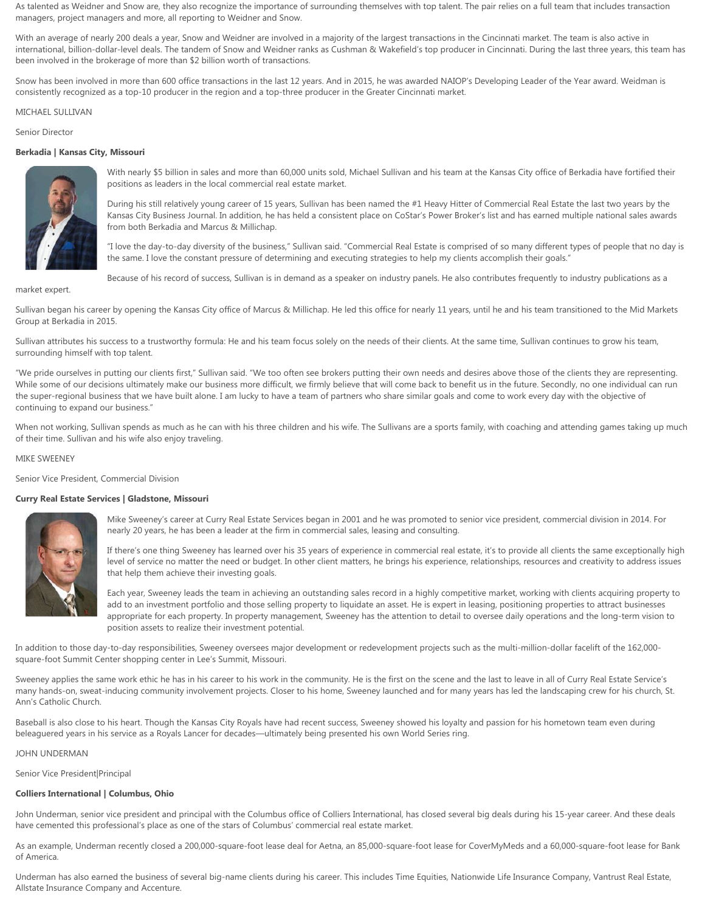As talented as Weidner and Snow are, they also recognize the importance of surrounding themselves with top talent. The pair relies on a full team that includes transaction managers, project managers and more, all reporting to Weidner and Snow.

With an average of nearly 200 deals a year, Snow and Weidner are involved in a majority of the largest transactions in the Cincinnati market. The team is also active in international, billion-dollar-level deals. The tandem of Snow and Weidner ranks as Cushman & Wakefield's top producer in Cincinnati. During the last three years, this team has been involved in the brokerage of more than \$2 billion worth of transactions.

Snow has been involved in more than 600 office transactions in the last 12 years. And in 2015, he was awarded NAIOP's Developing Leader of the Year award. Weidman is consistently recognized as a top-10 producer in the region and a top-three producer in the Greater Cincinnati market.

MICHAEL SULLIVAN

Senior Director

### **Berkadia | Kansas City, Missouri**



With nearly \$5 billion in sales and more than 60,000 units sold, Michael Sullivan and his team at the Kansas City office of Berkadia have fortified their positions as leaders in the local commercial real estate market.

During his still relatively young career of 15 years, Sullivan has been named the #1 Heavy Hitter of Commercial Real Estate the last two years by the Kansas City Business Journal. In addition, he has held a consistent place on CoStar's Power Broker's list and has earned multiple national sales awards from both Berkadia and Marcus & Millichap.

"I love the day-to-day diversity of the business," Sullivan said. "Commercial Real Estate is comprised of so many different types of people that no day is the same. I love the constant pressure of determining and executing strategies to help my clients accomplish their goals."

Because of his record of success, Sullivan is in demand as a speaker on industry panels. He also contributes frequently to industry publications as a

market expert.

Sullivan began his career by opening the Kansas City office of Marcus & Millichap. He led this office for nearly 11 years, until he and his team transitioned to the Mid Markets Group at Berkadia in 2015.

Sullivan attributes his success to a trustworthy formula: He and his team focus solely on the needs of their clients. At the same time, Sullivan continues to grow his team, surrounding himself with top talent.

"We pride ourselves in putting our clients first," Sullivan said. "We too often see brokers putting their own needs and desires above those of the clients they are representing. While some of our decisions ultimately make our business more difficult, we firmly believe that will come back to benefit us in the future. Secondly, no one individual can run the super-regional business that we have built alone. I am lucky to have a team of partners who share similar goals and come to work every day with the objective of continuing to expand our business."

When not working, Sullivan spends as much as he can with his three children and his wife. The Sullivans are a sports family, with coaching and attending games taking up much of their time. Sullivan and his wife also enjoy traveling.

### MIKE SWEENEY

Senior Vice President, Commercial Division

# **Curry Real Estate Services | Gladstone, Missouri**



Mike Sweeney's career at Curry Real Estate Services began in 2001 and he was promoted to senior vice president, commercial division in 2014. For nearly 20 years, he has been a leader at the firm in commercial sales, leasing and consulting.

If there's one thing Sweeney has learned over his 35 years of experience in commercial real estate, it's to provide all clients the same exceptionally high level of service no matter the need or budget. In other client matters, he brings his experience, relationships, resources and creativity to address issues that help them achieve their investing goals.

Each year, Sweeney leads the team in achieving an outstanding sales record in a highly competitive market, working with clients acquiring property to add to an investment portfolio and those selling property to liquidate an asset. He is expert in leasing, positioning properties to attract businesses appropriate for each property. In property management, Sweeney has the attention to detail to oversee daily operations and the long-term vision to position assets to realize their investment potential.

In addition to those day-to-day responsibilities, Sweeney oversees major development or redevelopment projects such as the multi-million-dollar facelift of the 162,000 square-foot Summit Center shopping center in Lee's Summit, Missouri.

Sweeney applies the same work ethic he has in his career to his work in the community. He is the first on the scene and the last to leave in all of Curry Real Estate Service's many hands-on, sweat-inducing community involvement projects. Closer to his home, Sweeney launched and for many years has led the landscaping crew for his church, St. Ann's Catholic Church.

Baseball is also close to his heart. Though the Kansas City Royals have had recent success, Sweeney showed his loyalty and passion for his hometown team even during beleaguered years in his service as a Royals Lancer for decades—ultimately being presented his own World Series ring.

# JOHN UNDERMAN

Senior Vice President|Principal

# **Colliers International | Columbus, Ohio**

John Underman, senior vice president and principal with the Columbus office of Colliers International, has closed several big deals during his 15-year career. And these deals have cemented this professional's place as one of the stars of Columbus' commercial real estate market.

As an example, Underman recently closed a 200,000-square-foot lease deal for Aetna, an 85,000-square-foot lease for CoverMyMeds and a 60,000-square-foot lease for Bank of America.

Underman has also earned the business of several big-name clients during his career. This includes Time Equities, Nationwide Life Insurance Company, Vantrust Real Estate, Allstate Insurance Company and Accenture.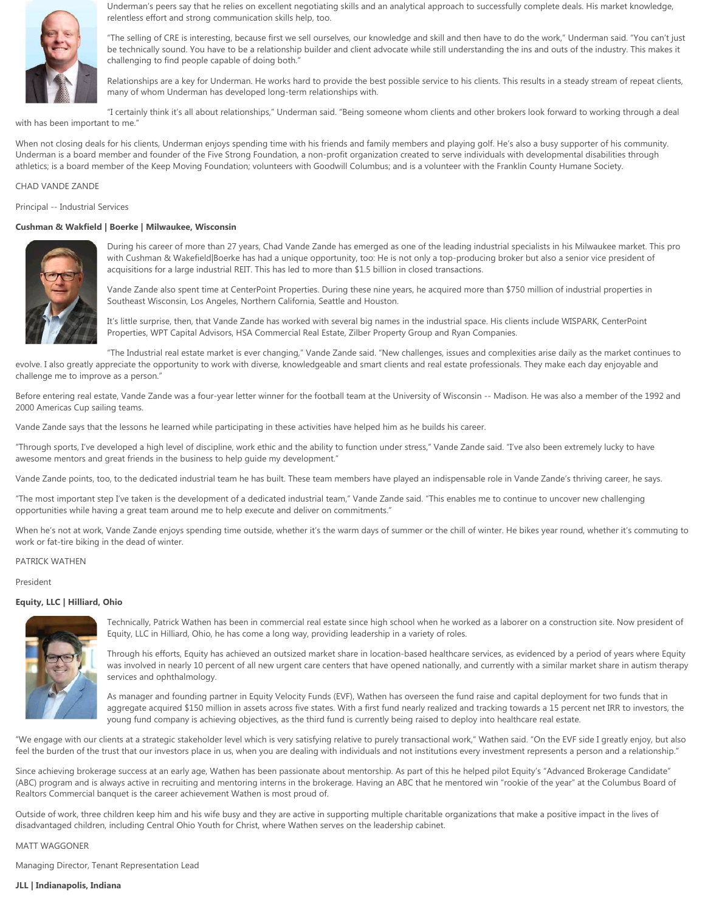

Underman's peers say that he relies on excellent negotiating skills and an analytical approach to successfully complete deals. His market knowledge, relentless effort and strong communication skills help, too.

"The selling of CRE is interesting, because first we sell ourselves, our knowledge and skill and then have to do the work," Underman said. "You can't just be technically sound. You have to be a relationship builder and client advocate while still understanding the ins and outs of the industry. This makes it challenging to find people capable of doing both."

Relationships are a key for Underman. He works hard to provide the best possible service to his clients. This results in a steady stream of repeat clients, many of whom Underman has developed long-term relationships with.

"I certainly think it's all about relationships," Underman said. "Being someone whom clients and other brokers look forward to working through a deal with has been important to me."

When not closing deals for his clients, Underman enjoys spending time with his friends and family members and playing golf. He's also a busy supporter of his community. Underman is a board member and founder of the Five Strong Foundation, a non-profit organization created to serve individuals with developmental disabilities through athletics; is a board member of the Keep Moving Foundation; volunteers with Goodwill Columbus; and is a volunteer with the Franklin County Humane Society.

# CHAD VANDE ZANDE

Principal -- Industrial Services

# **Cushman & Wakfield | Boerke | Milwaukee, Wisconsin**



During his career of more than 27 years, Chad Vande Zande has emerged as one of the leading industrial specialists in his Milwaukee market. This pro with Cushman & Wakefield|Boerke has had a unique opportunity, too: He is not only a top-producing broker but also a senior vice president of acquisitions for a large industrial REIT. This has led to more than \$1.5 billion in closed transactions.

Vande Zande also spent time at CenterPoint Properties. During these nine years, he acquired more than \$750 million of industrial properties in Southeast Wisconsin, Los Angeles, Northern California, Seattle and Houston.

It's little surprise, then, that Vande Zande has worked with several big names in the industrial space. His clients include WISPARK, CenterPoint Properties, WPT Capital Advisors, HSA Commercial Real Estate, Zilber Property Group and Ryan Companies.

"The Industrial real estate market is ever changing," Vande Zande said. "New challenges, issues and complexities arise daily as the market continues to evolve. I also greatly appreciate the opportunity to work with diverse, knowledgeable and smart clients and real estate professionals. They make each day enjoyable and challenge me to improve as a person."

Before entering real estate, Vande Zande was a four-year letter winner for the football team at the University of Wisconsin -- Madison. He was also a member of the 1992 and 2000 Americas Cup sailing teams.

Vande Zande says that the lessons he learned while participating in these activities have helped him as he builds his career.

"Through sports, I've developed a high level of discipline, work ethic and the ability to function under stress," Vande Zande said. "I've also been extremely lucky to have awesome mentors and great friends in the business to help guide my development."

Vande Zande points, too, to the dedicated industrial team he has built. These team members have played an indispensable role in Vande Zande's thriving career, he says.

"The most important step I've taken is the development of a dedicated industrial team," Vande Zande said. "This enables me to continue to uncover new challenging opportunities while having a great team around me to help execute and deliver on commitments."

When he's not at work, Vande Zande enjoys spending time outside, whether it's the warm days of summer or the chill of winter. He bikes year round, whether it's commuting to work or fat-tire biking in the dead of winter.

# PATRICK WATHEN

President

# **Equity, LLC | Hilliard, Ohio**



Technically, Patrick Wathen has been in commercial real estate since high school when he worked as a laborer on a construction site. Now president of Equity, LLC in Hilliard, Ohio, he has come a long way, providing leadership in a variety of roles.

Through his efforts, Equity has achieved an outsized market share in location-based healthcare services, as evidenced by a period of years where Equity was involved in nearly 10 percent of all new urgent care centers that have opened nationally, and currently with a similar market share in autism therapy services and ophthalmology.

As manager and founding partner in Equity Velocity Funds (EVF), Wathen has overseen the fund raise and capital deployment for two funds that in aggregate acquired \$150 million in assets across five states. With a first fund nearly realized and tracking towards a 15 percent net IRR to investors, the young fund company is achieving objectives, as the third fund is currently being raised to deploy into healthcare real estate.

"We engage with our clients at a strategic stakeholder level which is very satisfying relative to purely transactional work," Wathen said. "On the EVF side I greatly enjoy, but also feel the burden of the trust that our investors place in us, when you are dealing with individuals and not institutions every investment represents a person and a relationship."

Since achieving brokerage success at an early age, Wathen has been passionate about mentorship. As part of this he helped pilot Equity's "Advanced Brokerage Candidate" (ABC) program and is always active in recruiting and mentoring interns in the brokerage. Having an ABC that he mentored win "rookie of the year" at the Columbus Board of Realtors Commercial banquet is the career achievement Wathen is most proud of.

Outside of work, three children keep him and his wife busy and they are active in supporting multiple charitable organizations that make a positive impact in the lives of disadvantaged children, including Central Ohio Youth for Christ, where Wathen serves on the leadership cabinet.

### MATT WAGGONER

Managing Director, Tenant Representation Lead

# **JLL | Indianapolis, Indiana**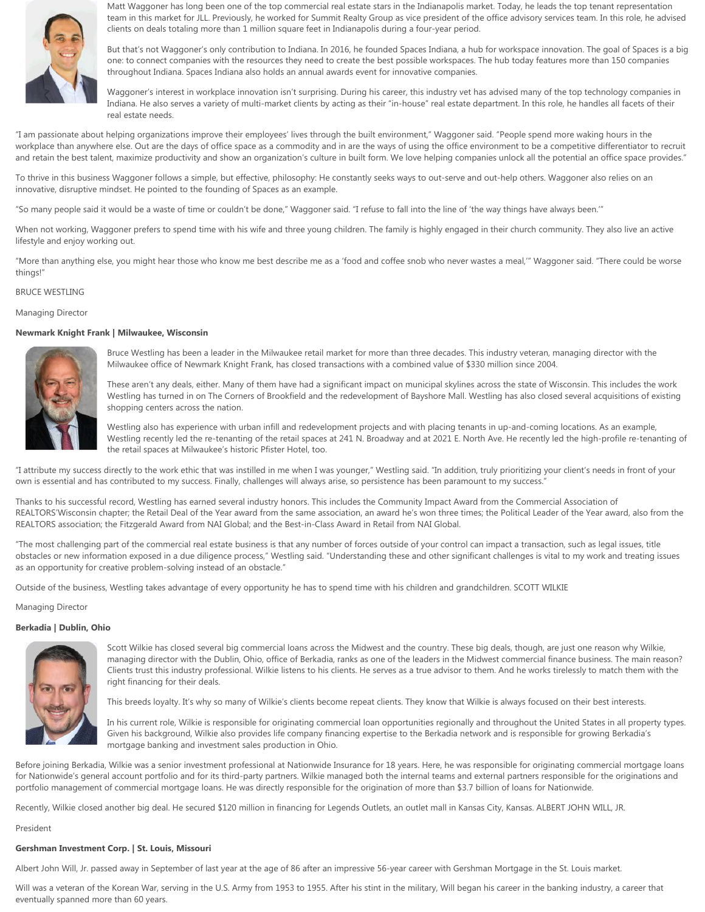

Matt Waggoner has long been one of the top commercial real estate stars in the Indianapolis market. Today, he leads the top tenant representation team in this market for JLL. Previously, he worked for Summit Realty Group as vice president of the office advisory services team. In this role, he advised clients on deals totaling more than 1 million square feet in Indianapolis during a four-year period.

But that's not Waggoner's only contribution to Indiana. In 2016, he founded Spaces Indiana, a hub for workspace innovation. The goal of Spaces is a big one: to connect companies with the resources they need to create the best possible workspaces. The hub today features more than 150 companies throughout Indiana. Spaces Indiana also holds an annual awards event for innovative companies.

Waggoner's interest in workplace innovation isn't surprising. During his career, this industry vet has advised many of the top technology companies in Indiana. He also serves a variety of multi-market clients by acting as their "in-house" real estate department. In this role, he handles all facets of their real estate needs.

"I am passionate about helping organizations improve their employees' lives through the built environment," Waggoner said. "People spend more waking hours in the workplace than anywhere else. Out are the days of office space as a commodity and in are the ways of using the office environment to be a competitive differentiator to recruit and retain the best talent, maximize productivity and show an organization's culture in built form. We love helping companies unlock all the potential an office space provides."

To thrive in this business Waggoner follows a simple, but effective, philosophy: He constantly seeks ways to out-serve and out-help others. Waggoner also relies on an innovative, disruptive mindset. He pointed to the founding of Spaces as an example.

"So many people said it would be a waste of time or couldn't be done," Waggoner said. "I refuse to fall into the line of 'the way things have always been.'"

When not working, Waggoner prefers to spend time with his wife and three young children. The family is highly engaged in their church community. They also live an active lifestyle and enjoy working out.

"More than anything else, you might hear those who know me best describe me as a 'food and coffee snob who never wastes a meal,'" Waggoner said. "There could be worse things!"

# BRUCE WESTLING

Managing Director

### **Newmark Knight Frank | Milwaukee, Wisconsin**



Bruce Westling has been a leader in the Milwaukee retail market for more than three decades. This industry veteran, managing director with the Milwaukee office of Newmark Knight Frank, has closed transactions with a combined value of \$330 million since 2004.

These aren't any deals, either. Many of them have had a significant impact on municipal skylines across the state of Wisconsin. This includes the work Westling has turned in on The Corners of Brookfield and the redevelopment of Bayshore Mall. Westling has also closed several acquisitions of existing shopping centers across the nation.

Westling also has experience with urban infill and redevelopment projects and with placing tenants in up-and-coming locations. As an example, Westling recently led the re-tenanting of the retail spaces at 241 N. Broadway and at 2021 E. North Ave. He recently led the high-profile re-tenanting of the retail spaces at Milwaukee's historic Pfister Hotel, too.

"I attribute my success directly to the work ethic that was instilled in me when I was younger," Westling said. "In addition, truly prioritizing your client's needs in front of your own is essential and has contributed to my success. Finally, challenges will always arise, so persistence has been paramount to my success."

Thanks to his successful record, Westling has earned several industry honors. This includes the Community Impact Award from the Commercial Association of REALTORS'Wisconsin chapter; the Retail Deal of the Year award from the same association, an award he's won three times; the Political Leader of the Year award, also from the REALTORS association; the Fitzgerald Award from NAI Global; and the Best-in-Class Award in Retail from NAI Global.

"The most challenging part of the commercial real estate business is that any number of forces outside of your control can impact a transaction, such as legal issues, title obstacles or new information exposed in a due diligence process," Westling said. "Understanding these and other significant challenges is vital to my work and treating issues as an opportunity for creative problem-solving instead of an obstacle."

Outside of the business, Westling takes advantage of every opportunity he has to spend time with his children and grandchildren. SCOTT WILKIE

Managing Director

### **Berkadia | Dublin, Ohio**



Scott Wilkie has closed several big commercial loans across the Midwest and the country. These big deals, though, are just one reason why Wilkie, managing director with the Dublin, Ohio, office of Berkadia, ranks as one of the leaders in the Midwest commercial finance business. The main reason? Clients trust this industry professional. Wilkie listens to his clients. He serves as a true advisor to them. And he works tirelessly to match them with the right financing for their deals.

This breeds loyalty. It's why so many of Wilkie's clients become repeat clients. They know that Wilkie is always focused on their best interests.

In his current role, Wilkie is responsible for originating commercial loan opportunities regionally and throughout the United States in all property types. Given his background, Wilkie also provides life company financing expertise to the Berkadia network and is responsible for growing Berkadia's mortgage banking and investment sales production in Ohio.

Before joining Berkadia, Wilkie was a senior investment professional at Nationwide Insurance for 18 years. Here, he was responsible for originating commercial mortgage loans for Nationwide's general account portfolio and for its third-party partners. Wilkie managed both the internal teams and external partners responsible for the originations and portfolio management of commercial mortgage loans. He was directly responsible for the origination of more than \$3.7 billion of loans for Nationwide.

Recently, Wilkie closed another big deal. He secured \$120 million in financing for Legends Outlets, an outlet mall in Kansas City, Kansas. ALBERT JOHN WILL, JR.

# President

# **Gershman Investment Corp. | St. Louis, Missouri**

Albert John Will, Jr. passed away in September of last year at the age of 86 after an impressive 56-year career with Gershman Mortgage in the St. Louis market.

Will was a veteran of the Korean War, serving in the U.S. Army from 1953 to 1955. After his stint in the military, Will began his career in the banking industry, a career that eventually spanned more than 60 years.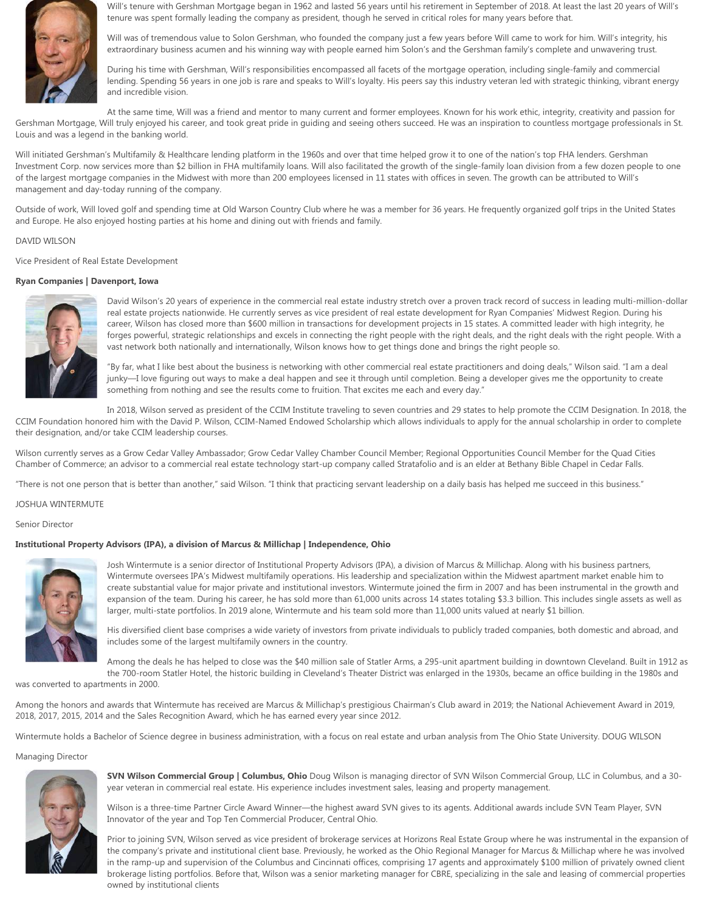

Will's tenure with Gershman Mortgage began in 1962 and lasted 56 years until his retirement in September of 2018. At least the last 20 years of Will's tenure was spent formally leading the company as president, though he served in critical roles for many years before that.

Will was of tremendous value to Solon Gershman, who founded the company just a few years before Will came to work for him. Will's integrity, his extraordinary business acumen and his winning way with people earned him Solon's and the Gershman family's complete and unwavering trust.

During his time with Gershman, Will's responsibilities encompassed all facets of the mortgage operation, including single-family and commercial lending. Spending 56 years in one job is rare and speaks to Will's loyalty. His peers say this industry veteran led with strategic thinking, vibrant energy and incredible vision.

At the same time, Will was a friend and mentor to many current and former employees. Known for his work ethic, integrity, creativity and passion for Gershman Mortgage, Will truly enjoyed his career, and took great pride in guiding and seeing others succeed. He was an inspiration to countless mortgage professionals in St. Louis and was a legend in the banking world.

Will initiated Gershman's Multifamily & Healthcare lending platform in the 1960s and over that time helped grow it to one of the nation's top FHA lenders. Gershman Investment Corp. now services more than \$2 billion in FHA multifamily loans. Will also facilitated the growth of the single-family loan division from a few dozen people to one of the largest mortgage companies in the Midwest with more than 200 employees licensed in 11 states with offices in seven. The growth can be attributed to Will's management and day-today running of the company.

Outside of work, Will loved golf and spending time at Old Warson Country Club where he was a member for 36 years. He frequently organized golf trips in the United States and Europe. He also enjoyed hosting parties at his home and dining out with friends and family.

# DAVID WILSON

Vice President of Real Estate Development

### **Ryan Companies | Davenport, Iowa**



David Wilson's 20 years of experience in the commercial real estate industry stretch over a proven track record of success in leading multi-million-dollar real estate projects nationwide. He currently serves as vice president of real estate development for Ryan Companies' Midwest Region. During his career, Wilson has closed more than \$600 million in transactions for development projects in 15 states. A committed leader with high integrity, he forges powerful, strategic relationships and excels in connecting the right people with the right deals, and the right deals with the right people. With a vast network both nationally and internationally, Wilson knows how to get things done and brings the right people so.

"By far, what I like best about the business is networking with other commercial real estate practitioners and doing deals," Wilson said. "I am a deal junky—I love figuring out ways to make a deal happen and see it through until completion. Being a developer gives me the opportunity to create something from nothing and see the results come to fruition. That excites me each and every day."

In 2018, Wilson served as president of the CCIM Institute traveling to seven countries and 29 states to help promote the CCIM Designation. In 2018, the CCIM Foundation honored him with the David P. Wilson, CCIM-Named Endowed Scholarship which allows individuals to apply for the annual scholarship in order to complete their designation, and/or take CCIM leadership courses.

Wilson currently serves as a Grow Cedar Valley Ambassador; Grow Cedar Valley Chamber Council Member; Regional Opportunities Council Member for the Quad Cities Chamber of Commerce; an advisor to a commercial real estate technology start-up company called Stratafolio and is an elder at Bethany Bible Chapel in Cedar Falls.

"There is not one person that is better than another," said Wilson. "I think that practicing servant leadership on a daily basis has helped me succeed in this business."

#### JOSHUA WINTERMUTE

Senior Director

# **Institutional Property Advisors (IPA), a division of Marcus & Millichap | Independence, Ohio**



Josh Wintermute is a senior director of Institutional Property Advisors (IPA), a division of Marcus & Millichap. Along with his business partners, Wintermute oversees IPA's Midwest multifamily operations. His leadership and specialization within the Midwest apartment market enable him to create substantial value for major private and institutional investors. Wintermute joined the firm in 2007 and has been instrumental in the growth and expansion of the team. During his career, he has sold more than 61,000 units across 14 states totaling \$3.3 billion. This includes single assets as well as larger, multi-state portfolios. In 2019 alone, Wintermute and his team sold more than 11,000 units valued at nearly \$1 billion.

His diversified client base comprises a wide variety of investors from private individuals to publicly traded companies, both domestic and abroad, and includes some of the largest multifamily owners in the country.

Among the deals he has helped to close was the \$40 million sale of Statler Arms, a 295-unit apartment building in downtown Cleveland. Built in 1912 as the 700-room Statler Hotel, the historic building in Cleveland's Theater District was enlarged in the 1930s, became an office building in the 1980s and

was converted to apartments in 2000.

Among the honors and awards that Wintermute has received are Marcus & Millichap's prestigious Chairman's Club award in 2019; the National Achievement Award in 2019, 2018, 2017, 2015, 2014 and the Sales Recognition Award, which he has earned every year since 2012.

Wintermute holds a Bachelor of Science degree in business administration, with a focus on real estate and urban analysis from The Ohio State University. DOUG WILSON

### Managing Director



**SVN Wilson Commercial Group | Columbus, Ohio** Doug Wilson is managing director of SVN Wilson Commercial Group, LLC in Columbus, and a 30 year veteran in commercial real estate. His experience includes investment sales, leasing and property management.

Wilson is a three-time Partner Circle Award Winner—the highest award SVN gives to its agents. Additional awards include SVN Team Player, SVN Innovator of the year and Top Ten Commercial Producer, Central Ohio.

Prior to joining SVN, Wilson served as vice president of brokerage services at Horizons Real Estate Group where he was instrumental in the expansion of the company's private and institutional client base. Previously, he worked as the Ohio Regional Manager for Marcus & Millichap where he was involved in the ramp-up and supervision of the Columbus and Cincinnati offices, comprising 17 agents and approximately \$100 million of privately owned client brokerage listing portfolios. Before that, Wilson was a senior marketing manager for CBRE, specializing in the sale and leasing of commercial properties owned by institutional clients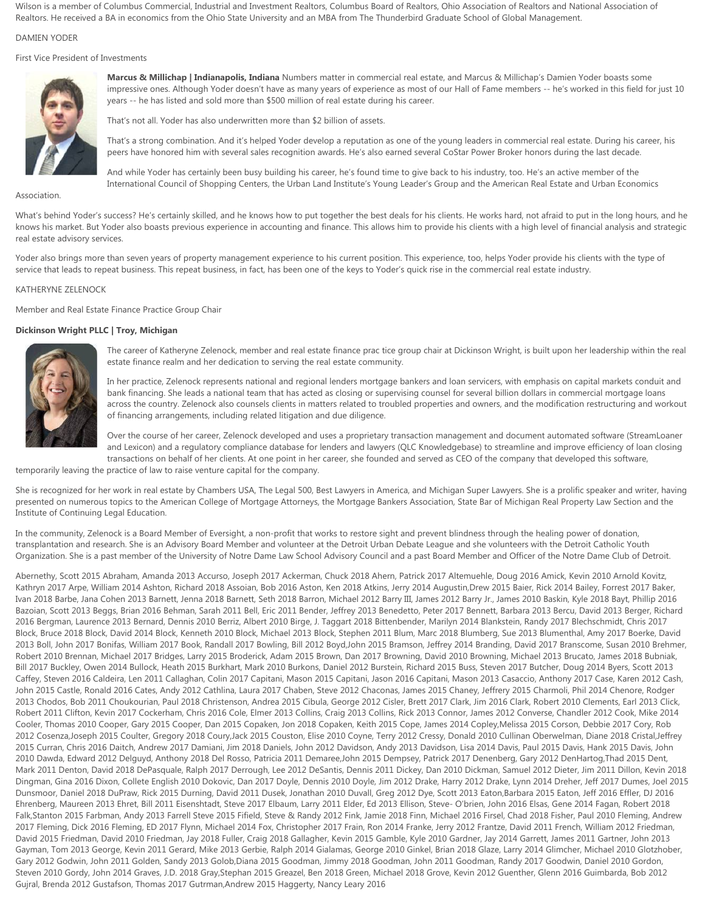Wilson is a member of Columbus Commercial, Industrial and Investment Realtors, Columbus Board of Realtors, Ohio Association of Realtors and National Association of Realtors. He received a BA in economics from the Ohio State University and an MBA from The Thunderbird Graduate School of Global Management.

# DAMIEN YODER

First Vice President of Investments



**Marcus & Millichap | Indianapolis, Indiana** Numbers matter in commercial real estate, and Marcus & Millichap's Damien Yoder boasts some impressive ones. Although Yoder doesn't have as many years of experience as most of our Hall of Fame members -- he's worked in this field for just 10 years -- he has listed and sold more than \$500 million of real estate during his career.

That's not all. Yoder has also underwritten more than \$2 billion of assets.

That's a strong combination. And it's helped Yoder develop a reputation as one of the young leaders in commercial real estate. During his career, his peers have honored him with several sales recognition awards. He's also earned several CoStar Power Broker honors during the last decade.

And while Yoder has certainly been busy building his career, he's found time to give back to his industry, too. He's an active member of the International Council of Shopping Centers, the Urban Land Institute's Young Leader's Group and the American Real Estate and Urban Economics

Association.

What's behind Yoder's success? He's certainly skilled, and he knows how to put together the best deals for his clients. He works hard, not afraid to put in the long hours, and he knows his market. But Yoder also boasts previous experience in accounting and finance. This allows him to provide his clients with a high level of financial analysis and strategic real estate advisory services.

Yoder also brings more than seven years of property management experience to his current position. This experience, too, helps Yoder provide his clients with the type of service that leads to repeat business. This repeat business, in fact, has been one of the keys to Yoder's quick rise in the commercial real estate industry.

### KATHERYNE ZELENOCK

Member and Real Estate Finance Practice Group Chair

# **Dickinson Wright PLLC | Troy, Michigan**



The career of Katheryne Zelenock, member and real estate finance prac tice group chair at Dickinson Wright, is built upon her leadership within the real estate finance realm and her dedication to serving the real estate community.

In her practice, Zelenock represents national and regional lenders mortgage bankers and loan servicers, with emphasis on capital markets conduit and bank financing. She leads a national team that has acted as closing or supervising counsel for several billion dollars in commercial mortgage loans across the country. Zelenock also counsels clients in matters related to troubled properties and owners, and the modification restructuring and workout of financing arrangements, including related litigation and due diligence.

Over the course of her career, Zelenock developed and uses a proprietary transaction management and document automated software (StreamLoaner and Lexicon) and a regulatory compliance database for lenders and lawyers (QLC Knowledgebase) to streamline and improve efficiency of loan closing

transactions on behalf of her clients. At one point in her career, she founded and served as CEO of the company that developed this software, temporarily leaving the practice of law to raise venture capital for the company.

She is recognized for her work in real estate by Chambers USA, The Legal 500, Best Lawyers in America, and Michigan Super Lawyers. She is a prolific speaker and writer, having presented on numerous topics to the American College of Mortgage Attorneys, the Mortgage Bankers Association, State Bar of Michigan Real Property Law Section and the Institute of Continuing Legal Education.

In the community, Zelenock is a Board Member of Eversight, a non-profit that works to restore sight and prevent blindness through the healing power of donation, transplantation and research. She is an Advisory Board Member and volunteer at the Detroit Urban Debate League and she volunteers with the Detroit Catholic Youth Organization. She is a past member of the University of Notre Dame Law School Advisory Council and a past Board Member and Officer of the Notre Dame Club of Detroit.

Abernethy, Scott 2015 Abraham, Amanda 2013 Accurso, Joseph 2017 Ackerman, Chuck 2018 Ahern, Patrick 2017 Altemuehle, Doug 2016 Amick, Kevin 2010 Arnold Kovitz, Kathryn 2017 Arpe, William 2014 Ashton, Richard 2018 Assoian, Bob 2016 Aston, Ken 2018 Atkins, Jerry 2014 Augustin,Drew 2015 Baier, Rick 2014 Bailey, Forrest 2017 Baker, Ivan 2018 Barbe, Jana Cohen 2013 Barnett, Jenna 2018 Barnett, Seth 2018 Barron, Michael 2012 Barry III, James 2012 Barry Jr., James 2010 Baskin, Kyle 2018 Bayt, Phillip 2016 Bazoian, Scott 2013 Beggs, Brian 2016 Behman, Sarah 2011 Bell, Eric 2011 Bender, Jeffrey 2013 Benedetto, Peter 2017 Bennett, Barbara 2013 Bercu, David 2013 Berger, Richard 2016 Bergman, Laurence 2013 Bernard, Dennis 2010 Berriz, Albert 2010 Birge, J. Taggart 2018 Bittenbender, Marilyn 2014 Blankstein, Randy 2017 Blechschmidt, Chris 2017 Block, Bruce 2018 Block, David 2014 Block, Kenneth 2010 Block, Michael 2013 Block, Stephen 2011 Blum, Marc 2018 Blumberg, Sue 2013 Blumenthal, Amy 2017 Boerke, David 2013 Boll, John 2017 Bonifas, William 2017 Book, Randall 2017 Bowling, Bill 2012 Boyd,John 2015 Bramson, Jeffrey 2014 Branding, David 2017 Branscome, Susan 2010 Brehmer, Robert 2010 Brennan, Michael 2017 Bridges, Larry 2015 Broderick, Adam 2015 Brown, Dan 2017 Browning, David 2010 Browning, Michael 2013 Brucato, James 2018 Bubniak, Bill 2017 Buckley, Owen 2014 Bullock, Heath 2015 Burkhart, Mark 2010 Burkons, Daniel 2012 Burstein, Richard 2015 Buss, Steven 2017 Butcher, Doug 2014 Byers, Scott 2013 Caffey, Steven 2016 Caldeira, Len 2011 Callaghan, Colin 2017 Capitani, Mason 2015 Capitani, Jason 2016 Capitani, Mason 2013 Casaccio, Anthony 2017 Case, Karen 2012 Cash, John 2015 Castle, Ronald 2016 Cates, Andy 2012 Cathlina, Laura 2017 Chaben, Steve 2012 Chaconas, James 2015 Chaney, Jeffrery 2015 Charmoli, Phil 2014 Chenore, Rodger 2013 Chodos, Bob 2011 Choukourian, Paul 2018 Christenson, Andrea 2015 Cibula, George 2012 Cisler, Brett 2017 Clark, Jim 2016 Clark, Robert 2010 Clements, Earl 2013 Click, Robert 2011 Clifton, Kevin 2017 Cockerham, Chris 2016 Cole, Elmer 2013 Collins, Craig 2013 Collins, Rick 2013 Connor, James 2012 Converse, Chandler 2012 Cook, Mike 2014 Cooler, Thomas 2010 Cooper, Gary 2015 Cooper, Dan 2015 Copaken, Jon 2018 Copaken, Keith 2015 Cope, James 2014 Copley,Melissa 2015 Corson, Debbie 2017 Cory, Rob 2012 Cosenza,Joseph 2015 Coulter, Gregory 2018 Coury,Jack 2015 Couston, Elise 2010 Coyne, Terry 2012 Cressy, Donald 2010 Cullinan Oberwelman, Diane 2018 Cristal,Jeffrey 2015 Curran, Chris 2016 Daitch, Andrew 2017 Damiani, Jim 2018 Daniels, John 2012 Davidson, Andy 2013 Davidson, Lisa 2014 Davis, Paul 2015 Davis, Hank 2015 Davis, John 2010 Dawda, Edward 2012 Delguyd, Anthony 2018 Del Rosso, Patricia 2011 Demaree,John 2015 Dempsey, Patrick 2017 Denenberg, Gary 2012 DenHartog,Thad 2015 Dent, Mark 2011 Denton, David 2018 DePasquale, Ralph 2017 Derrough, Lee 2012 DeSantis, Dennis 2011 Dickey, Dan 2010 Dickman, Samuel 2012 Dieter, Jim 2011 Dillon, Kevin 2018 Dingman, Gina 2016 Dixon, Collete English 2010 Dokovic, Dan 2017 Doyle, Dennis 2010 Doyle, Jim 2012 Drake, Harry 2012 Drake, Lynn 2014 Dreher, Jeff 2017 Dumes, Joel 2015 Dunsmoor, Daniel 2018 DuPraw, Rick 2015 Durning, David 2011 Dusek, Jonathan 2010 Duvall, Greg 2012 Dye, Scott 2013 Eaton,Barbara 2015 Eaton, Jeff 2016 Effler, DJ 2016 Ehrenberg, Maureen 2013 Ehret, Bill 2011 Eisenshtadt, Steve 2017 Elbaum, Larry 2011 Elder, Ed 2013 Ellison, Steve- O'brien, John 2016 Elsas, Gene 2014 Fagan, Robert 2018 Falk,Stanton 2015 Farbman, Andy 2013 Farrell Steve 2015 Fifield, Steve & Randy 2012 Fink, Jamie 2018 Finn, Michael 2016 Firsel, Chad 2018 Fisher, Paul 2010 Fleming, Andrew 2017 Fleming, Dick 2016 Fleming, ED 2017 Flynn, Michael 2014 Fox, Christopher 2017 Frain, Ron 2014 Franke, Jerry 2012 Frantze, David 2011 French, William 2012 Friedman, David 2015 Friedman, David 2010 Friedman, Jay 2018 Fuller, Craig 2018 Gallagher, Kevin 2015 Gamble, Kyle 2010 Gardner, Jay 2014 Garrett, James 2011 Gartner, John 2013 Gayman, Tom 2013 George, Kevin 2011 Gerard, Mike 2013 Gerbie, Ralph 2014 Gialamas, George 2010 Ginkel, Brian 2018 Glaze, Larry 2014 Glimcher, Michael 2010 Glotzhober, Gary 2012 Godwin, John 2011 Golden, Sandy 2013 Golob,Diana 2015 Goodman, Jimmy 2018 Goodman, John 2011 Goodman, Randy 2017 Goodwin, Daniel 2010 Gordon, Steven 2010 Gordy, John 2014 Graves, J.D. 2018 Gray,Stephan 2015 Greazel, Ben 2018 Green, Michael 2018 Grove, Kevin 2012 Guenther, Glenn 2016 Guimbarda, Bob 2012 Gujral, Brenda 2012 Gustafson, Thomas 2017 Gutrman,Andrew 2015 Haggerty, Nancy Leary 2016